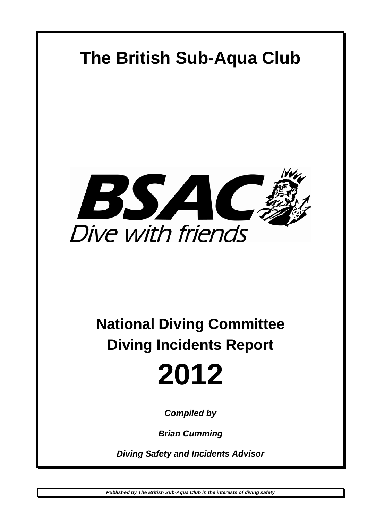

# **National Diving Committee Diving Incidents Report**



*Compiled by* 

*Brian Cumming* 

*Diving Safety and Incidents Advisor*

*Published by The British Sub-Aqua Club in the interests of diving safety*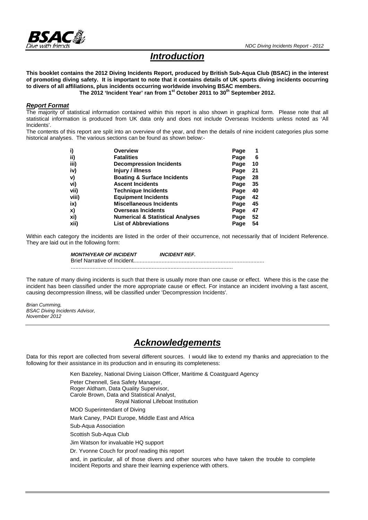

# *Introduction*

**This booklet contains the 2012 Diving Incidents Report, produced by British Sub-Aqua Club (BSAC) in the interest of promoting diving safety. It is important to note that it contains details of UK sports diving incidents occurring to divers of all affiliations, plus incidents occurring worldwide involving BSAC members.** 

The 2012 'Incident Year' ran from 1<sup>st</sup> October 2011 to 30<sup>th</sup> September 2012.

#### *Report Format*

The majority of statistical information contained within this report is also shown in graphical form. Please note that all statistical information is produced from UK data only and does not include Overseas Incidents unless noted as 'All Incidents'.

The contents of this report are split into an overview of the year, and then the details of nine incident categories plus some historical analyses. The various sections can be found as shown below:-

| i)    | <b>Overview</b>                             | Page |    |
|-------|---------------------------------------------|------|----|
| ii)   | <b>Fatalities</b>                           | Page | 6  |
| iii)  | <b>Decompression Incidents</b>              | Page | 10 |
| iv)   | Injury / illness                            | Page | 21 |
| V)    | <b>Boating &amp; Surface Incidents</b>      | Page | 28 |
| vi)   | <b>Ascent Incidents</b>                     | Page | 35 |
| vii)  | <b>Technique Incidents</b>                  | Page | 40 |
| viii) | <b>Equipment Incidents</b>                  | Page | 42 |
| ix)   | <b>Miscellaneous Incidents</b>              | Page | 45 |
| X)    | <b>Overseas Incidents</b>                   | Page | 47 |
| xi)   | <b>Numerical &amp; Statistical Analyses</b> | Page | 52 |
| xii)  | <b>List of Abbreviations</b>                | Page | 54 |

Within each category the incidents are listed in the order of their occurrence, not necessarily that of Incident Reference. They are laid out in the following form:

> *MONTH/YEAR OF INCIDENT INCIDENT REF.*  Brief Narrative of Incident.................................................................................... ........................................................................................................

The nature of many diving incidents is such that there is usually more than one cause or effect. Where this is the case the incident has been classified under the more appropriate cause or effect. For instance an incident involving a fast ascent, causing decompression illness, will be classified under 'Decompression Incidents'.

*Brian Cumming, BSAC Diving Incidents Advisor, November 2012* 

# *Acknowledgements*

Data for this report are collected from several different sources. I would like to extend my thanks and appreciation to the following for their assistance in its production and in ensuring its completeness:

Ken Bazeley, National Diving Liaison Officer, Maritime & Coastguard Agency

Peter Chennell, Sea Safety Manager, Roger Aldham, Data Quality Supervisor, Carole Brown, Data and Statistical Analyst, Royal National Lifeboat Institution MOD Superintendant of Diving Mark Caney, PADI Europe, Middle East and Africa Sub-Aqua Association Scottish Sub-Aqua Club Jim Watson for invaluable HQ support Dr. Yvonne Couch for proof reading this report and, in particular, all of those divers and other sources who have taken the trouble to complete Incident Reports and share their learning experience with others.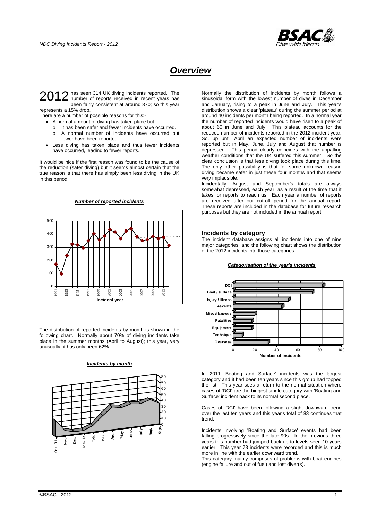

# *Overview*

has seen 314 UK diving incidents reported. The 2012 has seen 314 UK diving incidents reported. The number of reports received in recent years has been fairly consistent at around 370; so this year represents a 15% drop.

There are a number of possible reasons for this:- A normal amount of diving has taken place but:-

- o It has been safer and fewer incidents have occurred.
- o A normal number of incidents have occurred but fewer have been reported.
- Less diving has taken place and thus fewer incidents have occurred, leading to fewer reports.

It would be nice if the first reason was found to be the cause of the reduction (safer diving) but it seems almost certain that the true reason is that there has simply been less diving in the UK in this period.





The distribution of reported incidents by month is shown in the following chart. Normally about 70% of diving incidents take place in the summer months (April to August); this year, very unusually, it has only been 62%.

#### *Incidents by month*



Normally the distribution of incidents by month follows a sinusoidal form with the lowest number of dives in December and January, rising to a peak in June and July. This year's distribution shows a clear 'plateau' during the summer period at around 40 incidents per month being reported. In a normal year the number of reported incidents would have risen to a peak of about 60 in June and July. This plateau accounts for the reduced number of incidents reported in the 2012 incident year. So, up until April an expected number of incidents were reported but in May, June, July and August that number is depressed. This period clearly coincides with the appalling weather conditions that the UK suffered this summer. So the clear conclusion is that less diving took place during this time. The only other possibility is that for some unknown reason diving became safer in just these four months and that seems very implausible.

Incidentally, August and September's totals are always somewhat depressed, each year, as a result of the time that it takes for reports to reach us. Each year a number of reports are received after our cut-off period for the annual report. These reports are included in the database for future research purposes but they are not included in the annual report.

#### **Incidents by category**

The incident database assigns all incidents into one of nine major categories, and the following chart shows the distribution of the 2012 incidents into those categories.

#### *Categorisation of the year's incidents*



In 2011 'Boating and Surface' incidents was the largest category and it had been ten years since this group had topped the list. This year sees a return to the normal situation where cases of 'DCI' are the biggest single category with 'Boating and Surface' incident back to its normal second place.

Cases of 'DCI' have been following a slight downward trend over the last ten years and this year's total of 83 continues that trend.

Incidents involving 'Boating and Surface' events had been falling progressively since the late 90s. In the previous three years this number had jumped back up to levels seen 10 years earlier. This year 73 incidents were recorded and this is much more in line with the earlier downward trend.

This category mainly comprises of problems with boat engines (engine failure and out of fuel) and lost diver(s).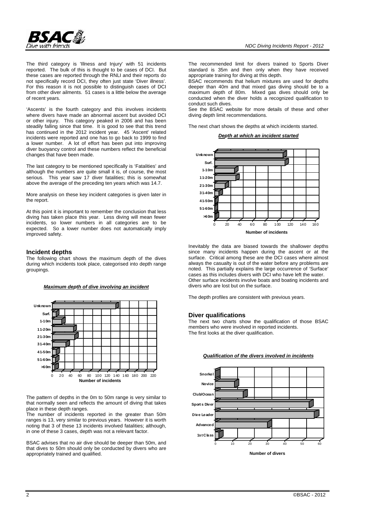

'Ascents' is the fourth category and this involves incidents where divers have made an abnormal ascent but avoided DCI or other injury. This category peaked in 2006 and has been steadily falling since that time. It is good to see that this trend has continued in the 2012 incident year. 45 'Ascent' related incidents were reported and one has to go back to 1999 to find a lower number. A lot of effort has been put into improving diver buoyancy control and these numbers reflect the beneficial changes that have been made.

The last category to be mentioned specifically is 'Fatalities' and although the numbers are quite small it is, of course, the most serious. This year saw 17 diver fatalities; this is somewhat above the average of the preceding ten years which was 14.7.

More analysis on these key incident categories is given later in the report.

At this point it is important to remember the conclusion that less diving has taken place this year. Less diving will mean fewer incidents, so lower numbers in all categories are to be expected. So a lower number does not automatically imply improved safety.

#### **Incident depths**

The following chart shows the maximum depth of the dives during which incidents took place, categorised into depth range groupings.





The pattern of depths in the 0m to 50m range is very similar to that normally seen and reflects the amount of diving that takes place in these depth ranges.

The number of incidents reported in the greater than 50m ranges is 13, very similar to previous years. However it is worth noting that 3 of these 13 incidents involved fatalities; although, in one of these 3 cases, depth was not a relevant factor.

BSAC advises that no air dive should be deeper than 50m, and that dives to 50m should only be conducted by divers who are appropriately trained and qualified.

The recommended limit for divers trained to Sports Diver standard is 35m and then only when they have received appropriate training for diving at this depth.

BSAC recommends that helium mixtures are used for depths deeper than 40m and that mixed gas diving should be to a maximum depth of 80m. Mixed gas dives should only be conducted when the diver holds a recognized qualification to conduct such dives.

See the BSAC website for more details of these and other diving depth limit recommendations.

The next chart shows the depths at which incidents started.

*Depth at which an incident started*



Inevitably the data are biased towards the shallower depths since many incidents happen during the ascent or at the surface. Critical among these are the DCI cases where almost always the casualty is out of the water before any problems are noted. This partially explains the large occurrence of 'Surface' cases as this includes divers with DCI who have left the water. Other surface incidents involve boats and boating incidents and divers who are lost but on the surface.

The depth profiles are consistent with previous years.

#### **Diver qualifications**

The next two charts show the qualification of those BSAC members who were involved in reported incidents. The first looks at the diver qualification.



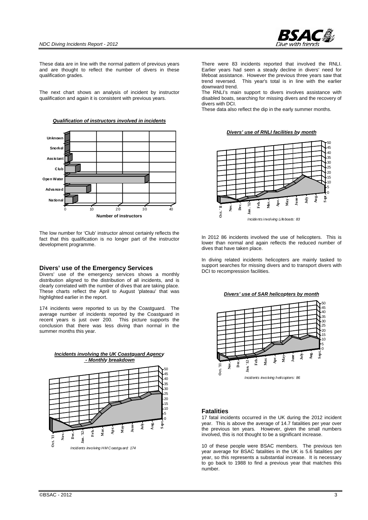

These data are in line with the normal pattern of previous years and are thought to reflect the number of divers in these qualification grades.

The next chart shows an analysis of incident by instructor qualification and again it is consistent with previous years.

*Qualification of instructors involved in incidents*



The low number for 'Club' instructor almost certainly reflects the fact that this qualification is no longer part of the instructor development programme.

#### **Divers' use of the Emergency Services**

Divers' use of the emergency services shows a monthly distribution aligned to the distribution of all incidents, and is clearly correlated with the number of dives that are taking place. These charts reflect the April to August 'plateau' that was highlighted earlier in the report.

174 incidents were reported to us by the Coastguard. The average number of incidents reported by the Coastguard in recent years is just over 200. This picture supports the conclusion that there was less diving than normal in the summer months this year.



There were 83 incidents reported that involved the RNLI. Earlier years had seen a steady decline in divers' need for lifeboat assistance. However the previous three years saw that trend reversed. This year's total is in line with the earlier downward trend.

The RNLI's main support to divers involves assistance with disabled boats, searching for missing divers and the recovery of divers with DCI.

These data also reflect the dip in the early summer months.

*Divers' use of RNLI facilities by month*



In 2012 86 incidents involved the use of helicopters. This is lower than normal and again reflects the reduced number of dives that have taken place.

In diving related incidents helicopters are mainly tasked to support searches for missing divers and to transport divers with DCI to recompression facilities.

*Divers' use of SAR helicopters by month*



#### **Fatalities**

17 fatal incidents occurred in the UK during the 2012 incident year. This is above the average of 14.7 fatalities per year over the previous ten years. However, given the small numbers involved, this is not thought to be a significant increase.

10 of these people were BSAC members. The previous ten year average for BSAC fatalities in the UK is 5.6 fatalities per year, so this represents a substantial increase. It is necessary to go back to 1988 to find a previous year that matches this number.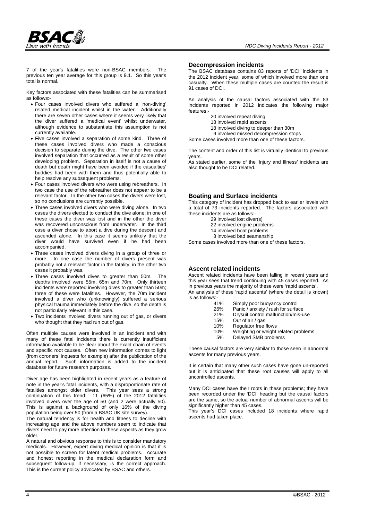

7 of the year's fatalities were non-BSAC members. The previous ten year average for this group is 9.1. So this year's total is normal.

Key factors associated with these fatalities can be summarised as follows:-

- Four cases involved divers who suffered a 'non-diving' related medical incident whilst in the water. Additionally there are seven other cases where it seems very likely that the diver suffered a 'medical event' whilst underwater, although evidence to substantiate this assumption is not currently available.
- Five cases involved a separation of some kind. Three of these cases involved divers who made a conscious decision to separate during the dive. The other two cases involved separation that occurred as a result of some other developing problem. Separation in itself is not a cause of death but death might have been avoided if the casualties' buddies had been with them and thus potentially able to help resolve any subsequent problems.
- Four cases involved divers who were using rebreathers. In two case the use of the rebreather does not appear to be a relevant factor. In the other two cases the divers were lost, so no conclusions are currently possible.
- Three cases involved divers who were diving alone. In two cases the divers elected to conduct the dive alone; in one of these cases the diver was lost and in the other the diver was recovered unconscious from underwater. In the third case a diver chose to abort a dive during the descent and ascended alone. In this case it seems unlikely that the diver would have survived even if he had been accompanied.
- Three cases involved divers diving in a group of three or more. In one case the number of divers present was probably not a relevant factor in the fatality; in the other two cases it probably was.
- Three cases involved dives to greater than 50m. The depths involved were 55m, 65m and 70m. Only thirteen incidents were reported involving dives to greater than 50m; three of these were fatalities. However, the 70m incident involved a diver who (unknowingly) suffered a serious physical trauma immediately before the dive, so the depth is not particularly relevant in this case.
- Two incidents involved divers running out of gas, or divers who thought that they had run out of gas.

Often multiple causes were involved in an incident and with many of these fatal incidents there is currently insufficient information available to be clear about the exact chain of events and specific root causes. Often new information comes to light (from coroners' inquests for example) after the publication of the annual report. Such information is added to the incident database for future research purposes.

Diver age has been highlighted in recent years as a feature of note in the year's fatal incidents, with a disproportionate rate of fatalities amongst older divers. This year sees a strong fatalities amongst older divers. continuation of this trend; 11 (65%) of the 2012 fatalities involved divers over the age of 50 (and 2 were actually 50). This is against a background of only 16% of the diving population being over 50 (from a BSAC UK site survey).

The natural tendency is for health and fitness to decline with increasing age and the above numbers seem to indicate that divers need to pay more attention to these aspects as they grow older.

A natural and obvious response to this is to consider mandatory medicals. However, expert diving medical opinion is that it is not possible to screen for latent medical problems. Accurate and honest reporting in the medical declaration form and subsequent follow-up, if necessary, is the correct approach. This is the current policy advocated by BSAC and others.

#### **Decompression incidents**

The BSAC database contains 83 reports of 'DCI' incidents in the 2012 incident year, some of which involved more than one casualty. When these multiple cases are counted the result is 91 cases of DCI.

An analysis of the causal factors associated with the 83 incidents reported in 2012 indicates the following major features:-

- 20 involved repeat diving
- 18 involved rapid ascents
- 18 involved diving to deeper than 30m
- 9 involved missed decompression stops

Some cases involved more than one of these factors.

The content and order of this list is virtually identical to previous years.

As stated earlier, some of the 'Injury and Illness' incidents are also thought to be DCI related.

#### **Boating and Surface incidents**

This category of incident has dropped back to earlier levels with a total of 73 incidents reported. The factors associated with these incidents are as follows:-

- 29 involved lost diver(s)
- 22 involved engine problems
- 14 involved boat problems
- 8 involved bad seamanship

Some cases involved more than one of these factors.

#### **Ascent related incidents**

Ascent related incidents have been falling in recent years and this year sees that trend continuing with 45 cases reported. As in previous years the majority of these were 'rapid ascents'. An analysis of these 'rapid ascents' (where the detail is known) is as follows:-

- 41% Simply poor buoyancy control<br>26% Panic / anxiety / rush for surfa
- 26% Panic / anxiety / rush for surface<br>21% Drysuit control malfunction/mis-u
- 21% Drysuit control malfunction/mis-use<br>15% Out of air / gas
- Out of air / gas
- 10% Regulator free flows
- 10% Weighting or weight related problems<br>5% Delayed SMB problems
	- Delayed SMB problems

These causal factors are very similar to those seen in abnormal ascents for many previous years.

It is certain that many other such cases have gone un-reported but it is anticipated that these root causes will apply to all uncontrolled ascents.

Many DCI cases have their roots in these problems; they have been recorded under the 'DCI' heading but the causal factors are the same, so the actual number of abnormal ascents will be significantly higher than 45 cases.

This year's DCI cases included 18 incidents where rapid ascents had taken place.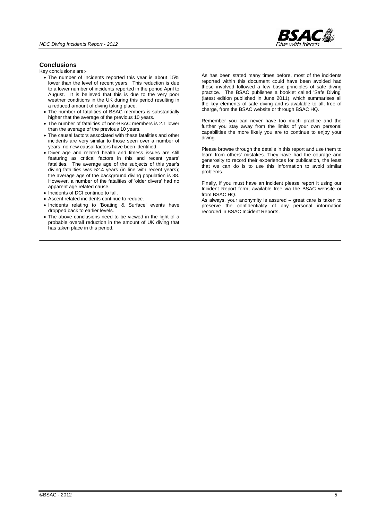

#### **Conclusions**

Key conclusions are:-

- The number of incidents reported this year is about 15% lower than the level of recent years. This reduction is due to a lower number of incidents reported in the period April to August. It is believed that this is due to the very poor weather conditions in the UK during this period resulting in a reduced amount of diving taking place.
- The number of fatalities of BSAC members is substantially higher that the average of the previous 10 years.
- The number of fatalities of non-BSAC members is 2.1 lower than the average of the previous 10 years.
- The causal factors associated with these fatalities and other incidents are very similar to those seen over a number of years; no new causal factors have been identified.
- Diver age and related health and fitness issues are still featuring as critical factors in this and recent years' fatalities. The average age of the subjects of this year's diving fatalities was 52.4 years (in line with recent years); the average age of the background diving population is 38. However, a number of the fatalities of 'older divers' had no apparent age related cause.
- Incidents of DCI continue to fall.
- Ascent related incidents continue to reduce.
- Incidents relating to 'Boating & Surface' events have dropped back to earlier levels.
- The above conclusions need to be viewed in the light of a probable overall reduction in the amount of UK diving that has taken place in this period.

As has been stated many times before, most of the incidents reported within this document could have been avoided had those involved followed a few basic principles of safe diving practice. The BSAC publishes a booklet called 'Safe Diving' (latest edition published in June 2011). which summarises all the key elements of safe diving and is available to all, free of charge, from the BSAC website or through BSAC HQ.

Remember you can never have too much practice and the further you stay away from the limits of your own personal capabilities the more likely you are to continue to enjoy your diving.

Please browse through the details in this report and use them to learn from others' mistakes. They have had the courage and generosity to record their experiences for publication, the least that we can do is to use this information to avoid similar problems.

Finally, if you must have an incident please report it using our Incident Report form, available free via the BSAC website or from BSAC HQ.

As always, your anonymity is assured – great care is taken to preserve the confidentiality of any personal information recorded in BSAC Incident Reports.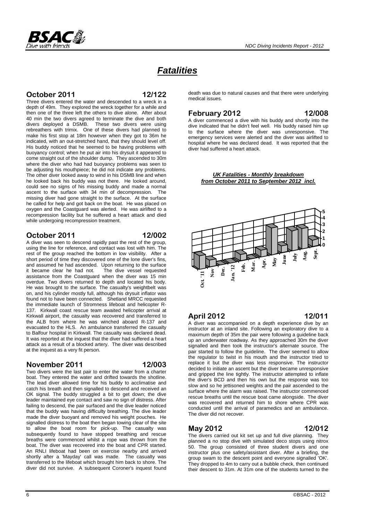

# *Fatalities*

### **October 2011 12/122**

Three divers entered the water and descended to a wreck in a depth of 49m. They explored the wreck together for a while and then one of the three left the others to dive alone. After about 40 min the two divers agreed to terminate the dive and both divers deployed a DSMB. These two divers were using rebreathers with trimix. One of these divers had planned to make his first stop at 18m however when they got to 36m he indicated, with an out-stretched hand, that they should level off. His buddy noticed that he seemed to be having problems with buoyancy control; when he put air into his drysuit it appeared to come straight out of the shoulder dump. They ascended to 30m where the diver who had had buoyancy problems was seen to be adjusting his mouthpiece; he did not indicate any problems. The other diver looked away to wind in his DSMB line and when he looked back his buddy was not there. He looked around, could see no signs of his missing buddy and made a normal ascent to the surface with 34 min of decompression. The missing diver had gone straight to the surface. At the surface he called for help and got back on the boat. He was placed on oxygen and the Coastguard was alerted. He was airlifted to a recompression facility but he suffered a heart attack and died while undergoing recompression treatment.

#### **October 2011 12/002**

A diver was seen to descend rapidly past the rest of the group, using the line for reference, and contact was lost with him. The rest of the group reached the bottom in low visibility. After a short period of time they discovered one of the lone diver's fins, and assumed he had ascended. Upon returning to the surface<br>it became clear he had not. The dive vessel requested it became clear he had not. assistance from the Coastguard when the diver was 15 min overdue. Two divers returned to depth and located his body. He was brought to the surface. The casualty's weightbelt was on, and his cylinder mostly full, although his drysuit inflator was found not to have been connected. Shetland MRCC requested the immediate launch of Stromness lifeboat and helicopter R-137. Kirkwall coast rescue team awaited helicopter arrival at Kirkwall airport, the casualty was recovered and transferred to the ALB from where he was winched aboard R-137 and evacuated to the HLS. An ambulance transferred the casualty to Balfour hospital in Kirkwall. The casualty was declared dead. It was reported at the inquest that the diver had suffered a heart attack as a result of a blocked artery. The diver was described at the inquest as a very fit person.

#### **November 2011 12/003**

Two divers were the last pair to enter the water from a charter boat. They entered the water and drifted towards the shotline. The lead diver allowed time for his buddy to acclimatise and catch his breath and then signalled to descend and received an OK signal. The buddy struggled a bit to get down; the dive leader maintained eye contact and saw no sign of distress. After failing to descend, the pair surfaced and the dive leader noticed that the buddy was having difficulty breathing. The dive leader made the diver buoyant and removed his weight pouches. He signalled distress to the boat then began towing clear of the site to allow the boat room for pick-up. The casualty was subsequently found to have stopped breathing and rescue breaths were commenced whilst a rope was thrown from the boat. The diver was recovered into the boat and CPR started. An RNLI lifeboat had been on exercise nearby and arrived shortly after a 'Mayday' call was made. The casualty was transferred to the lifeboat which brought him back to shore. The diver did not survive. A subsequent Coroner's inquest found death was due to natural causes and that there were underlying medical issues.

### **February 2012 12/008**

A diver commenced a dive with his buddy and shortly into the dive indicated that he didn't feel well. His buddy raised him up to the surface where the diver was unresponsive. The emergency services were alerted and the diver was airlifted to hospital where he was declared dead. It was reported that the diver had suffered a heart attack.

#### *UK Fatalities - Monthly breakdown from October 2011 to September 2012 incl.*



### **April 2012 12/011**

A diver was accompanied on a depth experience dive by an instructor at an inland site. Following an exploratory dive to a maximum depth of 35m the pair were following a guideline back up an underwater roadway. As they approached 30m the diver signalled and then took the instructor's alternate source. The pair started to follow the guideline. The diver seemed to allow the regulator to twist in his mouth and the instructor tried to replace it but the diver was less responsive. The instructor decided to initiate an ascent but the diver became unresponsive and gripped the line tightly. The instructor attempted to inflate the diver's BCD and then his own but the response was too slow and so he jettisoned weights and the pair ascended to the surface where the alarm was raised. The instructor commenced rescue breaths until the rescue boat came alongside. The diver was recovered and returned him to shore where CPR was conducted until the arrival of paramedics and an ambulance. The diver did not recover.

**May 2012 12/012**  The divers carried out kit set up and full dive planning. They planned a no stop dive with simulated deco stops using nitrox 50. The group consisted of three student divers and one instructor plus one safety/assistant diver. After a briefing, the group swam to the descent point and everyone signalled 'OK'. They dropped to 4m to carry out a bubble check, then continued their descent to 31m. At 31m one of the students turned to the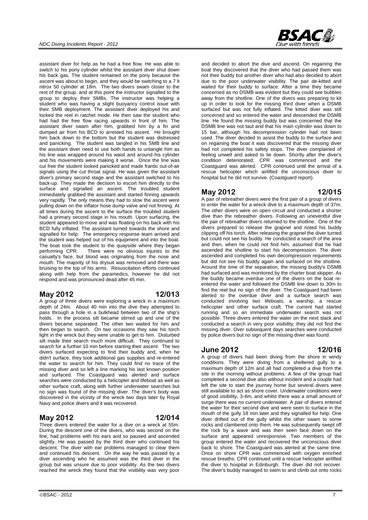assistant diver for help as he had a free flow. He was able to switch to his pony cylinder whilst the assistant diver shut down his back gas. The student remained on the pony because the ascent was about to begin, and they would be switching to a 7 lt nitrox 50 cylinder at 18m. The two divers swam closer to the rest of the group, and at this point the instructor signalled to the group to deploy their SMBs. The instructor was helping a student who was having a slight buoyancy control issue with their SMB deployment. The assistant diver deployed his and locked the reel in ratchet mode. He then saw the student who had had the free flow racing upwards in front of him. The assistant diver swam after him, grabbed him by a fin and dumped air from his BCD to arrested his ascent. He brought him back down to the bottom but the student was distressed and panicking. The student was tangled in his SMB line and the assistant diver need to use both hands to untangle him as his line was wrapped around his waist and around his cylinder and his movements were making it worse. Once the line was cut free the student looked panicked and made frantic out-of-air signals using the cut throat signal. He was given the assistant diver's primary second stage and the assistant switched to his back-up. They made the decision to escort him directly to the surface and signalled an ascent. The troubled student immediately grabbed the assistant and started finning upwards very rapidly. The only means they had to slow the ascent were pulling down on the inflator hose dump valve and not finning. At all times during the ascent to the surface the troubled student had a primary second stage in his mouth. Upon surfacing, the student appeared to move and was floating on his back with his BCD fully inflated. The assistant turned towards the shore and signalled for help. The emergency response team arrived and the student was helped out of his equipment and into the boat. The boat took the student to the quayside where they began performing CPR. There were no obvious injuries to the There were no obvious injuries to the casualty's face, but blood was originating from the nose and mouth. The majority of his drysuit was removed and there was bruising to the top of his arms. Resuscitation efforts continued along with help from the paramedics, however he did not respond and was pronounced dead after 45 min.

#### **May 2012 12/013**

A group of three divers were exploring a wreck in a maximum depth of 24m. About 40 min into the dive they attempted to pass through a hole in a bulkhead between two of the ship's holds. In the process silt became stirred up and one of the divers became separated. The other two waited for him and then began to search. On two occasions they saw his torch light in the wreck but they were unable to get to him. Disturbed silt made their search much more difficult. They continued to search for a further 10 min before starting their ascent. The two divers surfaced expecting to find their buddy and, when he didn't surface, they took additional gas supplies and re-entered the water to search for him. They could find no trace of the missing diver and so left a line marking his last known position and surfaced. The Coastguard was alerted and surface searches were conducted by a helicopter and lifeboat as well as other surface craft, along with further underwater searches but no sign was found of the missing diver. The diver's body was discovered in the vicinity of the wreck two days later by Royal Navy and police divers and it was recovered.

### **May 2012 12/014**

Three divers entered the water for a dive on a wreck at 55m. During the descent one of the divers, who was second on the line, had problems with his ears and so paused and ascended slightly. He was passed by the third diver who continued his descent. The diver with ear problems managed to clear them and continued his descent. On the way he was passed by a diver ascending who he assumed was the third diver in the group but was unsure due to poor visibility. As the two divers reached the wreck they found that the visibility was very poor

and decided to abort the dive and ascend. On regaining the boat they discovered that the diver who had passed them was not their buddy but another diver who had also decided to abort due to the poor underwater visibility. The pair de-kitted and waited for their buddy to surface. After a time they became concerned as no DSMB was evident but they could see bubbles away from the shotline. One of the divers was preparing to kit up in order to look for the missing third diver when a DSMB surfaced but was not fully inflated. The kitted diver was still concerned and so entered the water and descended the DSMB line. He found the missing buddy but was concerned that the DSMB line was not taut and that his main cylinder was down to 15 bar, although his decompression cylinder had not been used. The diver decided to assist the buddy to the surface and on regaining the boat it was discovered that the missing diver had not completed his safety stops. The diver complained of feeling unwell and asked to lie down. Shortly after the diver's condition deteriorated; CPR was commenced and the Coastguard was alerted. CPR continued until the arrival of a rescue helicopter which airlifted the unconscious diver to hospital but he did not survive. (Coastguard report).

#### **May 2012 12/015**

A pair of rebreather divers were the first pair of a group of divers to enter the water for a wreck dive to a maximum depth of 37m. The other divers were on open circuit and conducted a shorter dive than the rebreather divers. Following an uneventful dive the pair of rebreather divers returned to the shotline. One of the divers prepared to release the grapnel and noted his buddy clipping off his torch. After releasing the grapnel the diver turned but could not see his buddy. He conducted a search of the area and then, when he could not find him, assumed that he had ascended the shotline to start his decompression. The diver ascended and completed his own decompression requirements but did not see his buddy again and surfaced on the shotline. Around the time of the separation, the missing buddy's DSMB had surfaced and was monitored by the charter boat skipper. As the buddy became overdue one of the divers on the boat reentered the water and followed the DSMB line down to 30m to find the reel but no sign of the diver. The Coastguard had been alerted to the overdue diver and a surface search was conducted involving two lifeboats, a warship, a rescue helicopter and other surface craft. The current had started running and so an immediate underwater search was not possible. Three divers entered the water on the next slack and conducted a search in very poor visibility; they did not find the missing diver. Over subsequent days searches were conducted by police divers but no sign of the missing diver was found.

#### **June 2012 12/016**

A group of divers had been diving from the shore in windy conditions. They were diving from a sheltered gully to a maximum depth of 12m and all had completed a dive from the site in the morning without problems. A few of the group had completed a second dive also without incident and a couple had left the site to start the journey home but several divers were still available to act as shore cover. Underwater conditions were of good visibility, 3-4m, and whilst there was a small amount of surge there was no current underwater. A pair of divers entered the water for their second dive and were seen to surface in the mouth of the gully 18 min later and they signalled for help. One diver drifted out of the gully whilst the other swam to some rocks and clambered onto them. He was subsequently swept off the rock by a wave and was then seen face down on the surface and appeared unresponsive. Two members of the group entered the water and recovered the unconscious diver back to shore. The Coastguard was alerted at the same time. Once on shore CPR was commenced with oxygen enriched rescue breaths. CPR continued until a rescue helicopter airlifted the diver to hospital in Edinburgh. The diver did not recover. The diver's buddy managed to swim to and climb out onto rocks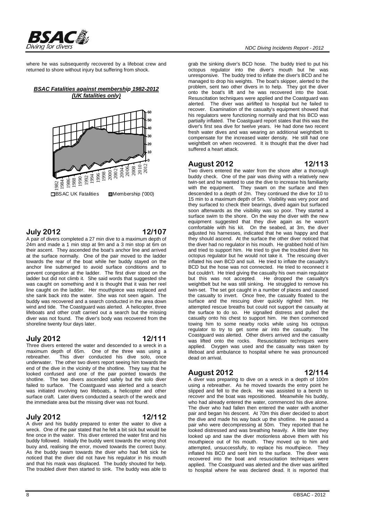

where he was subsequently recovered by a lifeboat crew and returned to shore without injury but suffering from shock.

#### *BSAC Fatalities against membership 1982-2012 (UK fatalities only)*



#### **July 2012 12/107**

A pair of divers completed a 27 min dive to a maximum depth of 24m and made a 1 min stop at 9m and a 3 min stop at 6m on their ascent. They ascended the boat's anchor line and arrived at the surface normally. One of the pair moved to the ladder towards the rear of the boat while her buddy stayed on the anchor line submerged to avoid surface conditions and to prevent congestion at the ladder. The first diver stood on the ladder but did not climb it. She said words that suggested she was caught on something and it is thought that it was her reel line caught on the ladder. Her mouthpiece was replaced and she sank back into the water. She was not seen again. The buddy was recovered and a search conducted in the area down wind and tide. The Coastguard was alerted. A helicopter, three lifeboats and other craft carried out a search but the missing diver was not found. The diver's body was recovered from the shoreline twenty four days later.

#### **July 2012 12/111**

Three divers entered the water and descended to a wreck in a maximum depth of 65m. One of the three was using a rebreather. This diver conducted his dive solo, once underwater. The other two divers report seeing him towards the end of the dive in the vicinity of the shotline. They say that he looked confused and one of the pair pointed towards the shotline. The two divers ascended safely but the solo diver failed to surface. The Coastguard was alerted and a search was initiated involving two lifeboats, a helicopter and other surface craft. Later divers conducted a search of the wreck and the immediate area but the missing diver was not found.

#### **July 2012 12/112**

A diver and his buddy prepared to enter the water to dive a wreck. One of the pair stated that he felt a bit sick but would be fine once in the water. This diver entered the water first and his buddy followed. Initially the buddy went towards the wrong shot buoy and, realising the error, moved towards the correct buoy. As the buddy swam towards the diver who had felt sick he noticed that the diver did not have his regulator in his mouth and that his mask was displaced. The buddy shouted for help. The troubled diver then started to sink. The buddy was able to

grab the sinking diver's BCD hose. The buddy tried to put his octopus regulator into the diver's mouth but he was unresponsive. The buddy tried to inflate the diver's BCD and he managed to drop his weights. The boat's skipper, alerted to the problem, sent two other divers in to help. They got the diver onto the boat's lift and he was recovered into the boat. Resuscitation techniques were applied and the Coastguard was alerted. The diver was airlifted to hospital but he failed to recover. Examination of the casualty's equipment showed that his regulators were functioning normally and that his BCD was partially inflated. The Coastguard report states that this was the diver's first sea dive for twelve years. He had done two recent fresh water dives and was wearing an additional weightbelt to compensate for the increased water density. He still had one weightbelt on when recovered. It is thought that the diver had suffered a heart attack.

#### **August 2012 12/113**

Two divers entered the water from the shore after a thorough buddy check. One of the pair was diving with a relatively new twin-set and he wanted to use the dive to increase his familiarity with the equipment. They swam on the surface and then descended to a depth of 2m. They continued the dive for 10 to 15 min to a maximum depth of 5m. Visibility was very poor and they surfaced to check their bearings, dived again but surfaced soon afterwards as the visibility was so poor. They started a surface swim to the shore. On the way the diver with the new equipment suggested that they dive again as he wasn't comfortable with his kit. On the seabed, at 3m, the diver adjusted his harnesses, indicated that he was happy and that they should ascend. At the surface the other diver noticed that the diver had no regulator in his mouth. He grabbed hold of him and tried to support him. He tried to give the troubled diver his octopus regulator but he would not take it. The rescuing diver inflated his own BCD and suit. He tried to inflate the casualty's BCD but the hose was not connected. He tried to reconnect it but couldn't. He tried giving the casualty his own main regulator but this was not accepted. He dropped the casualty's weightbelt but he was still sinking. He struggled to remove his twin-set. The set got caught in a number of places and caused the casualty to invert. Once free, the casualty floated to the surface and the rescuing diver quickly righted him. He attempted rescue breaths but could not support the casualty at the surface to do so. He signalled distress and pulled the casualty onto his chest to support him. He then commenced towing him to some nearby rocks while using his octopus  $real$  regulator to try to get some air into the casualty. Coastguard was alerted. Other divers arrived and the casualty was lifted onto the rocks. Resuscitation techniques were applied. Oxygen was used and the casualty was taken by lifeboat and ambulance to hospital where he was pronounced dead on arrival.

#### **August 2012 12/114**

A diver was preparing to dive on a wreck in a depth of 100m using a rebreather. As he moved towards the entry point he slipped and fell to the deck. He was assisted to a bench to recover and the boat was repositioned. Meanwhile his buddy, who had already entered the water, commenced his dive alone. The diver who had fallen then entered the water with another pair and began his descent. At 70m this diver decided to abort the dive and made his way back up the shotline. He passed a pair who were decompressing at 50m. They reported that he looked distressed and was breathing heavily. A little later they looked up and saw the diver motionless above them with his mouthpiece out of his mouth. They moved up to him and attempted, unsuccessfully, to replace his mouthpiece. They inflated his BCD and sent him to the surface. The diver was recovered into the boat and resuscitation techniques were applied. The Coastguard was alerted and the diver was airlifted to hospital where he was declared dead. It is reported that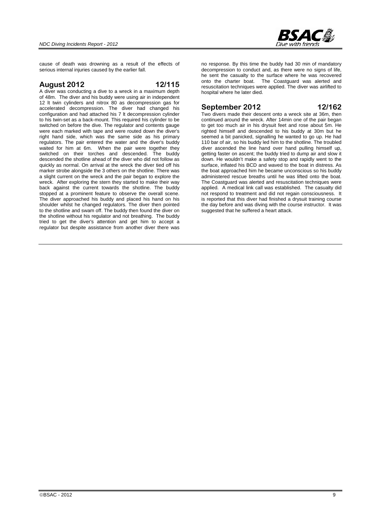

cause of death was drowning as a result of the effects of serious internal injuries caused by the earlier fall.

#### **August 2012 12/115**

A diver was conducting a dive to a wreck in a maximum depth of 48m. The diver and his buddy were using air in independent 12 lt twin cylinders and nitrox 80 as decompression gas for accelerated decompression. The diver had changed his configuration and had attached his 7 lt decompression cylinder to his twin-set as a back-mount. This required his cylinder to be switched on before the dive. The regulator and contents gauge were each marked with tape and were routed down the diver's right hand side, which was the same side as his primary regulators. The pair entered the water and the diver's buddy waited for him at 6m. When the pair were together they switched on their torches and descended. The buddy descended the shotline ahead of the diver who did not follow as quickly as normal. On arrival at the wreck the diver tied off his marker strobe alongside the 3 others on the shotline. There was a slight current on the wreck and the pair began to explore the wreck. After exploring the stern they started to make their way back against the current towards the shotline. The buddy stopped at a prominent feature to observe the overall scene. The diver approached his buddy and placed his hand on his shoulder whilst he changed regulators. The diver then pointed to the shotline and swam off. The buddy then found the diver on the shotline without his regulator and not breathing. The buddy tried to get the diver's attention and get him to accept a regulator but despite assistance from another diver there was

no response. By this time the buddy had 30 min of mandatory decompression to conduct and, as there were no signs of life, he sent the casualty to the surface where he was recovered onto the charter boat. The Coastguard was alerted and resuscitation techniques were applied. The diver was airlifted to hospital where he later died.

### **September 2012 12/162**

Two divers made their descent onto a wreck site at 36m, then continued around the wreck. After 14min one of the pair began to get too much air in his drysuit feet and rose about 5m. He righted himself and descended to his buddy at 30m but he seemed a bit panicked, signalling he wanted to go up. He had 110 bar of air, so his buddy led him to the shotline. The troubled diver ascended the line hand over hand pulling himself up, getting faster on ascent; the buddy tried to dump air and slow it down. He wouldn't make a safety stop and rapidly went to the surface, inflated his BCD and waved to the boat in distress. As the boat approached him he became unconscious so his buddy administered rescue breaths until he was lifted onto the boat. The Coastguard was alerted and resuscitation techniques were applied. A medical link call was established. The casualty did not respond to treatment and did not regain consciousness. It is reported that this diver had finished a drysuit training course the day before and was diving with the course instructor. It was suggested that he suffered a heart attack.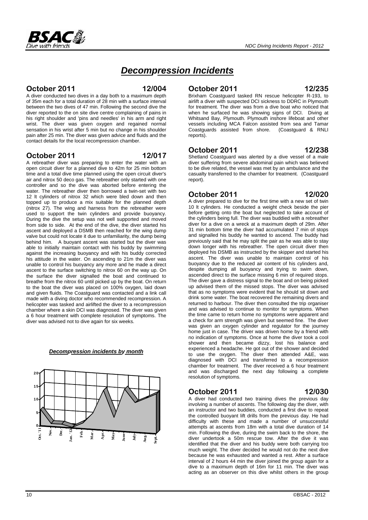# *Decompression Incidents*

#### **October 2011 12/004**

A diver conducted two dives in a day both to a maximum depth of 35m each for a total duration of 28 min with a surface interval between the two dives of 47 min. Following the second dive the diver reported to the on site dive centre complaining of pains in his right shoulder and 'pins and needles' in his arm and right wrist. The diver was given oxygen and regained normal sensation in his wrist after 5 min but no change in his shoulder pain after 25 min. The diver was given advice and fluids and the contact details for the local recompression chamber.

### **October 2011 12/017**

A rebreather diver was preparing to enter the water with an open circuit diver for a planned dive to 42m for 25 min bottom time and a total dive time planned using the open circuit diver's air and nitrox 50 deco gas. The rebreather only started with one controller and so the dive was aborted before entering the water. The rebreather diver then borrowed a twin-set with two 12 lt cylinders of nitrox 32 which were bled down and then topped up to produce a mix suitable for the planned depth (nitrox 27). The wing and harness from the rebreather were used to support the twin cylinders and provide buoyancy. During the dive the setup was not well supported and moved from side to side. At the end of the dive, the diver started his ascent and deployed a DSMB then reached for the wing dump valve but could not locate it due to unfamiliarity, the dump being behind him. A buoyant ascent was started but the diver was able to initially maintain contact with his buddy by swimming against the increasing buoyancy and with his buddy corrected his attitude in the water. On ascending to 21m the diver was unable to control his buoyancy any more and he made a direct ascent to the surface switching to nitrox 60 on the way up. On the surface the diver signalled the boat and continued to breathe from the nitrox 60 until picked up by the boat. On return to the boat the diver was placed on 100% oxygen, laid down and given fluids. The Coastguard was contacted and a link call made with a diving doctor who recommended recompression. A helicopter was tasked and airlifted the diver to a recompression chamber where a skin DCI was diagnosed. The diver was given a 6 hour treatment with complete resolution of symptoms. The diver was advised not to dive again for six weeks.

# **October 2011 12/030**

A diver had conducted two training dives the previous day involving a number of ascents. The following day the diver, with an instructor and two buddies, conducted a first dive to repeat the controlled buoyant lift drills from the previous day. He had difficulty with these and made a number of unsuccessful attempts at ascents from 18m with a total dive duration of 14 min. Following the dive, during the swim back to the shore, the diver undertook a 50m rescue tow. After the dive it was identified that the diver and his buddy were both carrying too much weight. The diver decided he would not do the next dive because he was exhausted and wanted a rest. After a surface interval of 2 hours 44 min the diver joined the group again for a dive to a maximum depth of 16m for 11 min. The diver was acting as an observer on this dive whilst others in the group

*Decompression incidents by month* **20**



**October 2011 12/238** Shetland Coastguard was alerted by a dive vessel of a male diver suffering from severe abdominal pain which was believed to be dive related, the vessel was met by an ambulance and the casualty transferred to the chamber for treatment. (Coastguard report).

**October 2011 12/235**  Brixham Coastguard tasked RN rescue helicopter R-193, to airlift a diver with suspected DCI sickness to DDRC in Plymouth for treatment. The diver was from a dive boat who noticed that when he surfaced he was showing signs of DCI. Diving at Whitsand Bay, Plymouth. Plymouth inshore lifeboat and other vessels including MCA Falcon assisted from sea and Tamar Coastguards assisted from shore. (Coastguard & RNLI

#### **October 2011 12/020**

reports).

A diver prepared to dive for the first time with a new set of twin 10 lt cylinders. He conducted a weight check beside the pier before getting onto the boat but neglected to take account of the cylinders being full. The diver was buddied with a rebreather diver for a dive on a wreck at a maximum depth of 29m. After 31 min bottom time the diver had accumulated 7 min of stops and signalled his buddy he wanted to ascend. The buddy had previously said that he may split the pair as he was able to stay down longer with his rebreather. The open circuit diver then deployed his DSMB as instructed by the skipper and started his ascent. The diver was unable to maintain control of his buoyancy due to the reduced air content of his cylinders and, despite dumping all buoyancy and trying to swim down, ascended direct to the surface missing 6 min of required stops. The diver gave a distress signal to the boat and on being picked up advised them of the missed stops. The diver was advised that as no symptoms were evident that he should sit down and drink some water. The boat recovered the remaining divers and returned to harbour. The diver then consulted the trip organiser and was advised to continue to monitor for symptoms. When the time came to return home no symptoms were apparent and a check for arm strength was given but seemed fine. The diver was given an oxygen cylinder and regulator for the journey home just in case. The driver was driven home by a friend with no indication of symptoms. Once at home the diver took a cool shower and then became dizzy, lost his balance and experienced a headache. He got out of the shower and decided to use the oxygen. The diver then attended A&E, was diagnosed with DCI and transferred to a recompression chamber for treatment. The diver received a 6 hour treatment and was discharged the next day following a complete resolution of symptoms.

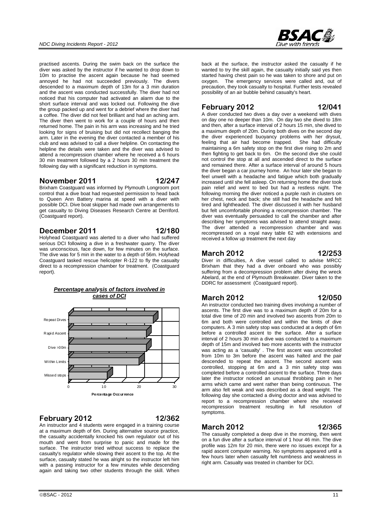practised ascents. During the swim back on the surface the diver was asked by the instructor if he wanted to drop down to 10m to practise the ascent again because he had seemed annoyed he had not succeeded previously. The divers descended to a maximum depth of 13m for a 3 min duration and the ascent was conducted successfully. The diver had not noticed that his computer had activated an alarm due to the short surface interval and was locked out. Following the dive the group packed up and went for a debrief where the diver had a coffee. The diver did not feel brilliant and had an aching arm. The diver then went to work for a couple of hours and then returned home. The pain in his arm was increasing and he tried looking for signs of bruising but did not recollect banging the arm. Later in the evening the diver contacted a member of his club and was advised to call a diver helpline. On contacting the helpline the details were taken and the diver was advised to attend a recompression chamber where he received a 6 hours 30 min treatment followed by a 2 hours 30 min treatment the following day with a significant reduction in symptoms.

#### **November 2011 12/247**

Brixham Coastguard was informed by Plymouth Longroom port control that a dive boat had requested permission to head back to Queen Ann Battery marina at speed with a diver with possible DCI. Dive boat skipper had made own arrangements to get casualty to Diving Diseases Research Centre at Derriford. (Coastguard report).

#### **December 2011 12/180**

Holyhead Coastguard was alerted to a diver who had suffered serious DCI following a dive in a freshwater quarry. The diver was unconscious, face down, for few minutes on the surface. The dive was for 5 min in the water to a depth of 56m. Holyhead Coastguard tasked rescue helicopter R-122 to fly the casualty direct to a recompression chamber for treatment. (Coastquard report).



### **February 2012 12/362**

An instructor and 4 students were engaged in a training course at a maximum depth of 6m. During alternative source practice, the casualty accidentally knocked his own regulator out of his mouth and went from surprise to panic and made for the surface. The instructor tried without success to replace the casualty's regulator while slowing their ascent to the top. At the surface, casualty stated he was alright so the instructor left him with a passing instructor for a few minutes while descending again and taking two other students through the skill. When

back at the surface, the instructor asked the casualty if he wanted to try the skill again, the casualty initially said yes then started having chest pain so he was taken to shore and put on oxygen. The emergency services were called and, out of precaution, they took casualty to hospital. Further tests revealed possibility of an air bubble behind casualty's heart.

### **February 2012 12/041**

A diver conducted two dives a day over a weekend with dives on day one no deeper than 10m. On day two she dived to 18m and then, after a surface interval of 2 hours 15 min, she dived to a maximum depth of 20m. During both dives on the second day the diver experienced buoyancy problems with her drysuit, feeling that air had become trapped. She had difficulty maintaining a 6m safety stop on the first dive rising to 2m and then fighting to get back to 6m. On the second dive she could not control the stop at all and ascended direct to the surface and remained there. After a surface interval of around 5 hours the diver began a car journey home. An hour later she began to feel unwell with a headache and fatigue which both gradually increased until she fell asleep. On returning home the diver took pain relief and went to bed but had a restless night. The following morning the diver noticed a purple rash in clusters on her chest, neck and back; she still had the headache and felt tired and lightheaded. The diver discussed it with her husband but felt uncomfortable phoning a recompression chamber. The diver was eventually persuaded to call the chamber and after describing her symptoms was advised to attend straight away. The diver attended a recompression chamber and was recompressed on a royal navy table 62 with extensions and received a follow up treatment the next day

#### **March 2012 12/253**

Diver in difficulties, A dive vessel called to advise MRCC Brixham that they had a diver onboard who was possibly suffering from a decompression problem after diving the wreck Abelard, at the end of Plymouth Breakwater. Diver taken to the DDRC for assessment (Coastguard report).

### **March 2012 12/050**

An instructor conducted two training dives involving a number of ascents. The first dive was to a maximum depth of 20m for a total dive time of 20 min and involved two ascents from 20m to 6m and both were controlled and within the limits of dive computers. A 3 min safety stop was conducted at a depth of 6m before a controlled ascent to the surface. After a surface interval of 2 hours 30 min a dive was conducted to a maximum depth of 15m and involved two more ascents with the instructor was acting as a 'casualty' . The first ascent was uncontrolled from 10m to 3m before the ascent was halted and the pair descended to repeat the ascent. The second ascent was controlled, stopping at 6m and a 3 min safety stop was completed before a controlled ascent to the surface. Three days later the instructor noticed an unusual throbbing pain in her arms which came and went rather than being continuous. The arm also felt weak and was described as a dead weight. The following day she contacted a diving doctor and was advised to report to a recompression chamber where she received recompression treatment resulting in full resolution of symptoms.

### **March 2012 12/365**

The casualty completed a deep dive in the morning, then went on a fun dive after a surface interval of 1 hour 46 min. The dive profile was 12m for 20 min, there were no issues except for a rapid ascent computer warning. No symptoms appeared until a few hours later when casualty felt numbness and weakness in right arm. Casualty was treated in chamber for DCI.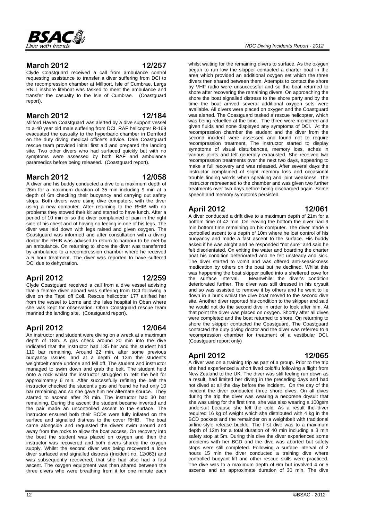### **March 2012 12/257**

Clyde Coastguard received a call from ambulance control requesting assistance to transfer a diver suffering from DCI to the recompression chamber at Millport, Isle of Cumbrae. Largs RNLI inshore lifeboat was tasked to meet the ambulance and transfer the casualty to the Isle of Cumbrae. (Coastguard report).

### **March 2012 12/184**

Milford Haven Coastguard was alerted by a dive support vessel to a 40 year old male suffering from DCI, RAF helicopter R-169 evacuated the casualty to the hyperbaric chamber in Derriford on the duty diving medical officer's advice. Dale Coastguard rescue team provided initial first aid and prepared the landing site. Two other divers who had surfaced quickly but with no symptoms were assessed by both RAF and ambulance paramedics before being released. (Coastguard report).

#### **March 2012 12/058**

A diver and his buddy conducted a dive to a maximum depth of 26m for a maximum duration of 35 min including 9 min at a depth of 6m checking their buoyancy and carrying out safety stops. Both divers were using dive computers, with the diver using a new computer. After returning to the RHIB with no problems they stowed their kit and started to have lunch. After a period of 10 min or so the diver complained of pain in the right side of his chest and of having no feeling in one of his legs. The diver was laid down with legs raised and given oxygen. The Coastguard was informed and after consultation with a diving doctor the RHIB was advised to return to harbour to be met by an ambulance. On returning to shore the diver was transferred by ambulance to a recompression chamber where he received a 5 hour treatment. The diver was reported to have suffered DCI due to dehydration.

### **April 2012 12/259**

Clyde Coastguard received a call from a dive vessel advising that a female diver aboard was suffering from DCI following a dive on the Tapti off Coll. Rescue helicopter 177 airlifted her from the vessel to Lorne and the Isles hospital in Oban where she was kept for observation. Oban Coastguard rescue team manned the landing site. (Coastguard report).

### **April 2012 12/064**

An instructor and student were diving on a wreck at a maximum depth of 18m. A gas check around 20 min into the dive indicated that the instructor had 135 bar and the student had 110 bar remaining. Around 22 min, after some previous buoyancy issues, and at a depth of 13m the student's weightbelt came undone and fell off. The student and instructor managed to swim down and grab the belt. The student held onto a rock whilst the instructor struggled to refit the belt for approximately 6 min. After successfully refitting the belt the instructor checked the student's gas and found he had only 10 bar remaining and so she gave him her alternate source. They started to ascend after 28 min. The instructor had 30 bar remaining. During the ascent the student became inverted and the pair made an uncontrolled ascent to the surface. The instructor ensured both their BCDs were fully inflated on the surface and signalled distress to the cover RHIB. The boat came alongside and requested the divers swim around and away from the rocks to allow the boat access. On recovery into the boat the student was placed on oxygen and then the instructor was recovered and both divers shared the oxygen supply. Whilst the second diver was being recovered a lone diver surfaced and signalled distress (Incident no. 12/063) and was subsequently recovered; that she had also had a fast ascent. The oxygen equipment was then shared between the three divers who were breathing from it for one minute each

whilst waiting for the remaining divers to surface. As the oxygen began to run low the skipper contacted a charter boat in the area which provided an additional oxygen set which the three divers then shared between them. Attempts to contact the shore by VHF radio were unsuccessful and so the boat returned to shore after recovering the remaining divers. On approaching the shore the boat signalled distress to the shore party and by the time the boat arrived several additional oxygen sets were available. All divers were placed on oxygen and the Coastguard was alerted. The Coastguard tasked a rescue helicopter, which was being refuelled at the time. The three were monitored and given fluids and none displayed any symptoms of DCI. At the recompression chamber the student and the diver from the second incident were assessed and found not to require recompression treatment. The instructor started to display symptoms of visual disturbances, memory loss, aches in various joints and felt generally exhausted. She received two recompression treatments over the next two days, appearing to make a full recovery and was released. After several days the instructor complained of slight memory loss and occasional trouble finding words when speaking and joint weakness. The instructor represented to the chamber and was given two further treatments over two days before being discharged again. Some speech and memory symptoms persisted.

### **April 2012 12/061**

A diver conducted a drift dive to a maximum depth of 21m for a bottom time of 42 min. On leaving the bottom the diver had 9 min bottom time remaining on his computer. The diver made a controlled ascent to a depth of 10m where he lost control of his buoyancy and made a fast ascent to the surface. His buddy asked if he was alright and he responded "not sure" and said he felt disorientated. On exiting the water and boarding the charter boat his condition deteriorated and he felt unsteady and sick. The diver started to vomit and was offered anti-seasickness medication by others on the boat but he declined. Whilst this was happening the boat skipper pulled into a sheltered cove for the surface interval. Meanwhile the diver's condition deteriorated further. The diver was still dressed in his drysuit and so was assisted to remove it by others and he went to lie down in a bunk whilst the dive boat moved to the second dive site. Another diver reported his condition to the skipper and said he would not do the second dive in order to look after him. At that point the diver was placed on oxygen. Shortly after all dives were completed and the boat returned to shore. On returning to shore the skipper contacted the Coastguard. The Coastguard contacted the duty diving doctor and the diver was referred to a recompression chamber for treatment of a vestibular DCI. (Coastguard report only)

### **April 2012 12/065**

A diver was on a training trip as part of a group. Prior to the trip she had experienced a short lived cold/flu following a flight from New Zealand to the UK. The diver was still feeling run down as a result, had limited her diving in the preceding days and had not dived at all the day before the incident. On the day of the incident the diver conducted three shore dives. On all dives during the trip the diver was wearing a neoprene drysuit that she was using for the first time, she was also wearing a 100gsm undersuit because she felt the cold. As a result the diver required 16 kg of weight which she distributed with 4 kg in the BCD pockets and the remainder on a weightbelt with traditional airline-style release buckle. The first dive was to a maximum depth of 12m for a total duration of 40 min including a 3 min safety stop at 5m. During this dive the diver experienced some problems with her BCD and the dive was aborted but safety stops were still completed. Following a surface interval of 2 hours 15 min the diver conducted a training dive where controlled buoyant lift and other rescue skills were practiced. The dive was to a maximum depth of 6m but involved 4 or 5 ascents and an approximate duration of 30 min. The dive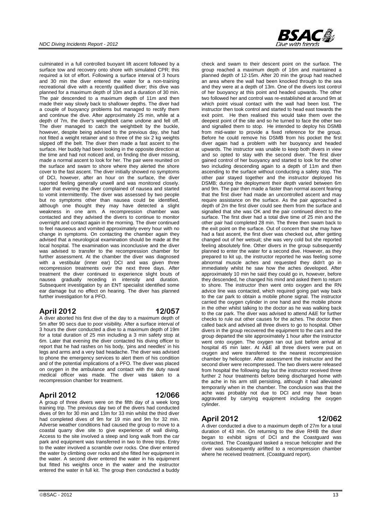

culminated in a full controlled buoyant lift ascent followed by a surface tow and recovery onto shore with simulated CPR; this required a lot of effort. Following a surface interval of 3 hours and 30 min the diver entered the water for a non-training recreational dive with a recently qualified diver; this dive was planned for a maximum depth of 10m and a duration of 30 min. The pair descended to a maximum depth of 11m and then made their way slowly back to shallower depths. The diver had a couple of buoyancy problems but managed to rectify them and continue the dive. After approximately 25 min, while at a depth of 7m, the diver's weightbelt came undone and fell off. The diver managed to catch the weightbelt by the buckle, however, despite being advised to the previous day, she had not fitted a weight retainer and so three of the six 2 kg weights slipped off the belt. The diver then made a fast ascent to the surface. Her buddy had been looking in the opposite direction at the time and had not noticed and, on finding the diver missing, made a normal ascent to look for her. The pair were reunited on the surface and swam to shore where they alerted the shore cover to the fast ascent. The diver initially showed no symptoms of DCI, however, after an hour on the surface, the diver reported feeling generally unwell and was monitored closely. Later that evening the diver complained of nausea and started to vomit intermittently. The diver was assessed by two people but no symptoms other than nausea could be identified, although one thought they may have detected a slight weakness in one arm. A recompression chamber was contacted and they advised the divers to continue to monitor overnight and contact again in the morning. The diver continued to feel nauseous and vomited approximately every hour with no change in symptoms. On contacting the chamber again they advised that a neurological examination should be made at the local hospital. The examination was inconclusive and the diver was advised to transfer to the recompression chamber for further assessment. At the chamber the diver was diagnosed with a vestibular (inner ear) DCI and was given three recompression treatments over the next three days. After treatment the diver continued to experience slight bouts of nausea gradually receding in intensity and duration. Subsequent investigation by an ENT specialist identified some ear damage but no effect on hearing. The diver has planned further investigation for a PFO.

### **April 2012 12/057**

A diver aborted his first dive of the day to a maximum depth of 5m after 90 secs due to poor visibility. After a surface interval of 3 hours the diver conducted a dive to a maximum depth of 19m for a total duration of 25 min including a 3 min safety stop at 6m. Later that evening the diver contacted his diving officer to report that he had rashes on his body, 'pins and needles' in his legs and arms and a very bad headache. The diver was advised to phone the emergency services to alert them of his condition and of the potential implications of a PFO. The diver was placed on oxygen in the ambulance and contact with the duty naval medical officer was made. The diver was taken to a recompression chamber for treatment.

### **April 2012 12/066**

A group of three divers were on the fifth day of a week long training trip. The previous day two of the divers had conducted dives of 9m for 30 min and 13m for 33 min whilst the third diver had completed dives of 9m for 19 min and 9m for 32 min. Adverse weather conditions had caused the group to move to a coastal quarry dive site to give experience of wall diving. Access to the site involved a steep and long walk from the car park and equipment was transferred in two to three trips. Entry to the water involved a scramble over rocks. One diver entered the water by climbing over rocks and she fitted her equipment in the water. A second diver entered the water in his equipment but fitted his weights once in the water and the instructor entered the water in full kit. The group then conducted a buddy

 $\odot$ BSAC - 2012 13

check and swam to their descent point on the surface. The group reached a maximum depth of 16m and maintained a planned depth of 12-15m. After 20 min the group had reached an area where the wall had been knocked through to the sea and they were at a depth of 13m. One of the divers lost control of her buoyancy at this point and headed upwards. The other two followed her and control was re-established at around 9m at which point visual contact with the wall had been lost. The instructor then took control and started to head east towards the exit point. He then realised this would take them over the deepest point of the site and so he turned to face the other two and signalled them to stop. He intended to deploy his DSMB from mid-water to provide a fixed reference for the group. Before he could remove his DSMB from his pocket the first diver again had a problem with her buoyancy and headed upwards. The instructor was unable to keep both divers in view and so opted to stay with the second diver. The first diver gained control of her buoyancy and started to look for the other two including descending again to a depth of 11m and then ascending to the surface without conducting a safety stop. The other pair stayed together and the instructor deployed his DSMB; during the deployment their depth varied between 6m and 9m. The pair then made a faster than normal ascent fearing that the first diver had made an uncontrolled ascent and may require assistance on the surface. As the pair approached a depth of 2m the first diver could see them from the surface and signalled that she was OK and the pair continued direct to the surface. The first diver had a total dive time of 25 min and the other pair had completed 28 min. The three then swam back to the exit point on the surface. Out of concern that she may have had a fast ascent, the first diver was checked out, after getting changed out of her wetsuit; she was very cold but she reported feeling absolutely fine. Other divers in the group subsequently planned to enter the water for a second dive. However, as they prepared to kit up, the instructor reported he was feeling some abnormal muscle aches and requested they didn't go in immediately whilst he saw how the aches developed. After approximately 10 min he said they could go in, however, before they descended, he changed his mind and asked them to return to shore. The instructor then went onto oxygen and the RN advice line was contacted, which required going part way back to the car park to obtain a mobile phone signal. The instructor carried the oxygen cylinder in one hand and the mobile phone in the other whilst talking to the doctor as he was walking back to the car park. The diver was advised to attend A&E for further checks to rule out other causes for the aches. The doctor then called back and advised all three divers to go to hospital. Other divers in the group recovered the equipment to the cars and the group departed the site approximately 1 hour after the instructor went onto oxygen. The oxygen ran out just before arrival at hospital 45 min later. At A&E all three divers were put on oxygen and were transferred to the nearest recompression chamber by helicopter. After assessment the instructor and the second diver were recompressed. The two divers were released from hospital the following day but the instructor received three further 2 hour treatments before being discharged home with the ache in his arm still persisting, although it had alleviated temporarily when in the chamber. The conclusion was that the ache was probably not due to DCI and may have bean aggravated by carrying equipment including the oxygen cylinder.

#### **April 2012 12/062**

A diver conducted a dive to a maximum depth of 27m for a total duration of 43 min. On returning to the dive RHIB the diver began to exhibit signs of DCI and the Coastguard was contacted. The Coastguard tasked a rescue helicopter and the diver was subsequently airlifted to a recompression chamber where he received treatment. (Coastguard report).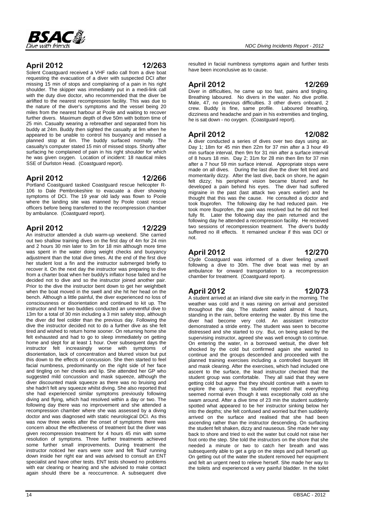

Solent Coastguard received a VHF radio call from a dive boat requesting the evacuation of a diver with suspected DCI after missing 15 min of stops and complaining of a pain in his right shoulder. The skipper was immediately put in a medi-link call with the duty dive doctor, who recommended that the diver be airlifted to the nearest recompression facility. This was due to the nature of the diver's symptoms and the vessel being 20 miles from the nearest harbour at Poole and waiting to recover further divers. Maximum depth of dive 50m with bottom time of 25 min. Casualty wearing a rebreather and separated from his buddy at 24m. Buddy then sighted the casualty at 9m when he appeared to be unable to control his buoyancy and missed a planned stop at 6m. The buddy surfaced normally. The casualty's computer stated 15 min of missed stops. Shortly after surfacing he complained of pain in his right shoulder for which he was given oxygen. Location of incident: 18 nautical miles SSE of Durlston Head. (Coastguard report).

### **April 2012 12/266**

Portland Coastguard tasked Coastguard rescue helicopter R-106 to Dale Pembrokeshire to evacuate a diver showing symptoms of DCI. The 19 year old lady was flown to Poole where the landing site was manned by Poole coast rescue officers before being transferred to the recompression chamber by ambulance. (Coastguard report).

**April 2012 12/229** An instructor attended a club warm-up weekend. She carried out two shallow training dives on the first day of 4m for 24 min and 2 hours 30 min later to 3m for 18 min although more time was spent in the water doing weight checks and buoyancy adjustment than the total dive times. At the end of the first dive her student lost a fin and the instructor submerged briefly to recover it. On the next day the instructor was preparing to dive from a charter boat when her buddy's inflator hose failed and he decided not to dive and so the instructor joined another pair. Prior to the dive the instructor bent down to get her weightbelt when the boat moved in the swell and she hit her head on the bench. Although a little painful, the diver experienced no loss of consciousness or disorientation and continued to kit up. The instructor and her two buddies conducted an uneventful dive to 13m for a total of 30 min including a 3 min safety stop, although the diver did feel colder than the previous day. Following the dive the instructor decided not to do a further dive as she felt tired and wished to return home sooner. On returning home she felt exhausted and had to go to sleep immediately on getting home and slept for at least 1 hour. Over subsequent days the instructor felt increasingly worse with symptoms of disorientation, lack of concentration and blurred vision but put this down to the effects of concussion. She then started to feel facial numbness, predominantly on the right side of her face and tingling on her cheeks and lip. She attended her GP who suggested mild concussion and mask squeeze, although the diver discounted mask squeeze as there was no bruising and she hadn't felt any squeeze whilst diving. She also reported that she had experienced similar symptoms previously following diving and flying, which had resolved within a day or two. The following day there was no improvement and she attended a recompression chamber where she was assessed by a diving doctor and was diagnosed with static neurological DCI. As this was now three weeks after the onset of symptoms there was concern about the effectiveness of treatment but the diver was given recompression treatment for 4 hours 45 min with some resolution of symptoms. Three further treatments achieved some further small improvements. During treatment the instructor noticed her ears were sore and felt 'fluid' running down inside her right ear and was advised to consult an ENT specialist and have other tests. ENT tests showed no problems with ear clearing or hearing and she advised to make contact again should there be a reoccurrence. A subsequent dive resulted in facial numbness symptoms again and further tests have been inconclusive as to cause.

### **April 2012 12/269**

Diver in difficulties, he came up too fast, pains and tingling. Breathing laboured. No divers in the water. No dive profile. Male, 47, no previous difficulties. 3 other divers onboard, 2 crew. Buddy is fine, same profile. Laboured breathing, dizziness and headache and pain in his extremities and tingling, he is sat down - no oxygen. (Coastguard report).

### **April 2012 12/082**

A diver conducted a series of dives over two days using air. Day 1; 18m for 45 min then 22m for 37 min after a 3 hour 49 min surface interval, then 9m for 31 min after a surface interval of 8 hours 18 min. Day 2; 31m for 28 min then 8m for 37 min after a 7 hour 59 min surface interval. Appropriate stops were made on all dives. During the last dive the diver felt tired and momentarily dizzy. After the last dive, back on shore, he again felt dizzy; his peripheral vision became blurred and he developed a pain behind his eyes. The diver had suffered migraine in the past (last attack two years earlier) and he thought that this was the cause. He consulted a doctor and took Ibuprofen. The following day he had reduced pain. He took more Ibuprofen, the pain was resolved but he did not feel fully fit. Later the following day the pain returned and the following day he attended a recompression facility. He received two sessions of recompression treatment. The diver's buddy suffered no ill effects. It remained unclear if this was DCI or not.

### **April 2012 12/270**

Clyde Coastguard was informed of a diver feeling unwell following a dive to 30m. The dive boat was met by an ambulance for onward transportation to a recompression chamber for treatment. (Coastguard report).

### **April 2012 12/073**

#### A student arrived at an inland dive site early in the morning. The weather was cold and it was raining on arrival and persisted throughout the day. The student waited almost 4 hours, standing in the rain, before entering the water. By this time the diver had become very cold. An assistant instructor demonstrated a stride entry. The student was seen to become distressed and she started to cry. But, on being asked by the supervising instructor, agreed she was well enough to continue. On entering the water, in a borrowed wetsuit, the diver felt shocked by the cold but confirmed again she wanted to continue and the groups descended and proceeded with the planned training exercises including a controlled buoyant lift and mask clearing. After the exercises, which had included one ascent to the surface, the lead instructor checked that the student group was comfortable. They all said that they were getting cold but agree that they should continue with a swim to explore the quarry. The student reported that everything seemed normal even though it was exceptionally cold as she swam around. After a dive time of 23 min the student suddenly spotted what appeared to be her instructor sinking below her into the depths; she felt confused and worried but then suddenly arrived on the surface and realised that she had been ascending rather than the instructor descending. On surfacing the student felt shaken, dizzy and nauseous. She made her way back to shore and tried to exit the water but could not raise her foot onto the step. She told the instructors on the shore that she needed a minute or two to catch her breath and was subsequently able to get a grip on the steps and pull herself up. On getting out of the water the student removed her equipment and felt an urgent need to relieve herself. She made her way to

the toilets and experienced a very painful bladder. In the toilet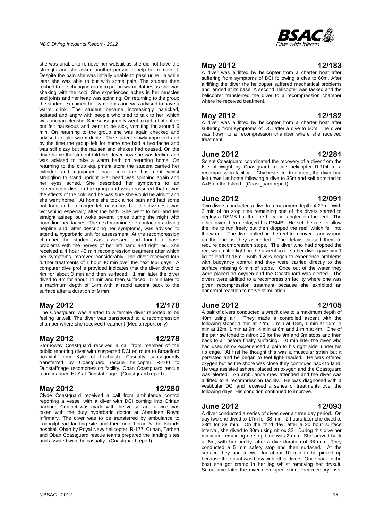she was unable to remove her wetsuit as she did not have the strength and she asked another person to help her remove it. Despite the pain she was initially unable to pass urine; a while later she was able to but with some pain. The student then rushed to the changing room to put on warm clothes as she was shaking with the cold. She experienced aches in her muscles and joints and her head was spinning. On returning to the group the student explained her symptoms and was advised to have a warm drink. The student became increasingly panicked, agitated and angry with people who tried to talk to her, which was uncharacteristic. She subsequently went to get a hot coffee but felt nauseous and went to be sick, vomiting for around 5 min. On returning to the group she was again checked and advised to take warm drinks. The student slowly improved and by the time the group left for home she had a headache and was still dizzy but the nausea and shakes had ceased. On the drive home the student told her driver how she was feeling and was advised to take a warm bath on returning home. On returning to the club equipment store the student carried her cylinder and equipment back into the basement whilst struggling to stand upright. Her head was spinning again and her eyes ached. She described her symptoms to an experienced diver in the group and was reassured that it was the effects of the cold and he was sure she would be alright and she went home. At home she took a hot bath and had some hot food and no longer felt nauseous but the dizziness was worsening especially after the bath. She went to bed and fell straight asleep but woke several times during the night with pounding headaches. The next morning she contacted a diving helpline and, after describing her symptoms, was advised to attend a hyperbaric unit for assessment. At the recompression chamber the student was assessed and found to have problems with the nerves of her left hand and right leg. She received a 4 hour 45 min recompression treatment after which her symptoms improved considerably. The diver received four further treatments of 1 hour 40 min over the next four days. A computer dive profile provided indicates that the diver dived to 4m for about 3 min and then surfaced. 1 min later the diver dived to 4m for about 14 min and then surfaced. 5 min later to a maximum depth of 14m with a rapid ascent back to the surface after a duration of 9 min.

### **May 2012 12/178**

The Coastguard was alerted to a female diver reported to be feeling unwell. The diver was transported to a recompression chamber where she received treatment (Media report only)

### **May 2012 12/278**

Stornoway Coastguard received a call from member of the public reporting diver with suspected DCI en route to Broadford hospital from Kyle of Lochalsh. Casualty subsequently transferred by Coastguard rescue helicopter R-100 to Dunstaffnage recompression facility. Oban Coastguard rescue team manned HLS at Dunstaffnage. (Coastguard report).

#### **May 2012 12/280**

Clyde Coastguard received a call from ambulance control reporting a vessel with a diver with DCI coming into Crinan harbour. Contact was made with the vessel and advice was taken with the duty hyperbaric doctor at Aberdeen Royal Infirmary. The diver was to be transferred by ambulance to Lochgilphead landing site and then onto Lorne & the Islands hospital, Oban by Royal Navy helicopter R-177. Crinan, Tarbert and Oban Coastguard rescue teams prepared the landing sites and assisted with the casualty. (Coastguard report).

40m using air. They made a controlled ascent with the following stops: 1 min at 22m, 1 min at 18m, 1 min at 15m, 1 min at 12m, 1 min at 9m, 4 min at 6m and 1 min at 4m. One of the pair switched to nitrox 36 for the 9m and 6m stops and then back to air before finally surfacing. 10 min later the diver who had used nitrox experienced a pain to his right side, under his rib cage. At first he thought this was a muscular strain but it persisted and he began to feel light-headed. He was offered oxygen but as the shore was close they continued back to land. He was assisted ashore, placed on oxygen and the Coastguard was alerted. An ambulance crew attended and the diver was airlifted to a recompression facility. He was diagnosed with a vestibular DCI and received a series of treatments over the following days. His condition continued to improve.

#### **June 2012 12/093**

A diver conducted a series of dives over a three day period. On day two she dived to 17m for 38 min. 2 hours later she dived to 23m for 38 min. On the third day, after a 20 hour surface interval, she dived to 30m using nitrox 32. During this dive her minimum remaining no stop time was 2 min. She arrived back at 6m, with her buddy, after a dive duration of 36 min. They conducted a 5 min safety stop and then surfaced. At the surface they had to wait for about 10 min to be picked up because their boat was busy with other divers. Once back in the boat she got cramp in her leg whilst removing her drysuit. Some time later the diver developed short-term memory loss.

# **May 2012 12/183**

A diver was airlifted by helicopter from a charter boat after suffering from symptoms of DCI following a dive to 60m. After airlifting the diver the helicopter suffered mechanical problems and landed at its base. A second helicopter was tasked and the helicopter transferred the diver to a recompression chamber where he received treatment.

#### **May 2012 12/182**

A diver was airlifted by helicopter from a charter boat after suffering from symptoms of DCI after a dive to 60m. The diver was flown to a recompression chamber where she received treatment.

#### **June 2012 12/281**

Solent Coastguard coordinated the recovery of a diver from the Isle of Wight by Coastguard rescue helicopter R-104 to a recompression facility at Chichester for treatment, the diver had felt unwell at home following a dive to 35m and self admitted to A&E on the Island. (Coastguard report).

#### **June 2012 12/091**

Two divers conducted a dive to a maximum depth of 27m. With 3 min of no stop time remaining one of the divers started to deploy a DSMB but the line became tangled on the reel. The other diver then deployed his DSMB. He set the reel to allow the line to run freely but then dropped the reel, which fell into the wreck. The diver pulled on the reel to recover it and wound up the line as they ascended. The delays caused them to require decompression stops. The diver who had dropped the reel was a little light on the ascent so the other diver gave him 1 kg of lead at 18m. Both divers began to experience problems with buoyancy control and they were carried directly to the surface missing 6 min of stops. Once out of the water they were placed on oxygen and the Coastguard was alerted. The divers were airlifted to a recompression facility where one was given recompression treatment because she exhibited an abnormal reaction to nerve stimulation.

**June 2012 12/105** A pair of divers conducted a wreck dive to a maximum depth of

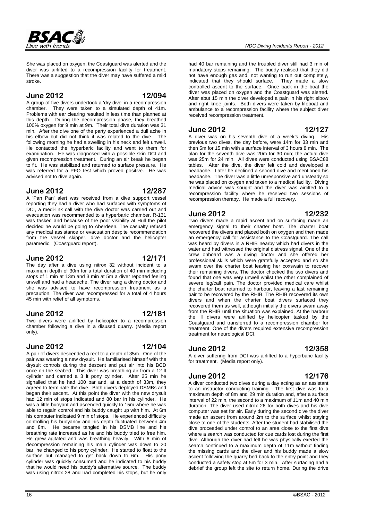# Dive with friends

She was placed on oxygen, the Coastguard was alerted and the diver was airlifted to a recompression facility for treatment. There was a suggestion that the diver may have suffered a mild stroke.

#### **June 2012 12/094**

SAC系

A group of five divers undertook a 'dry dive' in a recompression chamber. They were taken to a simulated depth of 41m. Problems with ear clearing resulted in less time than planned at this depth. During the decompression phase, they breathed 100% oxygen for 9 min at 9m. Their total dive duration was 31 min. After the dive one of the party experienced a dull ache in his elbow but did not think it was related to the dive. The following morning he had a swelling in his neck and felt unwell. He contacted the hyperbaric facility and went to them for examination. He was diagnosed with a possible skin DCI and given recompression treatment. During an air break he began to fit. He was stabilized and returned to surface pressure. He was referred for a PFO test which proved positive. He was advised not to dive again.

#### **June 2012 12/287**

A 'Pan Pan' alert was received from a dive support vessel reporting they had a diver who had surfaced with symptoms of DCI, a medi-link call with the dive doctor was carried out and evacuation was recommended to a hyperbaric chamber. R-131 was tasked and because of the poor visibility at Hull the pilot decided he would be going to Aberdeen. The casualty refused any medical assistance or evacuation despite recommendation from the vessel skipper, dive doctor and the helicopter paramedic. (Coastguard report).

#### **June 2012 12/171**

The day after a dive using nitrox 32 without incident to a maximum depth of 30m for a total duration of 40 min including stops of 1 min at 13m and 3 min at 5m a diver reported feeling unwell and had a headache. The diver rang a diving doctor and she was advised to have recompression treatment as a precaution. The diver was recompressed for a total of 4 hours 45 min with relief of all symptoms.

#### **June 2012 12/181**

Two divers were airlifted by helicopter to a recompression chamber following a dive in a disused quarry. (Media report only).

#### **June 2012 12/104**

A pair of divers descended a reef to a depth of 35m. One of the pair was wearing a new drysuit. He familiarised himself with the drysuit controls during the descent and put air into his BCD once on the seabed. This diver was breathing air from a 12 lt cylinder and carried a 3 lt pony cylinder. After 25 min he signalled that he had 100 bar and, at a depth of 33m, they agreed to terminate the dive. Both divers deployed DSMBs and began their ascent. At this point the diver with the new drysuit had 12 min of stops indicated and 80 bar in his cylinder. He was a little buoyant and ascended quickly to 15m where he was able to regain control and his buddy caught up with him. At 6m his computer indicated 9 min of stops. He experienced difficulty controlling his buoyancy and his depth fluctuated between 4m and 8m. He became tangled in his DSMB line and his breathing rate increased as he and his buddy tried to free him. He grew agitated and was breathing heavily. With 6 min of decompression remaining his main cylinder was down to 20 bar; he changed to his pony cylinder. He started to float to the surface but managed to get back down to 6m. His pony cylinder was quickly consumed and he indicated to his buddy that he would need his buddy's alternative source. The buddy was using nitrox 28 and had completed his stops, but he only

#### *NDC Diving Incidents Report - 2012*

had 40 bar remaining and the troubled diver still had 3 min of mandatory stops remaining. The buddy realised that they did not have enough gas and, not wanting to run out completely, indicated that they should surface. They made a slow controlled ascent to the surface. Once back in the boat the diver was placed on oxygen and the Coastguard was alerted. After abut 15 min the diver developed a pain in his right elbow and right knee joints. Both divers were taken by lifeboat and ambulance to a recompression facility where the subject diver received recompression treatment.

#### **June 2012 12/127**

A diver was on his seventh dive of a week's diving. His previous two dives, the day before, were 14m for 33 min and then 5m for 15 min with a surface interval of 3 hours 8 min. The plan for the seventh dive was 20m for 30 min; the actual dive was 25m for 24 min. All dives were conducted using BSAC88 tables. After the dive, the diver felt cold and developed a headache. Later he declined a second dive and mentioned his headache. The diver was a little unresponsive and unsteady so he was placed on oxygen and taken to a medical facility. Diving medical advice was sought and the diver was airlifted to a recompression facility where he received two sessions of recompression therapy. He made a full recovery.

#### **June 2012 12/232**

Two divers made a rapid ascent and on surfacing made an emergency signal to their charter boat. The charter boat recovered the divers and placed both on oxygen and then made an emergency call for assistance to the Coastguard. The call was heard by divers in a RHIB nearby which had divers in the water and had witnessed the original distress signal. One of the crew onboard was a diving doctor and she offered her professional skills which were gratefully accepted and so she swam over the charter boat leaving her coxswain to recover their remaining divers. The doctor checked the two divers and found that one was very unwell whilst the other complained of severe leg/calf pain. The doctor provided medical care whilst the charter boat returned to harbour, leaving a last remaining pair to be recovered by the RHIB. The RHIB recovered its own divers and when the charter boat divers surfaced they recovered them as well, although initially the divers swam away from the RHIB until the situation was explained. At the harbour the ill divers were airlifted by helicopter tasked by the Coastguard and transferred to a recompression chamber for treatment. One of the divers required extensive recompression treatment for neurological DCI.

#### **June 2012 12/358**

A diver suffering from DCI was airlifted to a hyperbaric facility for treatment. (Media report only).

**June 2012 12/176** A diver conducted two dives during a day acting as an assistant to an instructor conducting training. The first dive was to a maximum depth of 8m and 29 min duration and, after a surface interval of 22 min, the second to a maximum of 11m and 40 min duration. The diver used nitrox 26 for both dives and his dive computer was set for air. Early during the second dive the diver made an ascent from around 2m to the surface whilst staying close to one of the students. After the student had stabilised the dive proceeded under control to an area close to the first dive where a search was conducted for cue cards lost during the first dive. Although the diver had felt he was physically exerted the search continued to a maximum depth of 11m without finding the missing cards and the diver and his buddy made a slow ascent following the quarry bed back to the entry point and they

conducted a safety stop at 5m for 3 min. After surfacing and a debrief the group left the site to return home. During the drive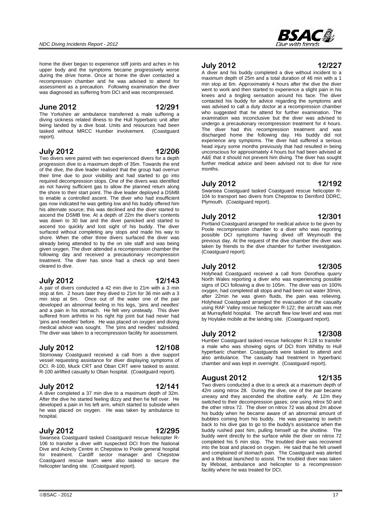home the diver began to experience stiff joints and aches in his upper body and the symptoms became progressively worse during the drive home. Once at home the diver contacted a recompression chamber and he was advised to attend for assessment as a precaution. Following examination the diver was diagnosed as suffering from DCI and was recompressed.

#### **June 2012 12/291**

The Yorkshire air ambulance transferred a male suffering a diving sickness related illness to the Hull hyperbaric unit after being landed by a dive boat. Units and resources had been tasked without MRCC Humber involvement. (Coastguard report).

#### **July 2012 12/206**

Two divers were paired with two experienced divers for a depth progression dive to a maximum depth of 35m. Towards the end of the dive, the dive leader realised that the group had overrun their time due to poor visibility and had started to go into required decompression stops. One of the divers was identified as not having sufficient gas to allow the planned return along the shore to their start point. The dive leader deployed a DSMB to enable a controlled ascent. The diver who had insufficient gas now indicated he was getting low and his buddy offered him his alternate source; this was declined and the diver started to ascend the DSMB line. At a depth of 22m the diver's contents was down to 30 bar and the diver panicked and started to ascend too quickly and lost sight of his buddy. The diver surfaced without completing any stops and made his way to shore. When the other three divers surfaced the diver was already being attended to by the on site staff and was being given oxygen. The diver attended a recompression chamber the following day and received a precautionary recompression treatment. The diver has since had a check up and been cleared to dive.

#### **July 2012 12/143**

A pair of divers conducted a 42 min dive to 21m with a 3 min stop at 6m. 2 hours later they dived to 21m for 36 min with a 3 min stop at 6m. Once out of the water one of the pair developed an abnormal feeling in his legs, 'pins and needles' and a pain in his stomach. He felt very unsteady. This diver suffered from arthritis in his right hip joint but had never had 'pins and needles' before. He was placed on oxygen and diving medical advice was sought. The 'pins and needles' subsided. The diver was taken to a recompression facility for assessment.

### **July 2012 12/108**

Stornoway Coastguard received a call from a dive support vessel requesting assistance for diver displaying symptoms of DCI. R-100, Muck CRT and Oban CRT were tasked to assist. R-100 airlifted casualty to Oban hospital. (Coastguard report).

### **July 2012 12/141**

A diver completed a 37 min dive to a maximum depth of 32m. After the dive he started feeling dizzy and then he fell over. He developed a pain in his left arm, which started to subside when he was placed on oxygen. He was taken by ambulance to hospital.

### **July 2012 12/295**

Swansea Coastguard tasked Coastguard rescue helicopter R-106 to transfer a diver with suspected DCI from the National Dive and Activity Centre in Chepstow to Poole general hospital for treatment. Cardiff sector manager and Chepstow Coastguard rescue team were also tasked to secure the helicopter landing site. (Coastguard report).

**July 2012 12/227**

A diver and his buddy completed a dive without incident to a maximum depth of 25m and a total duration of 46 min with a 1 min stop at 6m. Approximately 4 hours after the dive the diver went to work and then started to experience a slight pain in his knees and a tingling sensation around his face. The diver contacted his buddy for advice regarding the symptoms and was advised to call a duty doctor at a recompression chamber who suggested that he attend for further examination. The examination was inconclusive but the diver was advised to undergo a precautionary recompression treatment for 4 hours. The diver had this recompression treatment and was discharged home the following day. His buddy did not experience any symptoms. The diver had suffered a serious head injury some months previously that had resulted in being unconscious for approximately 4 hours but had been advised at A&E that it should not prevent him diving. The diver has sought further medical advice and been advised not to dive for nine months.

#### **July 2012 12/192**

Swansea Coastguard tasked Coastguard rescue helicopter R-104 to transport two divers from Chepstow to Derriford DDRC, Plymouth. (Coastguard report).

#### **July 2012 12/301**

Portland Coastguard arranged for medical advice to be given by Poole recompression chamber to a diver who was reporting possible DCI symptoms having dived off Weymouth the previous day. At the request of the dive chamber the diver was taken by friends to the dive chamber for further investigation. (Coastguard report).

### **July 2012 12/305**

Holyhead Coastguard received a call from Dorothea quarry North Wales reporting a diver who was experiencing possible signs of DCI following a dive to 105m. The diver was on 100% oxygen, had completed all stops and had been out water 30min, after 22min he was given fluids, the pain was relieving. Holyhead Coastguard arranged the evacuation of the casualty using RAF Valley rescue helicopter R-122; the aircraft was met at Murrayfield hospital. The aircraft flew low level and was met by Hoylake mobile at the landing site. (Coastguard report).

#### **July 2012 12/308**

Humber Coastguard tasked rescue helicopter R-128 to transfer a male who was showing signs of DCI from Whitby to Hull hyperbaric chamber. Coastguards were tasked to attend and also ambulance. The casualty had treatment in hyperbaric chamber and was kept in overnight. (Coastguard report).

#### **August 2012 12/135**

Two divers conducted a dive to a wreck at a maximum depth of 42m using nitrox 28. During the dive, one of the pair became uneasy and they ascended the shotline early. At 12m they switched to their decompression gases; one using nitrox 50 and the other nitrox 72. The diver on nitrox 72 was about 2m above his buddy when he became aware of an abnormal amount of bubbles coming from his buddy. He was preparing to switch back to his dive gas to go to the buddy's assistance when the buddy rushed past him, pulling himself up the shotline. The buddy went directly to the surface while the diver on nitrox 72 completed his 5 min stop. The troubled diver was recovered into the boat and placed on oxygen. He said that he felt unwell and complained of stomach pain. The Coastguard was alerted and a lifeboat launched to assist. The troubled diver was taken by lifeboat, ambulance and helicopter to a recompression facility where he was treated for DCI.

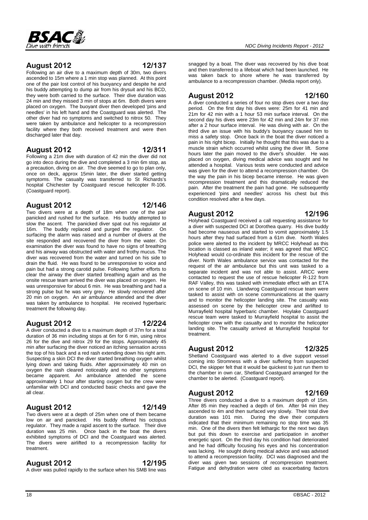

### **August 2012 12/137**

Following an air dive to a maximum depth of 30m, two divers ascended to 15m where a 1 min stop was planned. At this point one of the pair lost control of his buoyancy and despite he and his buddy attempting to dump air from his drysuit and his BCD, they were both carried to the surface. Their dive duration was 24 min and they missed 3 min of stops at 6m. Both divers were placed on oxygen. The buoyant diver then developed 'pins and needles' in his left hand and the Coastguard was alerted. The other diver had no symptoms and switched to nitrox 50. They were taken by ambulance and helicopter to a recompression facility where they both received treatment and were then discharged later that day.

#### **August 2012 12/311**

Following a 21m dive with duration of 42 min the diver did not go into deco during the dive and completed a 3 min 6m stop, as a precaution, diving on air. The dive seemed to go to plan only, once on deck, approx 15min later, the diver started getting symptoms. The casualty was transferred to St Richards's hospital Chichester by Coastguard rescue helicopter R-106. (Coastguard report).

### **August 2012 12/146**

Two divers were at a depth of 18m when one of the pair panicked and rushed for the surface. His buddy attempted to slow the ascent. The panicked diver spat out his regulator at 16m. The buddy replaced and purged the regulator. On surfacing the alarm was raised and a number of divers at the site responded and recovered the diver from the water. On examination the diver was found to have no signs of breathing and his airway was obstructed with water and frothy mucus. The diver was recovered from the water and turned on his side to drain the fluid. He was found to be unresponsive to voice and pain but had a strong carotid pulse. Following further efforts to clear the airway the diver started breathing again and as the onsite rescue team arrived the diver was placed on oxygen. He was unresponsive for about 6 min. He was breathing and had a strong pulse but he was very grey. He slowly recovered after 20 min on oxygen. An air ambulance attended and the diver was taken by ambulance to hospital. He received hyperbaric treatment the following day.

### **August 2012 12/224**

A diver conducted a dive to a maximum depth of 37m for a total duration of 36 min including stops at 6m for 6 min, using nitrox 26 for the dive and nitrox 29 for the stops. Approximately 45 min after surfacing the diver noticed an itching sensation across the top of his back and a red rash extending down his right arm. Suspecting a skin DCI the diver started breathing oxygen whilst lying down and taking fluids. After approximately 40 min on oxygen the rash cleared noticeably and no other symptoms became apparent. An ambulance attended the scene approximately 1 hour after starting oxygen but the crew were unfamiliar with DCI and conducted basic checks and gave the all clear.

# **August 2012 12/149**

Two divers were at a depth of 25m when one of them became low on air and panicked. His buddy offered his octopus regulator. They made a rapid ascent to the surface. Their dive duration was 25 min. Once back in the boat the divers exhibited symptoms of DCI and the Coastguard was alerted. The divers were airlifted to a recompression facility for treatment.

# **August 2012 12/195**

A diver was pulled rapidly to the surface when his SMB line was

snagged by a boat. The diver was recovered by his dive boat and then transferred to a lifeboat which had been launched. He was taken back to shore where he was transferred by ambulance to a recompression chamber. (Media report only).

### **August 2012 12/160**

A diver conducted a series of four no stop dives over a two day period. On the first day his dives were: 25m for 41 min and 21m for 42 min with a 1 hour 53 min surface interval. On the second day his dives were 23m for 42 min and 24m for 37 min after a 2 hour surface interval. He was diving with air. On the third dive an issue with his buddy's buoyancy caused him to miss a safety stop. Once back in the boat the diver noticed a pain in his right bicep. Initially he thought that this was due to a muscle strain which occurred whilst using the diver lift. Some hours later the pain moved to the diver's shoulder. He was placed on oxygen, diving medical advice was sought and he attended a hospital. Various tests were conducted and advice was given for the diver to attend a recompression chamber. On the way the pain in his bicep became intense. He was given recompression treatment and this dramatically reduced the pain. After the treatment the pain had gone. He subsequently experienced 'pins and needles' across his chest but this condition resolved after a few days.

### **August 2012 12/196**

Holyhead Coastguard received a call requesting assistance for a diver with suspected DCI at Dorothea quarry. His dive buddy had become nauseous and started to vomit approximately 1.5 hours after they had surfaced from a 61m dive. North Wales police were alerted to the incident by MRCC Holyhead as this location is classed as inland water; it was agreed that MRCC Holyhead would co-ordinate this incident for the rescue of the diver. North Wales ambulance service was contacted for the request of the air ambulance but this unit was tasked to a separate incident and was not able to assist. ARCC were contacted to request the use of rescue helicopter R-122 from RAF Valley, this was tasked with immediate effect with an ETA on scene of 10 min. Llandwrog Coastguard rescue team were tasked to assist with on scene communications at the quarry and to monitor the helicopter landing site. The casualty was assessed on scene by the helicopter crew and airlifted to Murrayfield hospital hyperbaric chamber. Hoylake Coastguard rescue team were tasked to Murrayfield hospital to assist the helicopter crew with the casualty and to monitor the helicopter landing site. The casualty arrived at Murrayfield hospital for treatment.

### **August 2012 12/325**

Shetland Coastguard was alerted to a dive support vessel coming into Stromness with a diver suffering from suspected DCI, the skipper felt that it would be quickest to just run them to the chamber in own car, Shetland Coastguard arranged for the chamber to be alerted. (Coastguard report).

### **August 2012 12/169**

Three divers conducted a dive to a maximum depth of 15m. After 85 min they reached a depth of 6m. After 94 min they ascended to 4m and then surfaced very slowly. Their total dive duration was 101 min. During the dive their computers indicated that their minimum remaining no stop time was 35 min. One of the divers then felt lethargic for the next two days but put this down to exercise and participation in another energetic sport. On the third day his condition had deteriorated and he had difficulty focusing his eyes and his concentration was lacking. He sought diving medical advice and was advised to attend a recompression facility. DCI was diagnosed and the diver was given two sessions of recompression treatment. Fatigue and dehydration were cited as exacerbating factors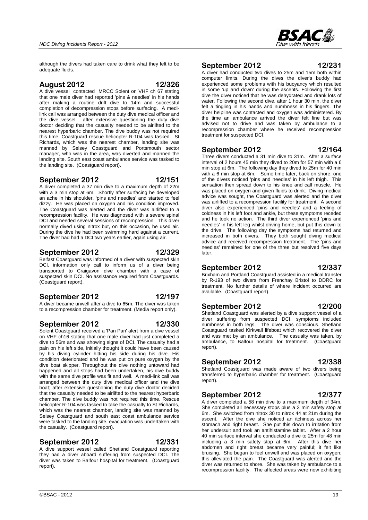although the divers had taken care to drink what they felt to be adequate fluids.

#### **August 2012 12/326**

A dive vessel contacted MRCC Solent on VHF ch 67 stating that one male diver had reported 'pins & needles' in his hands after making a routine drift dive to 14m and successful completion of decompression stops before surfacing. A medilink call was arranged between the duty dive medical officer and the dive vessel, after extensive questioning the duty dive doctor deciding that the casualty needed to be airlifted to the nearest hyperbaric chamber. The dive buddy was not required this time. Coastguard rescue helicopter R-104 was tasked. St Richards, which was the nearest chamber, landing site was manned by Selsey Coastguard and Portsmouth sector manager, who was in the area, was diverted and manned the landing site. South east coast ambulance service was tasked to the landing site. (Coastguard report).

#### **September 2012 12/151**

A diver completed a 37 min dive to a maximum depth of 22m with a 3 min stop at 6m. Shortly after surfacing he developed an ache in his shoulder, 'pins and needles' and started to feel dizzy. He was placed on oxygen and his condition improved. The Coastguard was alerted and the diver was airlifted to a recompression facility. He was diagnosed with a severe spinal DCI and needed several sessions of recompression. This diver normally dived using nitrox but, on this occasion, he used air. During the dive he had been swimming hard against a current. The diver had had a DCI two years earlier, again using air.

#### **September 2012 12/329**

Belfast Coastguard was informed of a diver with suspected skin DCI, information only call to inform us of a diver being transported to Craigavon dive chamber with a case of suspected skin DCI. No assistance required from Coastguards. (Coastguard report).

#### **September 2012 12/197**

A diver became unwell after a dive to 65m. The diver was taken to a recompression chamber for treatment. (Media report only).

#### **September 2012 12/330**

Solent Coastguard received a 'Pan Pan' alert from a dive vessel on VHF ch16 stating that one male diver had just completed a dive to 56m and was showing signs of DCI. The casualty had a pain on his left side, initially thought it could have been caused by his diving cylinder hitting his side during his dive. His condition deteriorated and he was put on pure oxygen by the dive boat skipper. Throughout the dive nothing untoward had happened and all stops had been undertaken, his dive buddy with the same dive profile was fit and well. A medi-link call was arranged between the duty dive medical officer and the dive boat; after extensive questioning the duty dive doctor decided that the casualty needed to be airlifted to the nearest hyperbaric chamber. The dive buddy was not required this time. Rescue helicopter R-104 was tasked to take the casualty to St Richards, which was the nearest chamber, landing site was manned by Selsey Coastguard and south east coast ambulance service were tasked to the landing site, evacuation was undertaken with the casualty. (Coastguard report).

#### **September 2012 12/331**

A dive support vessel called Shetland Coastguard reporting they had a diver aboard suffering from suspected DCI. The diver was taken to Balfour hospital for treatment. (Coastguard report).

#### **September 2012 12/231**

A diver had conducted two dives to 25m and 15m both within computer limits. During the dives the diver's buddy had experienced some problems with his buoyancy which resulted in some 'up and down' during the ascents. Following the first dive the diver noticed that he was dehydrated and drank lots of water. Following the second dive, after 1 hour 30 min, the diver felt a tingling in his hands and numbness in his fingers. The diver helpline was contacted and oxygen was administered. By the time an ambulance arrived the diver felt fine but was advised not to drive and was taken by ambulance to a recompression chamber where he received recompression treatment for suspected DCI.

#### **September 2012 12/164**

Three divers conducted a 31 min dive to 31m. After a surface interval of 2 hours 45 min they dived to 20m for 57 min with a 6 min stop at 6m. The following day they dived to 25m for 40 min with a 6 min stop at 6m. Some time later, back on shore, one of the divers noticed 'pins and needles' in his left thigh. This sensation then spread down to his knee and calf muscle. He was placed on oxygen and given fluids to drink. Diving medical advice was sought, the Coastguard was alerted and the diver was airlifted to a recompression facility for treatment. A second diver also experienced 'pins and needles' and a feeling of coldness in his left foot and ankle, but these symptoms receded and he took no action. The third diver experienced 'pins and needles' in his left leg whilst driving home, but put this down to the drive. The following day the symptoms had returned and increased in both divers. They both sought diving medical advice and received recompression treatment. The 'pins and needles' remained for one of the three but resolved five days later.

#### **September 2012 12/337**

Brixham and Portland Coastguard assisted in a medical transfer by R-193 of two divers from Frenchay Bristol to DDRC for treatment. No further details of where incident occurred are available. (Coastguard report).

#### **September 2012 12/200**

Shetland Coastguard was alerted by a dive support vessel of a diver suffering from suspected DCI, symptoms included numbness in both legs. The diver was conscious. Shetland Coastguard tasked Kirkwall lifeboat which recovered the diver and was met by an ambulance. The casualty was taken, by ambulance, to Balfour hospital for treatment. (Coastguard report).

#### **September 2012 12/338**

Shetland Coastguard was made aware of two divers being transferred to hyperbaric chamber for treatment. (Coastguard report).

### **September 2012 12/377**

A diver completed a 58 min dive to a maximum depth of 34m. She completed all necessary stops plus a 3 min safety stop at 6m. She switched from nitrox 30 to nitrox 44 at 21m during the ascent. After the dive she noticed an itchiness across her stomach and right breast. She put this down to irritation from her undersuit and took an antihistamine tablet. After a 2 hour 40 min surface interval she conducted a dive to 25m for 48 min including a 3 min safety stop at 6m. After this dive her abdomen and right breast became very painful; it felt like bruising. She began to feel unwell and was placed on oxygen; this alleviated the pain. The Coastguard was alerted and the diver was returned to shore. She was taken by ambulance to a recompression facility. The affected areas were now exhibiting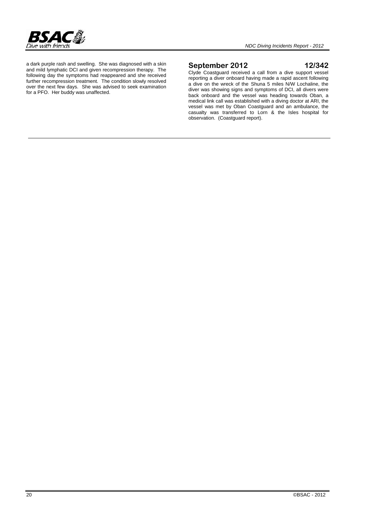

a dark purple rash and swelling. She was diagnosed with a skin and mild lymphatic DCI and given recompression therapy. The following day the symptoms had reappeared and she received further recompression treatment. The condition slowly resolved over the next few days. She was advised to seek examination for a PFO. Her buddy was unaffected.

#### **September 2012 12/342**

Clyde Coastguard received a call from a dive support vessel reporting a diver onboard having made a rapid ascent following a dive on the wreck of the Shuna 5 miles N/W Lochaline, the diver was showing signs and symptoms of DCI, all divers were back onboard and the vessel was heading towards Oban, a medical link call was established with a diving doctor at ARI, the vessel was met by Oban Coastguard and an ambulance, the casualty was transferred to Lorn & the Isles hospital for observation. (Coastguard report).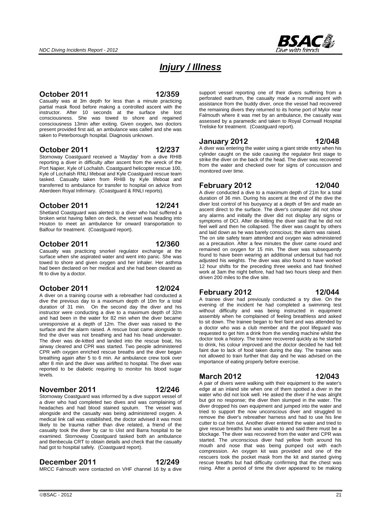

# *Injury / Illness*

### **October 2011 12/359**

Casualty was at 3m depth for less than a minute practicing partial mask flood before making a controlled ascent with the instructor. After 10 seconds at the surface she lost consciousness. She was towed to shore and regained consciousness 13min after exiting. Given oxygen, two doctors present provided first aid, an ambulance was called and she was taken to Peterborough hospital. Diagnosis unknown.

#### **October 2011 12/237**

Stornoway Coastguard received a 'Mayday' from a dive RHIB reporting a diver in difficulty after ascent from the wreck of the Port Napier, Kyle of Lochalsh. Coastguard helicopter rescue 100, Kyle of Lochalsh RNLI lifeboat and Kyle Coastguard rescue team tasked. Casualty taken from RHIB by Kyle lifeboat and transferred to ambulance for transfer to hospital on advice from Aberdeen Royal Infirmary. (Coastguard & RNLI reports).

### **October 2011 12/241**

Shetland Coastguard was alerted to a diver who had suffered a broken wrist having fallen on deck, the vessel was heading into Houton to meet an ambulance for onward transportation to Balfour for treatment. (Coastguard report).

### **October 2011 12/360**

Casualty was practicing snorkel regulator exchange at the surface when she aspirated water and went into panic. She was towed to shore and given oxygen and her inhaler. Her asthma had been declared on her medical and she had been cleared as fit to dive by a doctor.

### **October 2011 12/024**

A diver on a training course with a rebreather had conducted a dive the previous day to a maximum depth of 10m for a total duration of 31 min. On the second day the diver and his instructor were conducting a dive to a maximum depth of 32m and had been in the water for 82 min when the diver became unresponsive at a depth of 12m. The diver was raised to the surface and the alarm raised. A rescue boat came alongside to find the diver was not breathing and had his head underwater. The diver was de-kitted and landed into the rescue boat, his airway cleared and CPR was started. Two people administered CPR with oxygen enriched rescue breaths and the diver began breathing again after 5 to 6 min. Air ambulance crew took over after 8 min and the diver was airlifted to hospital. The diver was reported to be diabetic requiring to monitor his blood sugar levels.

#### **November 2011 12/246**

Stornoway Coastguard was informed by a dive support vessel of a diver who had completed two dives and was complaining of headaches and had blood stained sputum. The vessel was alongside and the casualty was being administered oxygen. A medical link call was established, the doctor advised it was most likely to be trauma rather than dive related, a friend of the casualty took the diver by car to Uist and Barra hospital to be examined. Stornoway Coastguard tasked both an ambulance and Benbecula CRT to obtain details and check that the casualty had got to hospital safely. (Coastguard report).

#### **December 2011 12/249**

MRCC Falmouth were contacted on VHF channel 16 by a dive

support vessel reporting one of their divers suffering from a perforated eardrum, the casualty made a normal ascent with assistance from the buddy diver, once the vessel had recovered the remaining divers they returned to its home port of Mylor near Falmouth where it was met by an ambulance, the casualty was assessed by a paramedic and taken to Royal Cornwall Hospital Treliske for treatment. (Coastguard report).

#### **January 2012 12/048**

A diver was entering the water using a giant stride entry when his cylinder caught on the side causing the regulator first stage to strike the diver on the back of the head. The diver was recovered from the water and checked over for signs of concussion and monitored over time.

#### **February 2012 12/040**

A diver conducted a dive to a maximum depth of 21m for a total duration of 36 min. During his ascent at the end of the dive the diver lost control of his buoyancy at a depth of 9m and made an ascent direct to the surface. The diver's computer did not show any alarms and initially the diver did not display any signs or symptoms of DCI. After de-kitting the diver said that he did not feel well and then he collapsed. The diver was caught by others and laid down as he was barely conscious; the alarm was raised. The on site safety team attended and oxygen was administered as a precaution. After a few minutes the diver came round and remained on oxygen for 15 min. The diver was subsequently found to have been wearing an additional undersuit but had not adjusted his weights. The diver was also found to have worked 12 hour shifts for the preceding three weeks and had finished work at 3am the night before, had had two hours sleep and then driven 200 miles to the dive site.

### **February 2012 12/044**

A trainee diver had previously conducted a try dive. On the evening of the incident he had completed a swimming test without difficulty and was being instructed in equipment assembly when he complained of feeling breathless and asked to sit down. The trainee began to feel faint and was attended by a doctor who was a club member and the pool lifeguard was requested to get him a drink from the vending machine whilst the doctor took a history. The trainee recovered quickly as he started to drink, his colour improved and the doctor decided he had felt faint due to lack of food taken during the day. The trainee was not allowed to train further that day and he was advised on the importance of eating properly before exercise.

#### **March 2012 12/043**

A pair of divers were walking with their equipment to the water's edge at an inland site when one of them spotted a diver in the water who did not look well. He asked the diver if he was alright but got no response; the diver then slumped in the water. The diver dropped his own equipment and jumped into the water and tried to support the now unconscious diver and struggled to remove the diver's rebreather harness and had to use his line cutter to cut him out. Another diver entered the water and tried to give rescue breaths but was unable to and said there must be a blockage. The diver was recovered from the water and CPR was started. The unconscious diver had yellow froth around his mouth and nose that was being pumped out with each compression. An oxygen kit was provided and one of the rescuers took the pocket mask from the kit and started giving rescue breaths but had difficulty confirming that the chest was rising. After a period of time the diver appeared to be making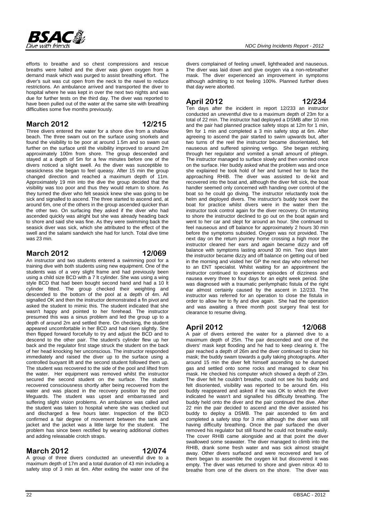

efforts to breathe and so chest compressions and rescue

breaths were halted and the diver was given oxygen from a demand mask which was purged to assist breathing effort. The diver's suit was cut open from the neck to the navel to reduce restrictions. An ambulance arrived and transported the diver to hospital where he was kept in over the next two nights and was due for further tests on the third day. The diver was reported to have been pulled out of the water at the same site with breathing difficulties some five months previously.

### **March 2012 12/215**

Three divers entered the water for a shore dive from a shallow beach. The three swam out on the surface using snorkels and found the visibility to be poor at around 1.5m and so swam out further on the surface until the visibility improved to around 2m approximately 100m from shore. The group descended and stayed at a depth of 5m for a few minutes before one of the divers noticed a slight swell. As the diver was susceptible to seasickness she began to feel queasy. After 15 min the group changed direction and reached a maximum depth of 11m. Approximately 19 min into the dive the group decided that the visibility was too poor and thus they would return to shore. As they turned the diver who felt seasick knew she was going to be sick and signalled to ascend. The three started to ascend and, at around 6m, one of the others in the group ascended quicker than the other two. On surfacing they asked if the diver who had ascended quickly was alright but she was already heading back to shore and said she was fine. As they were swimming back the seasick diver was sick, which she attributed to the effect of the swell and the salami sandwich she had for lunch. Total dive time was 23 min.

#### **March 2012 12/069**

An instructor and two students entered a swimming pool for a training dive with both students using new equipment. One of the students was of a very slight frame and had previously been using a child size BCD with a 7 lt cylinder. She was using a wing style BCD that had been bought second hand and had a 10 lt cylinder fitted. The group checked their weighting and descended to the bottom of the pool at a depth of 4m. All signalled OK and then the instructor demonstrated a fin pivot and asked the student to mimic this. The student indicated that she wasn't happy and pointed to her forehead. The instructor presumed this was a sinus problem and led the group up to a depth of around 2m and settled there. On checking, the student appeared uncomfortable in her BCD and had risen slightly. She then flipped forward forcefully to try and adjust the BCD and to descend to the other pair. The student's cylinder flew up her back and the regulator first stage struck the student on the back of her head knocking her unconscious. The instructor responded immediately and raised the diver up to the surface using a controlled buoyant lift and the second student followed them up. The student was recovered to the side of the pool and lifted from the water. Her equipment was removed whilst the instructor secured the second student on the surface. The student recovered consciousness shortly after being recovered from the water and was placed in the recovery position by the pool lifeguards. The student was upset and embarrassed and suffering slight vision problems. An ambulance was called and the student was taken to hospital where she was checked out and discharged a few hours later. Inspection of the BCD confirmed a fair degree of movement between the tank and jacket and the jacket was a little large for the student. The problem has since been rectified by wearing additional clothes and adding releasable crotch straps.

### **March 2012 12/074**

A group of three divers conducted an uneventful dive to a maximum depth of 17m and a total duration of 43 min including a safety stop of 3 min at 6m. After exiting the water one of the

divers complained of feeling unwell, lightheaded and nauseous. The diver was laid down and give oxygen via a non-rebreather mask. The diver experienced an improvement in symptoms although admitting to not feeling 100%. Planned further dives that day were aborted.

### **April 2012 12/234**

Ten days after the incident in report 12/233 an instructor conducted an uneventful dive to a maximum depth of 23m for a total of 22 min. The instructor had deployed a DSMB after 10 min and the pair had planned practice safety stops at 12m for 1 min, 9m for 1 min and completed a 3 min safety stop at 6m. After agreeing to ascend the pair started to swim upwards but, after two turns of the reel the instructor became disorientated, felt nauseous and suffered spinning vertigo. She began retching through her regulator and vomited a small amount of phlegm. The instructor managed to surface slowly and then vomited once on the surface. Her buddy asked what the problem was and once she explained he took hold of her and turned her to face the approaching RHIB. The diver was assisted to de-kit and recovered into the boat and, although the diver felt sick, the boat handler seemed only concerned with handing over control of the boat so he could go diving. The instructor reluctantly took the helm and deployed divers. The instructor's buddy took over the boat for practice whilst divers were in the water then the instructor took control again for the diver recovery. On returning to shore the instructor declined to go out on the boat again and went to her car and slept for around an hour. She continued to feel nauseous and off balance for approximately 2 hours 30 min before the symptoms subsided. Oxygen was not provided. The next day on the return journey home crossing a high moor the instructor cleared her ears and again became dizzy and off balance with symptoms lasting around 30 min. Two days later the instructor became dizzy and off balance on getting out of bed in the morning and visited her GP the next day who referred her to an ENT specialist. Whilst waiting for an appointment the instructor continued to experience episodes of dizziness and nausea every three to four days for an eight week period. She was diagnosed with a traumatic perilymphatic fistula of the right ear almost certainly caused by the ascent in 12/233. The instructor was referred for an operation to close the fistula in order to allow her to fly and dive again. She had the operation and was awaiting a three month post surgery final test for clearance to resume diving.

### **April 2012 12/068**

A pair of divers entered the water for a planned dive to a maximum depth of 25m. The pair descended and one of the divers' mask kept flooding and he had to keep clearing it. The pair reached a depth of 26m and the diver continued to clear his mask; the buddy swam towards a gully taking photographs. After around 15 min the diver felt himself ascending so he dumped gas and settled onto some rocks and managed to clear his mask. He checked his computer which showed a depth of 23m. The diver felt he couldn't breathe, could not see his buddy and felt disoriented, visibility was reported to be around 6m. His buddy reappeared and asked if he was OK to which the diver indicated he wasn't and signalled his difficulty breathing. The buddy held onto the diver and the pair continued the dive. After 22 min the pair decided to ascend and the diver assisted his buddy to deploy a DSMB. The pair ascended to 6m and completed a safety stop for 3 min although the diver was still having difficulty breathing. Once the pair surfaced the diver removed his regulator but still found he could not breathe easily. The cover RHIB came alongside and at that point the diver swallowed some seawater. The diver managed to climb into the RHIB, drank some fresh water and was sick almost straight away. Other divers surfaced and were recovered and two of them began to assemble the oxygen kit but discovered it was empty. The diver was returned to shore and given nitrox 40 to breathe from one of the divers on the shore. The diver was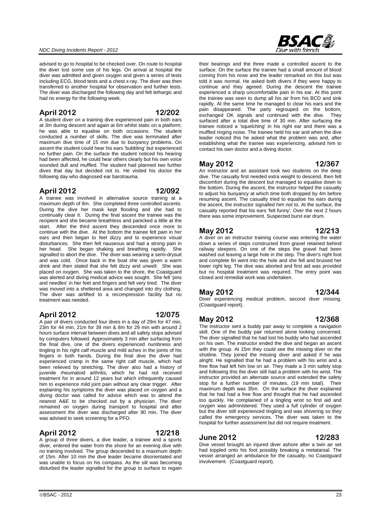#### diver was admitted and given oxygen and given a series of tests including ECG, blood tests and a chest x-ray. The diver was then transferred to another hospital for observation and further tests.

*NDC Diving Incidents Report - 2012* 

had no energy for the following week.

#### **April 2012 12/202**

A student diver on a training dive experienced pain in both ears at 3m during descent and again at 6m whilst static on a platform; he was able to equalise on both occasions. The student conducted a number of skills. The dive was terminated after maximum dive time of 15 min due to buoyancy problems. On ascent the student could hear his ears 'bubbling' but experienced no further pain. On the surface the student noticed his hearing had been affected, he could hear others clearly but his own voice sounded dull and muffled. The student had planned two further dives that day but decided not to. He visited his doctor the following day who diagnosed ear barotrauma.

advised to go to hospital to be checked over. On route to hospital the diver lost some use of his legs. On arrival at hospital the

The diver was discharged the following day and felt lethargic and

#### **April 2012 12/092**

A trainee was involved in alternative source training at a maximum depth of 8m. She completed three controlled ascents. During the dive her mask kept flooding and she had to continually clear it. During the final ascent the trainee was the recipient and she became breathless and panicked a little at the start. After the third ascent they descended once more to continue with the dive. At the bottom the trainee felt pain in her ears and then began to feel dizzy and to experience visual disturbances. She then felt nauseous and had a strong pain in her head. She began shaking and breathing rapidly. She signalled to abort the dive. The diver was wearing a semi-drysuit and was cold. Once back in the boat she was given a warm drink and then stated that she felt dizzy and unwell. She was placed on oxygen. She was taken to the shore, the Coastguard was alerted and diving medical advice was sought. She felt 'pins and needles' in her feet and fingers and felt very tired. The diver was moved into a sheltered area and changed into dry clothing. The diver was airlifted to a recompression facility but no treatment was needed.

#### **April 2012 12/075**

A pair of divers conducted four dives in a day of 29m for 47 min, 23m for 44 min, 21m for 39 min & 8m for 29 min with around 2 hours surface interval between dives and all safety stops advised by computers followed. Approximately 3 min after surfacing from the final dive, one of the divers experienced numbness and tingling in his right calf muscle and mild aches in the joints of his fingers in both hands. During the final dive the diver had experienced cramp in the same right calf muscle, which had been relieved by stretching. The diver also had a history of juvenile rheumatoid arthritis, which he had not received treatment for in around 12 years but which infrequently caused him to experience mild joint pain without any clear trigger. After explaining his symptoms the diver was placed on oxygen and a diving doctor was called for advice which was to attend the nearest A&E to be checked out by a physician. The diver remained on oxygen during transport to hospital and after assessment the diver was discharged after 90 min. The diver was advised to seek screening for a PFO.

#### **April 2012 12/218**

A group of three divers, a dive leader, a trainee and a sports diver, entered the water from the shore for an evening dive with no training involved. The group descended to a maximum depth of 15m. After 10 min the dive leader became disorientated and was unable to focus on his compass. As the silt was becoming disturbed the leader signalled for the group to surface to regain

# **BSAC&**

their bearings and the three made a controlled ascent to the surface. On the surface the trainee had a small amount of blood coming from his nose and the leader remarked on this but was told it was normal. He asked both divers if they were happy to continue and they agreed. During the descent the trainee experienced a sharp uncomfortable pain in his ear. At this point the trainee was seen to dump all his air from his BCD and sink rapidly. At the same time he managed to clear his ears and the pain disappeared. The party regrouped on the bottom, exchanged OK signals and continued with the dive. They surfaced after a total dive time of 30 min. After surfacing the trainee noticed a 'squelching' in his right ear and there was a muffled ringing noise. The trainee held his ear and when the dive leader noticed this he asked what the problem was and, after establishing what the trainee was experiencing, advised him to contact his own doctor and a diving doctor.

#### **May 2012 12/367**

An instructor and an assistant took two students on the deep dive. The casualty first needed extra weight to descend, then felt discomfort during the descent but managed to equalise down to the bottom. During the ascent, the instructor helped the casualty to adjust his buoyancy at which time both dropped by 4m before resuming ascent. The casualty tried to equalise his ears during the ascent, the instructor signalled him not to. At the surface, the casualty reported that his ears 'felt funny'. Over the next 2 hours there was some improvement. Suspected burst ear drum.

#### **May 2012 12/213**

A diver on an instructor training course was entering the water down a series of steps constructed from gravel retained behind railway sleepers. On one of the steps the gravel had been washed out leaving a large hole in the step. The diver's right foot and complete fin went into the hole and she fell and bruised her lower right leg. The dive was aborted and first aid was provided but no hospital treatment was required. The entry point was closed and remedial work was undertaken.

#### **May 2012 12/344**

Diver experiencing medical problem, second diver missing. (Coastguard report).

#### **May 2012 12/368**

The instructor sent a buddy pair away to complete a navigation skill. One of the buddy pair returned alone looking concerned. The diver signalled that he had lost his buddy who had ascended on his own. The instructor ended the dive and began an ascent with the group. At 15m they could see the missing diver on the shotline. They joined the missing diver and asked if he was alright. He signalled that he had a problem with his wrist and a free flow had left him low on air. They made a 3 min safety stop and following this the diver still had a problem with his wrist. The instructor provided an alternate source and extended the safety stop for a further number of minutes. (19 min total). Their maximum depth was 35m. On the surface the diver explained that he had had a free flow and thought that he had ascended too quickly. He complained of a tingling wrist so first aid and oxygen was administered. They used a full cylinder of oxygen but the diver still experienced tingling and was shivering so they called the emergency services. The diver was taken to the hospital for further assessment but did not require treatment.

#### **June 2012 12/283**

Dive vessel brought an injured diver ashore after a twin air set had toppled onto his foot possibly breaking a metatarsal. The vessel arranged an ambulance for the casualty, no Coastguard involvement. (Coastguard report).

#### $\odot$ BSAC - 2012  $\ddot{\hspace{1cm}}$  23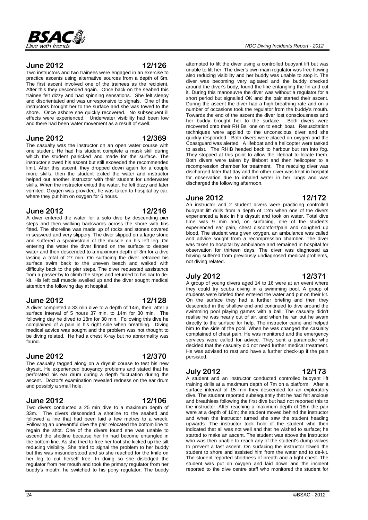

#### **June 2012 12/126**

Two instructors and two trainees were engaged in an exercise to practice ascents using alternative sources from a depth of 6m. The first ascent involved one of the trainees as the recipient. After this they descended again. Once back on the seabed this trainee felt dizzy and had spinning sensations. She felt sleepy and disorientated and was unresponsive to signals. One of the instructors brought her to the surface and she was towed to the shore. Once ashore she quickly recovered. No subsequent ill effects were experienced. Underwater visibility had been low and there had been water movement as a result of swell.

#### **June 2012 12/369**

The casualty was the instructor on an open water course with one student. He had his student complete a mask skill during which the student panicked and made for the surface. The instructor slowed his ascent but still exceeded the recommended limit. After this ascent, they dropped down again for a couple more skills, then the student exited the water and instructor helped out another instructor with their student for underwater skills. When the instructor exited the water, he felt dizzy and later vomited. Oxygen was provided, he was taken to hospital by car, where they put him on oxygen for 6 hours.

#### **June 2012 12/216**

A diver entered the water for a solo dive by descending pier steps and then walking backwards across the shore with fins fitted. The shoreline was made up of rocks and stones covered in seaweed and very slippery. The diver slipped on a large stone and suffered a sprain/strain of the muscle on his left leg. On entering the water the diver finned on the surface to deeper water and then descended to a maximum depth of 3m for a dive lasting a total of 27 min. On surfacing the diver retraced his surface swim back to the uneven beach and walked with difficulty back to the pier steps. The diver requested assistance from a passer-by to climb the steps and returned to his car to dekit. His left calf muscle swelled up and the diver sought medical attention the following day at hospital.

#### **June 2012 12/128**

A diver completed a 33 min dive to a depth of 14m, then, after a surface interval of 5 hours 37 min, to 14m for 30 min. The following day he dived to 18m for 30 min. Following this dive he complained of a pain in his right side when breathing. Diving medical advice was sought and the problem was not thought to be diving related. He had a chest X-ray but no abnormality was found.

### **June 2012 12/370**

The casualty tagged along on a drysuit course to test his new drysuit. He experienced buoyancy problems and stated that he perforated his ear drum during a depth fluctuation during the ascent. Doctor's examination revealed redness on the ear drum and possibly a small hole.

#### **June 2012 12/106**

Two divers conducted a 25 min dive to a maximum depth of 33m. The divers descended a shotline to the seabed and followed a line that had been laid a few metres to a wreck. Following an uneventful dive the pair relocated the bottom line to regain the shot. One of the divers found she was unable to ascend the shotline because her fin had become entangled in the bottom line. As she tried to free her foot she kicked up the silt reducing visibility. She tried to signal the problem to her buddy but this was misunderstood and so she reached for the knife on her leg to cut herself free. In doing so she dislodged the regulator from her mouth and took the primary regulator from her buddy's mouth; he switched to his pony regulator. The buddy

attempted to lift the diver using a controlled buoyant lift but was unable to lift her. The diver's own main regulator was free flowing also reducing visibility and her buddy was unable to stop it. The diver was becoming very agitated and the buddy checked around the diver's body, found the line entangling the fin and cut it. During this manoeuvre the diver was without a regulator for a short period but signalled OK and the pair started their ascent. During the ascent the diver had a high breathing rate and on a number of occasions took the regulator from the buddy's mouth. Towards the end of the ascent the diver lost consciousness and her buddy brought her to the surface. Both divers were recovered onto their RHIBs, one on to each boat. Resuscitation techniques were applied to the unconscious diver and she quickly responded. Both divers were placed on oxygen and the Coastguard was alerted. A lifeboat and a helicopter were tasked to assist. The RHIB headed back to harbour but ran into fog. They stopped at this point to allow the lifeboat to locate them. Both divers were taken by lifeboat and then helicopter to a recompression chamber for treatment. The rescuing diver was discharged later that day and the other diver was kept in hospital for observation due to inhaled water in her lungs and was discharged the following afternoon.

#### **June 2012 12/172**

An instructor and 2 student divers were practicing controlled buoyant lift drills from a depth of 12m when one of the divers experienced a leak in his drysuit and took on water. Total dive time was 9 min and, on surfacing, one of the students experienced ear pain, chest discomfort/pain and coughed up blood. The student was given oxygen, an ambulance was called and advice sought from a recompression chamber. The diver was taken to hospital by ambulance and remained in hospital for observation for thirteen days. The diver was diagnosed as having suffered from previously undiagnosed medical problems, not diving related.

### **July 2012 12/371**

A group of young divers aged 14 to 16 were at an event where they could try scuba diving in a swimming pool. A group of students were briefed then entered the water and put on their kit. On the surface they had a further briefing and then they descended in the shallow end and continued to dive around the swimming pool playing games with a ball. The casualty didn't realise he was nearly out of air, and when he ran out he swam directly to the surface for help. The instructor came and helped him to the side of the pool. When he was changed the casualty complained of chest pain. He was monitored and the emergency services were called for advice. They sent a paramedic who decided that the casualty did not need further medical treatment. He was advised to rest and have a further check-up if the pain persisted.

### **July 2012 12/173**

A student and an instructor conducted controlled buoyant lift training drills at a maximum depth of 7m on a platform. After a surface interval of 15 min they descended for an exploratory dive. The student reported subsequently that he had felt anxious and breathless following the first dive but had not reported this to the instructor. After reaching a maximum depth of 18m the pair were at a depth of 16m; the student moved behind the instructor and when the instructor turned she saw the student heading upwards. The instructor took hold of the student who then indicated that all was not well and that he wished to surface; he started to make an ascent. The student was above the instructor who was then unable to reach any of the student's dump valves to prevent a fast ascent. On surfacing the instructor towed the student to shore and assisted him from the water and to de-kit. The student reported shortness of breath and a tight chest. The student was put on oxygen and laid down and the incident reported to the dive centre staff who monitored the student for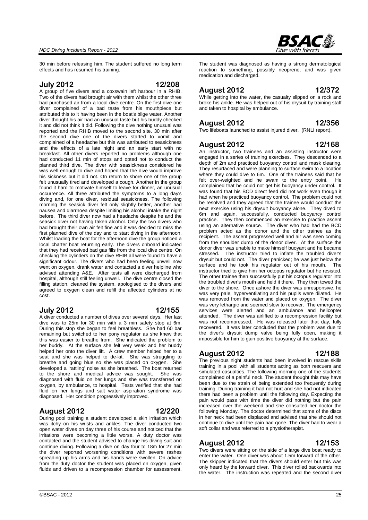

30 min before releasing him. The student suffered no long term effects and has resumed his training.

#### **July 2012 12/208**

A group of five divers and a coxswain left harbour in a RHIB. Two of the divers had brought air with them whilst the other three had purchased air from a local dive centre. On the first dive one diver complained of a bad taste from his mouthpiece but attributed this to it having been in the boat's bilge water. Another diver thought his air had an unusual taste but his buddy checked it and did not think it did. Following the dive nothing unusual was reported and the RHIB moved to the second site. 30 min after the second dive one of the divers started to vomit and complained of a headache but this was attributed to seasickness and the effects of a late night and an early start with no breakfast. All other divers reported no problems although one had conducted 11 min of stops and opted not to conduct the planned third dive. The diver with seasickness considered he was well enough to dive and hoped that the dive would improve his sickness but it did not. On return to shore one of the group felt unusually tired and developed a cough. Another in the group found it hard to motivate himself to leave for dinner, an unusual occurrence. All three attributed the symptoms to a long day's diving and, for one diver, residual seasickness. The following morning the seasick diver felt only slightly better, another had nausea and diarrhoea despite limiting his alcohol intake the night before. The third diver now had a headache despite he and the seasick diver not having taken alcohol. Only the two divers who had brought their own air felt fine and it was decided to miss the first planned dive of the day and to start diving in the afternoon. Whilst loading the boat for the afternoon dive the group noticed a local charter boat returning early. The divers onboard indicated that they had received bad gas fills from the local dive centre. On checking the cylinders on the dive RHIB all were found to have a significant odour. The divers who had been feeling unwell now went on oxygen, drank water and contacted a diver helpline who advised attending A&E. After tests all were discharged from hospital, although still feeling unwell. The dive centre closed the filling station, cleaned the system, apologised to the divers and agreed to oxygen clean and refill the affected cylinders at no cost.

#### **July 2012 12/155**

A diver conducted a number of dives over several days. Her last dive was to 25m for 30 min with a 3 min safety stop at 6m. During this stop she began to feel breathless. She had 60 bar remaining but switched to her pony regulator as she knew that this was easier to breathe from. She indicated the problem to her buddy. At the surface she felt very weak and her buddy helped her onto the diver lift. A crew member helped her to a seat and she was helped to de-kit. She was struggling to breathe and going blue so she was placed on oxygen. She developed a 'rattling' noise as she breathed. The boat returned to the shore and medical advice was sought. She was diagnosed with fluid on her lungs and she was transferred on oxygen, by ambulance, to hospital. Tests verified that she had fluid on her lungs and salt water aspiration syndrome was diagnosed. Her condition progressively improved.

### **August 2012 12/220**

During pool training a student developed a skin irritation which was itchy on his wrists and ankles. The diver conducted two open water dives on day three of his course and noticed that the irritations were becoming a little worse. A duty doctor was contacted and the student advised to change his diving suit and continue diving. Following a dive on day four to 18m for 27 min the diver reported worsening conditions with severe rashes spreading up his arms and his hands were swollen. On advice from the duty doctor the student was placed on oxygen, given fluids and driven to a recompression chamber for assessment.

The student was diagnosed as having a strong dermatological reaction to something, possibly neoprene, and was given medication and discharged.

#### **August 2012 12/372**

While getting into the water, the casualty slipped on a rock and broke his ankle. He was helped out of his drysuit by training staff and taken to hospital by ambulance.

#### **August 2012 12/356**

Two lifeboats launched to assist injured diver. (RNLI report).

#### **August 2012 12/168**

An instructor, two trainees and an assisting instructor were engaged in a series of training exercises. They descended to a depth of 2m and practiced buoyancy control and mask clearing. They resurfaced and were planning to surface swim to a location where they could dive to 6m. One of the trainees said that he felt over-weighted and he swam to the entry point. He complained that he could not get his buoyancy under control. It was found that his BCD direct feed did not work even though it had when he practiced buoyancy control. The problem could not be resolved and they agreed that the trainee would conduct the next exercise using his drysuit buoyancy alone. They dived to 6m and again, successfully, conducted buoyancy control practice. They then commenced an exercise to practice ascent using an alternative source. The diver who had had the BCD problem acted as the donor and the other trainee as the recipient. The ascent progressed well and air was seen coming from the shoulder dump of the donor diver. At the surface the donor diver was unable to make himself buoyant and he became stressed. The instructor tried to inflate the troubled diver's drysuit but could not. The diver panicked; he was just below the surface and he took his regulator out of his mouth. instructor tried to give him her octopus regulator but he resisted. The other trainee then successfully put his octopus regulator into the troubled diver's mouth and held it there. They then towed the diver to the shore. Once ashore the diver was unresponsive, he was very pale, hyperventilating and his pupils were dilated. He was removed from the water and placed on oxygen. The diver was very lethargic and seemed slow to recover. The emergency services were alerted and an ambulance and helicopter attended. The diver was airlifted to a recompression facility but was not recompressed. He was released later that day, fully recovered. It was later concluded that the problem was due to the diver's drysuit dump valve being fully open, making it impossible for him to gain positive buoyancy at the surface.

### **August 2012 12/188**

The previous night students had been involved in rescue skills training in a pool with all students acting as both rescuers and simulated casualties. The following morning one of the students complained of a painful neck. The student thought this may have been due to the strain of being extended too frequently during training. During training it had not hurt and she had not indicated there had been a problem until the following day. Expecting the pain would pass with time the diver did nothing but the pain increased over the weekend and she consulted her doctor the following Monday. The doctor determined that some of the discs in her neck had been displaced and advised that she should not continue to dive until the pain had gone. The diver had to wear a soft collar and was referred to a physiotherapist.

#### **August 2012 12/153**

Two divers were sitting on the side of a large dive boat ready to enter the water. One diver was about 1.5m forward of the other. The skipper indicated that the divers should enter but this was only heard by the forward diver. This diver rolled backwards into the water. The instruction was repeated and the second diver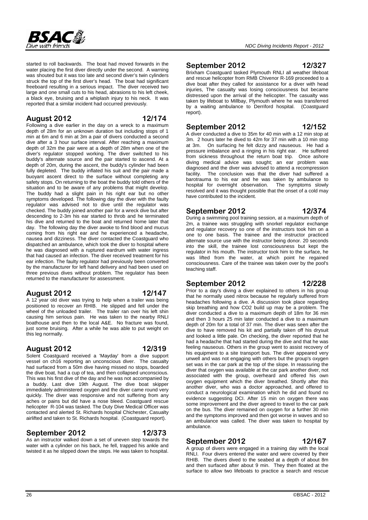

started to roll backwards. The boat had moved forwards in the water placing the first diver directly under the second. A warning was shouted but it was too late and second diver's twin cylinders struck the top of the first diver's head. The boat had significant freeboard resulting in a serious impact. The diver received two large and one small cuts to his head, abrasions to his left cheek, a black eye, bruising and a whiplash injury to his neck. It was reported that a similar incident had occurred previously.

### **August 2012 12/174**

Following a dive earlier in the day on a wreck to a maximum depth of 28m for an unknown duration but including stops of 1 min at 6m and 6 min at 3m a pair of divers conducted a second dive after a 3 hour surface interval. After reaching a maximum depth of 32m the pair were at a depth of 28m when one of the diver's regulator stopped working. The diver switched to his buddy's alternate source and the pair started to ascend. At a depth of 20m, during the ascent, the buddy's cylinder had been fully depleted. The buddy inflated his suit and the pair made a buoyant ascent direct to the surface without completing any safety stops. On returning to the boat the buddy told others of the situation and to be aware of any problems that might develop. The buddy had a slight pain in his right ear but no other symptoms developed. The following day the diver with the faulty regulator was advised not to dive until the regulator was checked. The buddy joined another pair for a wreck dive but after descending to 2-3m his ear started to throb and he terminated his dive and returned to the boat and returned home later that day. The following day the diver awoke to find blood and mucus coming from his right ear and he experienced a headache, nausea and dizziness. The diver contacted the Coastguard who dispatched an ambulance, which took the diver to hospital where he was diagnosed with a ruptured eardrum with water ingress that had caused an infection. The diver received treatment for his ear infection. The faulty regulator had previously been converted by the manufacturer for left hand delivery and had been used on three previous dives without problem. The regulator has been returned to the manufacturer for assessment.

#### **August 2012 12/147**

A 12 year old diver was trying to help when a trailer was being positioned to recover an RHIB. He slipped and fell under the wheel of the unloaded trailer. The trailer ran over his left shin causing him serious pain. He was taken to the nearby RNLI boathouse and then to the local A&E. No fracture was found, just some bruising. After a while he was able to put weight on this leg normally.

#### **August 2012 12/319**

Solent Coastguard received a 'Mayday' from a dive support vessel on ch16 reporting an unconscious diver. The casualty had surfaced from a 50m dive having missed no stops, boarded the dive boat, had a cup of tea, and then collapsed unconscious. This was his first dive of the day and he was not accompanied by a buddy. Last dive 19th August. The dive boat skipper immediately administered oxygen and the diver came round very quickly. The diver was responsive and not suffering from any aches or pains but did have a nose bleed. Coastguard rescue helicopter R-104 was tasked. The Duty Dive Medical Officer was contacted and alerted St. Richards hospital Chichester, Casualty airlifted and taken to St. Richards hospital. (Coastguard report).

#### **September 2012 12/373**

#### As an instructor walked down a set of uneven step towards the water with a cylinder on his back, he fell, trapped his ankle and twisted it as he slipped down the steps. He was taken to hospital.

### **September 2012 12/327**

Brixham Coastguard tasked Plymouth RNLI all weather lifeboat and rescue helicopter from RMB Chivenor R-169 proceeded to a dive boat after they called for assistance for a diver with head injuries, The casualty was losing consciousness but became distressed upon the arrival of the helicopter. The casualty was taken by lifeboat to Millbay, Plymouth where he was transferred by a waiting ambulance to Derriford hospital. (Coastguard report).

#### **September 2012 12/152**

A diver conducted a dive to 35m for 40 min with a 12 min stop at 3m. 2 hours later he dived to 42m for 37 min with a 10 min stop at 3m. On surfacing he felt dizzy and nauseous. He had a pressure imbalance and a ringing in his right ear. He suffered from sickness throughout the return boat trip. Once ashore diving medical advice was sought; an ear problem was diagnosed and the diver was advised to attend a recompression facility. The conclusion was that the diver had suffered a barotrauma to his ear and he was taken by ambulance to hospital for overnight observation. The symptoms slowly hospital for overnight observation. resolved and it was thought possible that the onset of a cold may have contributed to the incident.

#### **September 2012 12/374**

During a swimming pool training session, at a maximum depth of 2m, a trainee was struggling with snorkel regulator exchange and regulator recovery so one of the instructors took him on a one to one basis. The trainee and the instructor practiced alternate source use with the instructor being donor. 20 seconds into the skill, the trainee lost consciousness but kept the regulator in his mouth. The instructor took him to the surface, he was lifted from the water, at which point he regained consciousness. Care of the trainee was taken over by the pool's teaching staff.

#### **September 2012 12/228**

Prior to a day's diving a diver explained to others in his group that he normally used nitrox because he regularly suffered from headaches following a dive. A discussion took place regarding skip breathing and how CO2 build up may be a problem. The diver conducted a dive to a maximum depth of 18m for 36 min and then 3 hours 25 min later conducted a dive to a maximum depth of 20m for a total of 37 min. The diver was seen after the dive to have removed his kit and partially taken off his drysuit and looked a little pale. On checking, the diver reported that he had a headache that had started during the dive and that he was feeling nauseous. Others in the group went to assist recovery of his equipment to a site transport bus. The diver appeared very unwell and was not engaging with others but the group's oxygen set was in the car park at the top of the slope. In reassuring the diver that oxygen was available at the car park another diver, not associated with the group, overheard and offered his own oxygen equipment which the diver breathed. Shortly after this another diver, who was a doctor approached, and offered to conduct a neurological examination which he did and found no evidence suggesting DCI. After 15 min on oxygen there was some improvement and the diver agreed to travel to the car park on the bus. The diver remained on oxygen for a further 30 min and the symptoms improved and then got worse in waves and so an ambulance was called. The diver was taken to hospital by ambulance.

#### **September 2012 12/167**

A group of divers were engaged in a training day with the local RNLI. Four divers entered the water and were covered by their RHIB. The divers dived to the seabed at a depth of about 8m and then surfaced after about 9 min. They then floated at the surface to allow two lifeboats to practice a search and rescue

#### 26 ©BSAC - 2012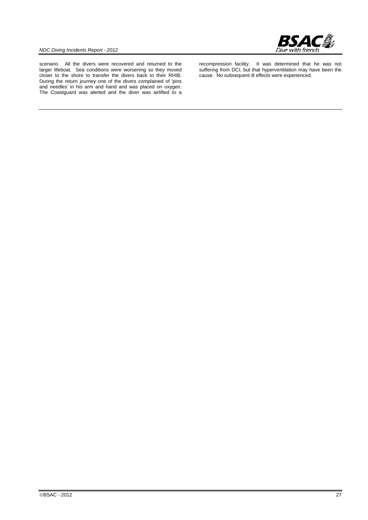

scenario. All the divers were recovered and returned to the larger lifeboat. Sea conditions were worsening so they moved closer to the shore to transfer the divers back to their RHIB. During the return journey one of the divers complained of 'pins and needles' in his arm and hand and was placed on oxygen. The Coastguard was alerted and the diver was airlifted to a

recompression facility. It was determined that he was not suffering from DCI, but that hyperventilation may have been the cause. No subsequent ill effects were experienced.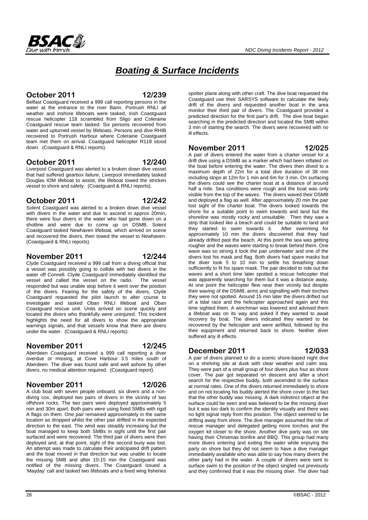# *Boating & Surface Incidents*

# **October 2011 12/239**

Belfast Coastguard received a 999 call reporting persons in the water at the entrance to the river Bann. Portrush RNLI all weather and inshore lifeboats were tasked, Irish Coastguard rescue helicopter 118 scrambled from Sligo and Coleraine Coastguard rescue team tasked. Six persons recovered from water and upturned vessel by lifeboats. Persons and dive RHIB recovered to Portrush Harbour where Coleraine Coastguard team met them on arrival. Coastguard helicopter R118 stood down. (Coastguard & RNLI reports).

## **October 2011 12/240**

Liverpool Coastguard was alerted to a broken down dive vessel that had suffered gearbox failure, Liverpool immediately tasked Douglas IOM lifeboat to assist, the lifeboat towed the stricken vessel to shore and safety. (Coastguard & RNLI reports).

### **October 2011 12/242**

Solent Coastguard was alerted to a broken down dive vessel with divers in the water and due to ascend in approx 20min, there were four divers in the water who had gone down on a shotline and were due to come up on DSMB. Solent Coastguard tasked Newhaven lifeboat, which arrived on scene and recovered the divers, then towed the vessel to Newhaven. (Coastguard & RNLI reports).

### **November 2011 12/244**

Clyde Coastguard received a 999 call from a diving official that a vessel was possibly going to collide with two divers in the water off Connell. Clyde Coastguard immediately identified the vessel and called the vessel on the radio. The vessel vessel and called the vessel on the radio. responded but was unable stop before it went over the position of the divers. Fearing for the safety of the divers, Clyde Coastguard requested the pilot launch to alter course to investigate and tasked Oban RNLI lifeboat and Oban Coastguard rescue unit. Units arrived on scene quickly and located the divers who thankfully were uninjured. This incident highlights the need for all divers to show the appropriate warnings signals, and that vessels know that there are divers under the water. (Coastguard & RNLI reports).

### **November 2011 12/245**

Aberdeen Coastguard received a 999 call reporting a diver overdue or missing, at Cove Harbour 3.5 miles south of Aberdeen. The diver was found safe and well ashore by other divers, no medical attention required. (Coastguard report).

### **November 2011 12/026**

A club boat with seven people onboard, six divers and a nondiving cox, deployed two pairs of divers in the vicinity of two offshore rocks. The two pairs were deployed approximately 5 min and 30m apart. Both pairs were using fixed SMBs with rigid A flags on them. One pair remained approximately in the same location as dropped whilst the other pair drifted in the expected direction to the east. The wind was steadily increasing but the boat managed to keep both SMBs in sight until the first pair surfaced and were recovered. The third pair of divers were then deployed and, at that point, sight of the second buoy was lost. An attempt was made to calculate their anticipated drift pattern and the boat moved in that direction but was unable to locate the missing SMB and after 10-15 min the Coastguard was notified of the missing divers. The Coastguard issued a 'Mayday' call and tasked two lifeboats and a fixed wing fisheries spotter plane along with other craft. The dive boat requested the Coastguard use their SARSYS software to calculate the likely drift of the divers and requested another boat in the area monitor their third pair of divers. The Coastguard provided a predicted direction for the first pair's drift. The dive boat began searching in the predicted direction and located the SMB within 3 min of starting the search. The divers were recovered with no ill effects.

### **November 2011 12/025**

A pair of divers entered the water from a charter vessel for a drift dive using a DSMB as a marker which had been inflated on the boat before entering the water. The divers then dived to a maximum depth of 22m for a total dive duration of 38 min including stops at 12m for 1 min and 6m for 3 min. On surfacing the divers could see the charter boat at a distance of around half a mile. Sea conditions were rough and the boat was only visible from the top of the waves. The divers waved their DSMB and deployed a flag as well. After approximately 20 min the pair lost sight of the charter boat. The divers looked towards the shore for a suitable point to swim towards and land but the shoreline was mostly rocky and unsuitable. Then they saw a strip that looked like a beach and could be suitable to land and they started to swim towards it. After swimming for approximately 10 min the divers discovered that they had already drifted past the beach. At this point the sea was getting rougher and the waves were starting to break behind them. One wave was so strong it took the pair underwater and one of the divers lost his mask and flag. Both divers had spare masks but the diver took 5 to 10 min to settle his breathing down sufficiently to fit his spare mask. The pair decided to ride out the waves and a short time later spotted a rescue helicopter that was apparently searching for them but it was a distance away. At one point the helicopter flew near their vicinity but despite their waving of the DSMB, arms and signalling with their torches they were not spotted. Around 15 min later the divers drifted out of a tidal race and the helicopter approached again and this time sighted them. A winchman was lowered and advised them a lifeboat was on its way and asked if they wanted to await recovery by boat. The divers indicated they wanted to be recovered by the helicopter and were airlifted, followed by the their equipment and returned back to shore. Neither diver suffered any ill effects.

### **December 2011 12/033**

A pair of divers planned to do a scenic shore-based night dive on a shelving site at dusk with clear weather and calm sea. They were part of a small group of four divers plus four as shore cover. The pair got separated on descent and after a short search for the respective buddy, both ascended to the surface at normal rates. One of the divers returned immediately to shore and on not locating his buddy alerted the shore cover to the fact that the other buddy was missing. A dark indistinct object at the surface could be seen and was believed to be the missing diver but it was too dark to confirm the identity visually and there was no light signal reply from this position. The object seemed to be drifting away from shore. The dive manager assumed the role of rescue manager and delegated getting more torches and the oxygen kit closer to the shore. Another dive party was on site having their Christmas bonfire and BBQ. This group had many more divers entering and exiting the water while enjoying the party on shore but they did not seem to have a dive manager immediately available who was able to say how many divers the other party had in the water. A couple of divers were sent to surface swim to the position of the object singled out previously and they confirmed that it was the missing diver. The diver had

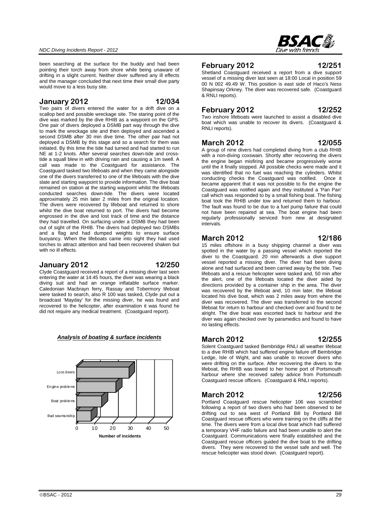been searching at the surface for the buddy and had been pointing their torch away from shore while being unaware of drifting in a slight current. Neither diver suffered any ill effects and the manager concluded that next time their small dive party would move to a less busy site.

#### **January 2012 12/034**

Two pairs of divers entered the water for a drift dive on a scallop bed and possible wreckage site. The staring point of the dive was marked by the dive RHIB as a waypoint on the GPS. One pair of divers deployed a DSMB part way through the dive to mark the wreckage site and then deployed and ascended a second DSMB after 30 min dive time. The other pair had not deployed a DSMB by this stage and so a search for them was initiated. By this time the tide had turned and had started to run NE at 1-2 knots. After several searches down-tide and crosstide a squall blew in with driving rain and causing a 1m swell. A call was made to the Coastguard for assistance. The Coastguard tasked two lifeboats and when they came alongside one of the divers transferred to one of the lifeboats with the dive slate and starting waypoint to provide information. The dive boat remained on station at the starting waypoint whilst the lifeboats conducted searches down-tide. The divers were located approximately 25 min later 2 miles from the original location. The divers were recovered by lifeboat and returned to shore whilst the dive boat returned to port. The divers had become engrossed in the dive and lost track of time and the distance they had travelled. On surfacing under a DSMB they had been out of sight of the RHIB. The divers had deployed two DSMBs and a flag and had dumped weights to ensure surface buoyancy. When the lifeboats came into sight they had used torches to attract attention and had been recovered shaken but with no ill effects.

#### **January 2012 12/250**

Clyde Coastguard received a report of a missing diver last seen entering the water at 14:45 hours, the diver was wearing a black diving suit and had an orange inflatable surface marker. Caledonian Macbrayn ferry, Rassay and Tobermory lifeboat were tasked to search, also R 100 was tasked, Clyde put out a broadcast 'Mayday' for the missing diver, he was found and recovered to the helicopter, after examination it was found he did not require any medical treatment. (Coastguard report).



#### *Analysis of boating & surface incidents*



#### **February 2012 12/251**

Shetland Coastguard received a report from a dive support vessel of a missing diver last seen at 18:00 Local in position 59 00 N 002 49.49 W. This position is east side of Haco's Ness Shapinsay Orkney. The diver was recovered safe. (Coastguard & RNLI reports).

#### **February 2012 12/252**

Two inshore lifeboats were launched to assist a disabled dive boat which was unable to recover its divers. (Coastguard & RNLI reports).

#### **March 2012 12/055**

A group of nine divers had completed diving from a club RHIB with a non-diving coxswain. Shortly after recovering the divers the engine began misfiring and became progressively worse until the it finally stopped. All possible checks were made and it was identified that no fuel was reaching the cylinders. Whilst conducting checks the Coastguard was notified. Once it became apparent that it was not possible to fix the engine the Coastguard was notified again and they instituted a 'Pan Pan' call which was responded to by a small fishing boat. The fishing boat took the RHIB under tow and returned them to harbour. The fault was found to be due to a fuel pump failure that could not have been repaired at sea. The boat engine had been regularly professionally serviced from new at designated intervals.

#### **March 2012 12/186**

15 miles offshore in a busy shipping channel a diver was spotted in the water by a passing vessel which reported the diver to the Coastguard. 20 min afterwards a dive support vessel reported a missing diver. The diver had been diving alone and had surfaced and been carried away by the tide. Two lifeboats and a rescue helicopter were tasked and, 50 min after the alert, one of the lifeboats located the diver aided by directions provided by a container ship in the area. The diver was recovered by the lifeboat and, 10 min later, the lifeboat located his dive boat, which was 2 miles away from where the diver was recovered. The diver was transferred to the second lifeboat for return to harbour and checked over and found to be alright. The dive boat was escorted back to harbour and the diver was again checked over by paramedics and found to have no lasting effects.

#### **March 2012 12/255**

Solent Coastguard tasked Bembridge RNLI all weather lifeboat to a dive RHIB which had suffered engine failure off Bembridge Ledge, Isle of Wight, and was unable to recover divers who were drifting on the surface. After recovering the divers to the lifeboat, the RHIB was towed to her home port of Portsmouth harbour where she received safety advice from Portsmouth Coastguard rescue officers. (Coastguard & RNLI reports).

### **March 2012 12/256**

Portland Coastguard rescue helicopter 106 was scrambled following a report of two divers who had been observed to be drifting out to sea west of Portland Bill by Portland Bill Coastguard rescue officers who were training on the cliffs at the time. The divers were from a local dive boat which had suffered a temporary VHF radio failure and had been unable to alert the Coastguard. Communications were finally established and the Coastguard rescue officers guided the dive boat to the drifting divers. They were recovered to the vessel safe and well. The rescue helicopter was stood down. (Coastguard report).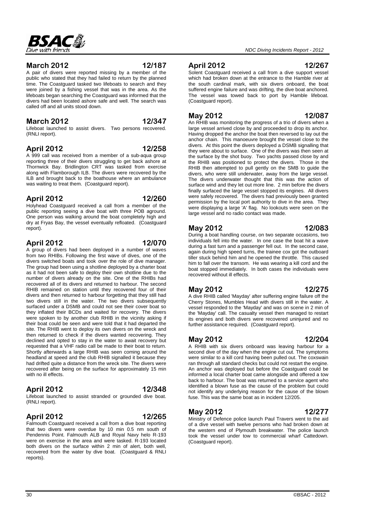#### **March 2012 12/187**

A pair of divers were reported missing by a member of the public who stated that they had failed to return by the planned time. The Coastguard tasked two lifeboats to search and they were joined by a fishing vessel that was in the area. As the lifeboats began searching the Coastguard was informed that the divers had been located ashore safe and well. The search was called off and all units stood down.

## **March 2012 12/347**

Lifeboat launched to assist divers. Two persons recovered. (RNLI report).

### **April 2012 12/258**

A 999 call was received from a member of a sub-aqua group reporting three of their divers struggling to get back ashore at Thornwick Bay. Bridlington CRT was tasked from exercise along with Flamborough ILB. The divers were recovered by the ILB and brought back to the boathouse where an ambulance was waiting to treat them. (Coastguard report).

#### **April 2012 12/260**

Holyhead Coastguard received a call from a member of the public reporting seeing a dive boat with three POB aground. One person was walking around the boat completely high and dry at Fryas Bay, the vessel eventually refloated. (Coastguard report).

### **April 2012 12/070**

A group of divers had been deployed in a number of waves from two RHIBs. Following the first wave of dives, one of the divers switched boats and took over the role of dive manager. The group had been using a shotline deployed by a charter boat as it had not been safe to deploy their own shotline due to the number of divers already on the site. One of the RHIBs had recovered all of its divers and returned to harbour. The second RHIB remained on station until they recovered four of their divers and then returned to harbour forgetting that they still had two divers still in the water. The two divers subsequently surfaced under a DSMB and could not see their cover boat so they inflated their BCDs and waited for recovery. The divers were spoken to by another club RHIB in the vicinity asking if their boat could be seen and were told that it had departed the site. The RHIB went to deploy its own divers on the wreck and then returned to check if the divers wanted recovering. They declined and opted to stay in the water to await recovery but requested that a VHF radio call be made to their boat to return. Shortly afterwards a large RHIB was seen coming around the headland at speed and the club RHIB signalled it because they had drifted quite a distance from the wreck site. The divers were recovered after being on the surface for approximately 15 min with no ill effects.

### **April 2012 12/348**

Lifeboat launched to assist stranded or grounded dive boat. (RNLI report).

### **April 2012 12/265**

Falmouth Coastguard received a call from a dive boat reporting that two divers were overdue by 10 min 0.5 nm south of Pendennis Point. Falmouth ALB and Royal Navy helo R-193 were on exercise in the area and were tasked. R-193 located both divers on the surface within 2 min of alert, both well, recovered from the water by dive boat. (Coastguard & RNLI reports).

### **April 2012 12/267**

Solent Coastguard received a call from a dive support vessel which had broken down at the entrance to the Hamble river at the south cardinal mark, with six divers onboard, the boat suffered engine failure and was drifting, the dive boat anchored. The vessel was towed back to port by Hamble lifeboat. (Coastguard report).

### **May 2012 12/087**

An RHIB was monitoring the progress of a trio of divers when a large vessel arrived close by and proceeded to drop its anchor. Having dropped the anchor the boat then reversed to lay out the anchor chain. This manoeuvre brought the vessel close to the divers. At this point the divers deployed a DSMB signalling that they were about to surface. One of the divers was then seen at the surface by the shot buoy. Two yachts passed close by and the RHIB was positioned to protect the divers. Those in the RHIB then attempted to pull gently on the SMB to guide the divers, who were still underwater, away from the large vessel. The divers underwater thought that this was the action of surface wind and they let out more line. 2 min before the divers finally surfaced the large vessel stopped its engines. All divers were safely recovered. The divers had previously been granted permission by the local port authority to dive in the area. They were displaying a large 'A' flag. No lookouts were seen on the large vessel and no radio contact was made.

# **May 2012 12/083**

During a boat handling course, on two separate occasions, two individuals fell into the water. In one case the boat hit a wave during a fast turn and a passenger fell out. In the second case, again during high speed turns, the trainee cox got the outboard tiller stuck behind him and he opened the throttle. This caused him to fall over the transom. He was wearing a kill cord and the boat stopped immediately. In both cases the individuals were recovered without ill effects.

### **May 2012 12/275**

A dive RHIB called 'Mayday' after suffering engine failure off the Cherry Stones, Mumbles Head with divers still in the water. A vessel responded to the 'Mayday' and was on scene in 2 min of the 'Mayday' call. The casualty vessel then managed to restart its engines and both divers were recovered uninjured and no further assistance required. (Coastguard report).

### **May 2012 12/204**

A RHIB with six divers onboard was leaving harbour for a second dive of the day when the engine cut out. The symptoms were similar to a kill cord having been pulled out. The coxswain ran through all standard checks but could not restart the engine. An anchor was deployed but before the Coastguard could be informed a local charter boat came alongside and offered a tow back to harbour. The boat was returned to a service agent who identified a blown fuse as the cause of the problem but could not identify any underlying reason for the cause of the blown fuse. This was the same boat as in incident 12/205.

# **May 2012 12/277**

Ministry of Defence police launch Paul Travers went to the aid of a dive vessel with twelve persons who had broken down at the western end of Plymouth breakwater. The police launch took the vessel under tow to commercial wharf Cattedown. (Coastguard report).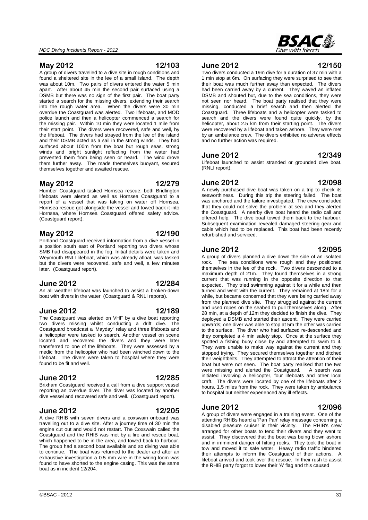**May 2012 12/103**

A group of divers travelled to a dive site in rough conditions and found a sheltered site in the lee of a small island. The depth was about 10m. Two pairs of divers entered the water 5 min apart. After about 45 min the second pair surfaced using a DSMB but there was no sign of the first pair. The boat party started a search for the missing divers, extending their search into the rough water area. When the divers were 30 min overdue the Coastguard was alerted. Two lifeboats, and MOD police launch and then a helicopter commenced a search for the missing pair. Within 10 min they were located 1 mile from their start point. The divers were recovered, safe and well, by the lifeboat. The divers had strayed from the lee of the island and their DSMB acted as a sail in the strong winds. They had surfaced about 100m from the boat but rough seas, strong winds and bright sunlight reflecting from the water had prevented them from being seen or heard. The wind drove them further away. The made themselves buoyant, secured themselves together and awaited rescue.

#### **May 2012 12/279**

Humber Coastguard tasked Hornsea rescue; both Bridlington lifeboats were alerted as well as Hornsea Coastguard to a report of a vessel that was taking on water off Hornsea. Hornsea rescue got alongside the vessel and towed back it into Hornsea, where Hornsea Coastguard offered safety advice. (Coastguard report).

#### **May 2012 12/190**

Portland Coastguard received information from a dive vessel in a position south east of Portland reporting two divers whose SMB had disappeared in the fog. Initial details were taken and Weymouth RNLI lifeboat, which was already afloat, was tasked but the divers were recovered, safe and well, a few minutes later. (Coastguard report).

#### **June 2012 12/284**

An all weather lifeboat was launched to assist a broken-down boat with divers in the water (Coastguard & RNLI reports).

#### **June 2012 12/189**

The Coastguard was alerted on VHF by a dive boat reporting two divers missing whilst conducting a drift dive. The Coastguard broadcast a 'Mayday' relay and three lifeboats and a helicopter were tasked to search. Another vessel on scene located and recovered the divers and they were later transferred to one of the lifeboats. They were assessed by a medic from the helicopter who had been winched down to the lifeboat. The divers were taken to hospital where they were found to be fit and well.

#### **June 2012 12/285**

Brixham Coastguard received a call from a dive support vessel reporting an overdue diver. The diver was located by another dive vessel and recovered safe and well. (Coastguard report).

#### **June 2012 12/205**

#### A dive RHIB with seven divers and a coxswain onboard was travelling out to a dive site. After a journey time of 30 min the engine cut out and would not restart. The Coxswain called the Coastguard and the RHIB was met by a fire and rescue boat, which happened to be in the area, and towed back to harbour. The group had a second boat available and so diving was able to continue. The boat was returned to the dealer and after an exhaustive investigation a 0.5 mm wire in the wiring loom was found to have shorted to the engine casing. This was the same boat as in incident 12/204.

**June 2012 12/150**

Two divers conducted a 19m dive for a duration of 37 min with a 1 min stop at 6m. On surfacing they were surprised to see that their boat was much further away than expected. The divers had been carried away by a current. They waved an inflated DSMB and shouted but, due to the sea conditions, they were not seen nor heard. The boat party realised that they were missing, conducted a brief search and then alerted the Coastguard. Three lifeboats and a helicopter were tasked to search and the divers were found quite quickly, by the helicopter, about 2.5 km from their starting point. The divers were recovered by a lifeboat and taken ashore. They were met by an ambulance crew. The divers exhibited no adverse effects and no further action was required.

#### **June 2012 12/349**

Lifeboat launched to assist stranded or grounded dive boat. (RNLI report).

#### **June 2012 12/098**

A newly purchased dive boat was taken on a trip to check its seaworthiness. During this trip the steering failed. The boat was anchored and the failure investigated. The crew concluded that they could not solve the problem at sea and they alerted the Coastguard. A nearby dive boat heard the radio call and offered help. The dive boat towed them back to the harbour. Subsequent examination revealed damaged steering gear and cable which had to be replaced. This boat had been recently refurbished and serviced.

#### **June 2012 12/095**

A group of divers planned a dive down the side of an isolated rock. The sea conditions were rough and they positioned themselves in the lee of the rock. Two divers descended to a maximum depth of 21m. They found themselves in a strong current that was running in the opposite direction to that expected. They tried swimming against it for a while and then turned and went with the current. They remained at 18m for a while, but became concerned that they were being carried away from the planned dive site. They struggled against the current and used ropes on the seabed to pull themselves along. After 28 min, at a depth of 12m they decided to finish the dive. They deployed a DSMB and started their ascent. They were carried upwards; one diver was able to stop at 5m the other was carried to the surface. The diver who had surfaced re-descended and they completed a 4 min safety stop. Once at the surface they spotted a fishing buoy close by and attempted to swim to it. They were unable to make way against the current and they stopped trying. They secured themselves together and ditched their weightbelts. They attempted to attract the attention of their boat but were not seen. The boat party realised that the two were missing and alerted the Coastguard. A search was initiated involving a helicopter, four lifeboats and other local craft. The divers were located by one of the lifeboats after 2 hours, 1.5 miles from the rock. They were taken by ambulance to hospital but neither experienced any ill effects.

#### **June 2012 12/096**

A group of divers were engaged in a training event. One of the attending RHIBs heard a 'Pan Pan' relay message concerning a disabled pleasure cruiser in their vicinity. The RHIB's crew arranged for other boats to tend their divers and they went to assist. They discovered that the boat was being blown ashore and in imminent danger of hitting rocks. They took the boat in tow and moved it to safe water. Heavy radio traffic hindered their attempts to inform the Coastguard of their actions. A lifeboat arrived and took over the rescue. In their rush to assist the RHIB party forgot to lower their 'A' flag and this caused

# RSA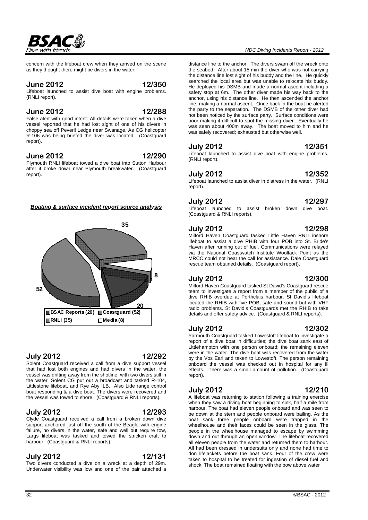#### *NDC Diving Incidents Report - 2012*

distance line to the anchor. The divers swam off the wreck onto the seabed. After about 15 min the diver who was not carrying the distance line lost sight of his buddy and the line. He quickly searched the local area but was unable to relocate his buddy. He deployed his DSMB and made a normal ascent including a safety stop at 6m. The other diver made his way back to the anchor, using his distance line. He then ascended the anchor line, making a normal ascent. Once back in the boat he alerted the party to the separation. The DSMB of the other diver had not been noticed by the surface party. Surface conditions were poor making it difficult to spot the missing diver. Eventually he was seen about 400m away. The boat moved to him and he was safely recovered; exhausted but otherwise well.

### **July 2012 12/351**

Lifeboat launched to assist dive boat with engine problems. (RNLI report).

#### **July 2012 12/352**

Lifeboat launched to assist diver in distress in the water. (RNLI report).

#### **July 2012 12/297**

Lifeboat launched to assist broken down dive boat. (Coastguard & RNLI reports).

### **July 2012 12/298**

Milford Haven Coastguard tasked Little Haven RNLI inshore lifeboat to assist a dive RHIB with four POB into St. Bride's Haven after running out of fuel. Communications were relayed via the National Coastwatch Institute Wooltack Point as the MRCC could not hear the call for assistance. Dale Coastguard rescue team obtained details. (Coastguard report).

### **July 2012 12/300**

Milford Haven Coastguard tasked St David's Coastguard rescue team to investigate a report from a member of the public of a dive RHIB overdue at Porthclais harbour. St David's lifeboat located the RHIB with five POB, safe and sound but with VHF radio problems. St David's Coastguards met the RHIB to take details and offer safety advice. (Coastguard & RNLI reports).

### **July 2012 12/302**

Yarmouth Coastguard tasked Lowestoft lifeboat to investigate a report of a dive boat in difficulties; the dive boat sank east of Littlehampton with one person onboard; the remaining eleven were in the water. The dive boat was recovered from the water by the Vos Earl and taken to Lowestoft. The person remaining onboard the vessel was checked out in hospital for any ill effects. There was a small amount of pollution. (Coastguard report).

### **July 2012 12/210**

A lifeboat was returning to station following a training exercise when they saw a diving boat beginning to sink, half a mile from harbour. The boat had eleven people onboard and was seen to be down at the stern and people onboard were bailing. As the boat sank three people onboard were trapped in the wheelhouse and their faces could be seen in the glass. The people in the wheelhouse managed to escape by swimming down and out through an open window. The lifeboat recovered all eleven people from the water and returned them to harbour. All had been dressed in undersuits only and none had time to don lifejackets before the boat sank. Four of the crew were taken to hospital to be treated for ingestion of diesel fuel and shock. The boat remained floating with the bow above water

#### concern with the lifeboat crew when they arrived on the scene as they thought there might be divers in the water.

#### **June 2012 12/350**

RSAC&

Lifeboat launched to assist dive boat with engine problems. (RNLI report).

#### **June 2012 12/288**

False alert with good intent. All details were taken when a dive vessel reported that he had lost sight of one of his divers in choppy sea off Peveril Ledge near Swanage. As CG helicopter R-106 was being briefed the diver was located. (Coastguard report).

#### **June 2012 12/290**

Plymouth RNLI lifeboat towed a dive boat into Sutton Harbour after it broke down near Plymouth breakwater. (Coastguard report).

#### *Boating & surface incident report source analysis*



### **July 2012 12/292**

Solent Coastguard received a call from a dive support vessel that had lost both engines and had divers in the water, the vessel was drifting away from the shotline, with two divers still in the water. Solent CG put out a broadcast and tasked R-104, Littlestone lifeboat, and Rye Aby ILB. Also Lide range control boat responding & a dive boat. The divers were recovered and the vessel was towed to shore. (Coastguard & RNLI reports).

### **July 2012 12/293**

Clyde Coastguard received a call from a broken down dive support anchored just off the south of the Beagle with engine failure, no divers in the water, safe and well but require tow. Largs lifeboat was tasked and towed the stricken craft to harbour. (Coastguard & RNLI reports).

#### **July 2012 12/131**

Two divers conducted a dive on a wreck at a depth of 29m. Underwater visibility was low and one of the pair attached a

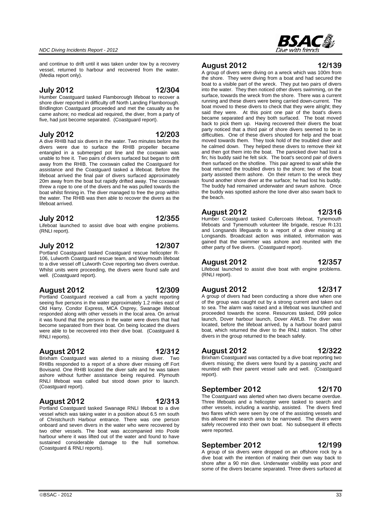# lifeboat arrived. **July 2012 12/355**

Lifeboat launched to assist dive boat with engine problems. (RNLI report).

threw a rope to one of the divers and he was pulled towards the boat whilst finning in. The diver managed to free the prop within the water. The RHIB was then able to recover the divers as the

and continue to drift until it was taken under tow by a recovery vessel, returned to harbour and recovered from the water.

**July 2012 12/304** Humber Coastguard tasked Flamborough lifeboat to recover a shore diver reported in difficulty off North Landing Flamborough. Bridlington Coastguard proceeded and met the casualty as he came ashore; no medical aid required, the diver, from a party of five, had just become separated. (Coastguard report).

**July 2012 12/203** A dive RHIB had six divers in the water. Two minutes before the divers were due to surface the RHIB propeller became entangled in a submerged pot line and the coxswain was unable to free it. Two pairs of divers surfaced but began to drift away from the RHIB. The coxswain called the Coastguard for assistance and the Coastguard tasked a lifeboat. Before the lifeboat arrived the final pair of divers surfaced approximately

Portland Coastguard tasked Coastguard rescue helicopter R-106, Lulworth Coastguard rescue team, and Weymouth lifeboat to a dive vessel off Lulworth Cove reporting two divers overdue. Whilst units were proceeding, the divers were found safe and well. (Coastguard report).

#### **August 2012 12/309**

Portland Coastguard received a call from a yacht reporting seeing five persons in the water approximately 1.2 miles east of Old Harry. Condor Express, MCA Osprey, Swanage lifeboat responded along with other vessels in the local area. On arrival it was found that the persons in the water were divers that had become separated from their boat. On being located the divers were able to be recovered into their dive boat. (Coastguard & RNLI reports).

#### **August 2012 12/312**

Brixham Coastguard was alerted to a missing diver. Two RHIBs responded to a report of a shore diver missing off Fort Bovisand. One RHIB located the diver safe and he was taken ashore without further assistance being required. Plymouth RNLI lifeboat was called but stood down prior to launch. (Coastguard report).

### **August 2012 12/313**

Portland Coastguard tasked Swanage RNLI lifeboat to a dive vessel which was taking water in a position about 6.5 nm south of Christchurch Harbour entrance. There was one person onboard and seven divers in the water who were recovered by two other vessels. The boat was accompanied into Poole harbour where it was lifted out of the water and found to have sustained considerable damage to the hull somehow. (Coastguard & RNLI reports).

#### **August 2012 12/139** A group of divers were diving on a wreck which was 100m from

the shore. They were diving from a boat and had secured the boat to a visible part of the wreck. They put two pairs of divers into the water. They then noticed other divers swimming, on the surface, towards the wreck from the shore. There was a current running and these divers were being carried down-current. The boat moved to these divers to check that they were alright; they said they were. At this point one pair of the boat's divers became separated and they both surfaced. The boat moved back to pick them up. Having recovered their divers the boat party noticed that a third pair of shore divers seemed to be in difficulties. One of these divers shouted for help and the boat moved towards them. They took hold of the troubled diver and he calmed down. They helped these divers to remove their kit and then got them into the boat. The panicked diver had lost a fin; his buddy said he felt sick. The boat's second pair of divers then surfaced on the shotline. This pair agreed to wait while the boat returned the troubled divers to the shore; two of the boat party assisted them ashore. On their return to the wreck they found another shore diver at the surface; he had lost his buddy. The buddy had remained underwater and swum ashore. Once the buddy was spotted ashore the lone diver also swam back to the beach.

#### **August 2012 12/316**

Humber Coastguard tasked Cullercoats lifeboat, Tynemouth lifeboats and Tynemouth volunteer life brigade, rescue R-131 and Longsands lifeguards to a report of a diver missing at Longsands. Broadcast action was initiated, information was gained that the swimmer was ashore and reunited with the other party of five divers. (Coastguard report).

#### **August 2012 12/357**

Lifeboat launched to assist dive boat with engine problems. (RNLI report).

#### **August 2012 12/317**

A group of divers had been conducting a shore dive when one of the group was caught out by a strong current and taken out to sea. The alarm was raised and a lifeboat was launched and proceeded towards the scene. Resources tasked, D99 police launch, Dover harbour launch, Dover AWLB. The diver was located, before the lifeboat arrived, by a harbour board patrol boat, which returned the diver to the RNLI station. The other divers in the group returned to the beach safely.

### **August 2012 12/322**

Brixham Coastguard was contacted by a dive boat reporting two divers missing; the divers were found by a passing yacht and reunited with their parent vessel safe and well. (Coastguard report).

### **September 2012 12/170**

The Coastguard was alerted when two divers became overdue. Three lifeboats and a helicopter were tasked to search and other vessels, including a warship, assisted. The divers fired two flares which were seen by one of the assisting vessels and this allowed the search area to be narrowed. The divers were safely recovered into their own boat. No subsequent ill effects were reported.

### **September 2012 12/199**

A group of six divers were dropped on an offshore rock by a dive boat with the intention of making their own way back to shore after a 90 min dive. Underwater visibility was poor and some of the divers became separated. Three divers surfaced at

(Media report only).



**July 2012 12/307**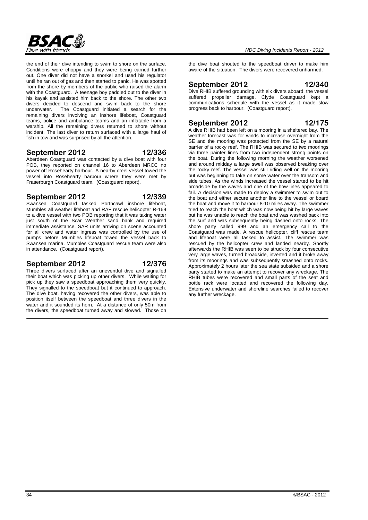

the end of their dive intending to swim to shore on the surface. Conditions were choppy and they were being carried further out. One diver did not have a snorkel and used his regulator until he ran out of gas and then started to panic. He was spotted from the shore by members of the public who raised the alarm with the Coastguard. A teenage boy paddled out to the diver in his kayak and assisted him back to the shore. The other two divers decided to descend and swim back to the shore underwater. The Coastguard initiated a search for the remaining divers involving an inshore lifeboat, Coastguard teams, police and ambulance teams and an inflatable from a warship. All the remaining divers returned to shore without incident. The last diver to return surfaced with a large haul of fish in tow and was surprised by all the attention.

#### **September 2012 12/336**

Aberdeen Coastguard was contacted by a dive boat with four POB, they reported on channel 16 to Aberdeen MRCC no power off Rosehearty harbour. A nearby creel vessel towed the vessel into Rosehearty harbour where they were met by Fraserburgh Coastguard team. (Coastguard report).

#### **September 2012 12/339**

Swansea Coastguard tasked Porthcawl inshore lifeboat, Mumbles all weather lifeboat and RAF rescue helicopter R-169 to a dive vessel with two POB reporting that it was taking water just south of the Scar Weather sand bank and required immediate assistance. SAR units arriving on scene accounted for all crew and water ingress was controlled by the use of pumps before Mumbles lifeboat towed the vessel back to Swansea marina. Mumbles Coastguard rescue team were also in attendance. (Coastguard report).

#### **September 2012 12/376**

Three divers surfaced after an uneventful dive and signalled their boat which was picking up other divers. While waiting for pick up they saw a speedboat approaching them very quickly. They signalled to the speedboat but it continued to approach. The dive boat, having recovered the other divers, was able to position itself between the speedboat and three divers in the water and it sounded its horn. At a distance of only 50m from the divers, the speedboat turned away and slowed. Those on the dive boat shouted to the speedboat driver to make him aware of the situation. The divers were recovered unharmed.

#### **September 2012 12/340**

Dive RHIB suffered grounding with six divers aboard, the vessel suffered propeller damage. Clyde Coastguard kept a communications schedule with the vessel as it made slow progress back to harbour. (Coastguard report).

### **September 2012 12/175**

A dive RHIB had been left on a mooring in a sheltered bay. The weather forecast was for winds to increase overnight from the SE and the mooring was protected from the SE by a natural barrier of a rocky reef. The RHIB was secured to two moorings via three painter lines from two independent strong points on the boat. During the following morning the weather worsened and around midday a large swell was observed breaking over the rocky reef. The vessel was still riding well on the mooring but was beginning to take on some water over the transom and side tubes. As the winds increased the vessel started to be hit broadside by the waves and one of the bow lines appeared to fail. A decision was made to deploy a swimmer to swim out to the boat and either secure another line to the vessel or board the boat and move it to harbour 8-10 miles away. The swimmer tried to reach the boat which was now being hit by large waves but he was unable to reach the boat and was washed back into the surf and was subsequently being dashed onto rocks. The shore party called 999 and an emergency call to the Coastguard was made. A rescue helicopter, cliff rescue team and lifeboat were all tasked to assist. The swimmer was rescued by the helicopter crew and landed nearby. Shortly afterwards the RHIB was seen to be struck by four consecutive very large waves, turned broadside, inverted and it broke away from its moorings and was subsequently smashed onto rocks. Approximately 2 hours later the sea state subsided and a shore party started to make an attempt to recover any wreckage. The RHIB tubes were recovered and small parts of the seat and bottle rack were located and recovered the following day. Extensive underwater and shoreline searches failed to recover any further wreckage.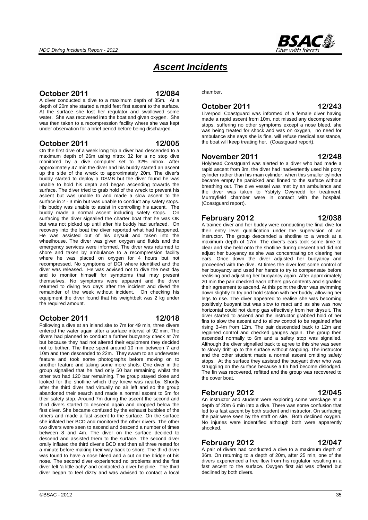

# *Ascent Incidents*

### **October 2011 12/084**

A diver conducted a dive to a maximum depth of 35m. At a depth of 20m she started a rapid feet first ascent to the surface. At the surface she lost her regulator and swallowed some water. She was recovered into the boat and given oxygen. She was then taken to a recompression facility where she was kept under observation for a brief period before being discharged.

#### **October 2011 12/005**

On the first dive of a week long trip a diver had descended to a maximum depth of 26m using nitrox 32 for a no stop dive monitored by a dive computer set to 32% nitrox. After approximately 47 min the diver and his buddy started an ascent up the side of the wreck to approximately 20m. The diver's buddy started to deploy a DSMB but the diver found he was unable to hold his depth and began ascending towards the surface. The diver tried to grab hold of the wreck to prevent his ascent but was unable to and made a slow ascent to the surface in 2 - 3 min but was unable to conduct any safety stops. His buddy was unable to assist in controlling his ascent. The buddy made a normal ascent including safety stops. On surfacing the diver signalled the charter boat that he was OK but was not picked up until after his buddy had surfaced. On recovery into the boat the diver reported what had happened. He was assisted out of his drysuit and taken into the wheelhouse. The diver was given oxygen and fluids and the emergency services were informed. The diver was returned to shore and taken by ambulance to a recompression facility where he was placed on oxygen for 4 hours but not recompressed. No symptoms of DCI where identified and the diver was released. He was advised not to dive the next day and to monitor himself for symptoms that may present themselves. No symptoms were apparent and the diver returned to diving two days after the incident and dived the remainder of the week without incident. On checking his equipment the diver found that his weightbelt was 2 kg under the required amount.

### **October 2011 12/018**

#### Following a dive at an inland site to 7m for 49 min, three divers entered the water again after a surface interval of 92 min. The divers had planned to conduct a further buoyancy check at 7m but because they had not altered their equipment they decided not to bother. The three spent around 10 min between 7 and 10m and then descended to 22m. They swam to an underwater feature and took some photographs before moving on to another feature and taking some more shots. One diver in the group signalled that he had only 50 bar remaining whilst the other two had 120 bar remaining. The group stayed close and looked for the shotline which they knew was nearby. Shortly after the third diver had virtually no air left and so the group abandoned their search and made a normal ascent to 5m for their safety stop. Around 7m during the ascent the second and third divers started to descend again and dropped below the first diver. She became confused by the exhaust bubbles of the others and made a fast ascent to the surface. On the surface she inflated her BCD and monitored the other divers. The other two divers were seen to ascend and descend a number of times between 8 and 4m. The diver on the surface decided to descend and assisted them to the surface. The second diver orally inflated the third diver's BCD and then all three rested for a minute before making their way back to shore. The third diver was found to have a nose bleed and a cut on the bridge of his nose. The second diver experienced no problems and the first diver felt 'a little achy' and contacted a diver helpline. The third diver began to feel dizzy and was advised to contact a local

chamber.

#### **October 2011 12/243**

Liverpool Coastguard was informed of a female diver having made a rapid ascent from 10m, not missed any decompression stops, suffering no other symptoms except a nose bleed, she was being treated for shock and was on oxygen, no need for ambulance she says she is fine, will refuse medical assistance, the boat will keep treating her. (Coastguard report).

#### **November 2011 12/248**

Holyhead Coastguard was alerted to a diver who had made a rapid ascent from 3m, the diver had inadvertently used his pony cylinder rather than his main cylinder, when this smaller cylinder became empty he panicked and finned to the surface without breathing out. The dive vessel was met by an ambulance and the diver was taken to Ysbtyty Gwynedd for treatment. Murrayfield chamber were in contact with the hospital. (Coastguard report).

#### **February 2012 12/038**

# A trainee diver and her buddy were conducting the final dive for their entry level qualification under the supervision of an

instructor. The group descended a shotline to a wreck at a maximum depth of 17m. The diver's ears took some time to clear and she held onto the shotline during descent and did not adjust her buoyancy as she was concentrating on clearing her ears. Once down the diver adjusted her buoyancy and proceeded with the dive. At times the diver lost some control of her buoyancy and used her hands to try to compensate before realising and adjusting her buoyancy again. After approximately 20 min the pair checked each others gas contents and signalled their agreement to ascend. At this point the diver was swimming down slightly to try and hold station with her buddy, allowing her legs to rise. The diver appeared to realise she was becoming positively buoyant but was slow to react and as she was now horizontal could not dump gas effectively from her drysuit. The diver started to ascend and the instructor grabbed hold of her fins to slow the ascent and to allow control to be regained after rising 3-4m from 12m. The pair descended back to 12m and regained control and checked gauges again. The group then ascended normally to 6m and a safety stop was signalled. Although the diver signalled back to agree to this she was seen to slowly drift up to the surface without stopping. The instructor and the other student made a normal ascent omitting safety stops. At the surface they assisted the buoyant diver who was struggling on the surface because a fin had become dislodged. The fin was recovered, refitted and the group was recovered to the cover boat.

### **February 2012 12/045**

An instructor and student were exploring some wreckage at a depth of 20m 6 min into a dive. There was some confusion that led to a fast ascent by both student and instructor. On surfacing the pair were seen by the staff on site. Both declined oxygen. No injuries were indentified although both were apparently shocked.

### **February 2012 12/047**

A pair of divers had conducted a dive to a maximum depth of 36m. On returning to a depth of 20m, after 25 min, one of the divers experienced a free flow from his regulator resulting in a fast ascent to the surface. Oxygen first aid was offered but declined by both divers.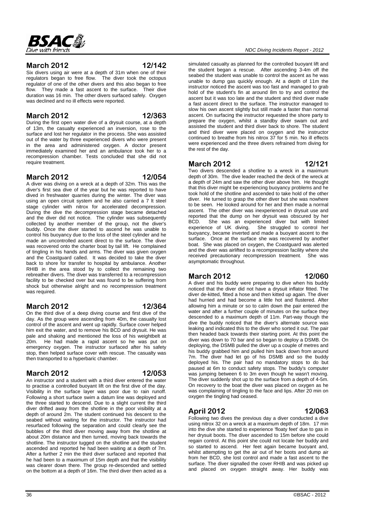

#### **March 2012 12/142**

Six divers using air were at a depth of 31m when one of their regulators began to free flow. The diver took the octopus regulator of one of the other divers and this also began to free flow. They made a fast ascent to the surface. Their dive duration was 16 min. The other divers surfaced safely. Oxygen was declined and no ill effects were reported.

### **March 2012 12/363**

During the first open water dive of a drysuit course, at a depth of 13m, the casualty experienced an inversion, rose to the surface and lost her regulator in the process. She was assisted out of the water by three experienced divers who were present in the area and administered oxygen. A doctor present immediately examined her and an ambulance took her to a recompression chamber. Tests concluded that she did not require treatment.

#### **March 2012 12/054**

A diver was diving on a wreck at a depth of 32m. This was the diver's first sea dive of the year but he was reported to have dived in freshwater quarries during the winter. The diver was using an open circuit system and he also carried a 7 lt steel stage cylinder with nitrox for accelerated decompression. During the dive the decompression stage became detached and the diver did not notice. The cylinder was subsequently collected by another member of the group, not the diver's buddy. Once the diver started to ascend he was unable to control his buoyancy due to the loss of the steel cylinder and he made an uncontrolled ascent direct to the surface. The diver was recovered onto the charter boat by tail lift. He complained of tingling in his hands and arms. The diver was given oxygen and the Coastguard called. It was decided to take the diver back to shore for transfer to hospital by ambulance. Another RHIB in the area stood by to collect the remaining two rebreather divers. The diver was transferred to a recompression facility to be checked over but was found to be suffering from shock but otherwise alright and no recompression treatment was required.

#### **March 2012 12/364**

On the third dive of a deep diving course and first dive of the day. As the group were ascending from 40m, the casualty lost control of the ascent and went up rapidly. Surface cover helped him exit the water, and to remove his BCD and drysuit. He was pale and shaking and mentioned the loss of his weightbelt at 20m. He had made a rapid ascent so he was put on emergency oxygen. The instructor surfaced after his safety stop, then helped surface cover with rescue. The casualty was then transported to a hyperbaric chamber.

### **March 2012 12/053**

An instructor and a student with a third diver entered the water to practise a controlled buoyant lift on the first dive of the day. Visibility in the surface layer was poor due to rain runoff. Following a short surface swim a datum line was deployed and the three started to descend. Due to a slight current the third diver drifted away from the shotline in the poor visibility at a depth of around 2m. The student continued his descent to the seabed without waiting for the instructor. The instructor had resurfaced following the separation and could clearly see the bubbles of the third diver moving away from the shotline at about 20m distance and then turned, moving back towards the shotline. The instructor tugged on the shotline and the student ascended and reported he had been waiting at a depth of 7m. After a further 2 min the third diver surfaced and reported that he had been to a maximum of 15m depth and that the visibility was clearer down there. The group re-descended and settled on the bottom at a depth of 16m. The third diver then acted as a

simulated casualty as planned for the controlled buoyant lift and the student began a rescue. After ascending 3-4m off the seabed the student was unable to control the ascent as he was unable to dump gas quickly enough. At a depth of 11m the instructor noticed the ascent was too fast and managed to grab hold of the student's fin at around 8m to try and control the ascent but it was too late and the student and third diver made a fast ascent direct to the surface. The instructor managed to slow his own ascent slightly but still made a faster than normal ascent. On surfacing the instructor requested the shore party to prepare the oxygen, whilst a standby diver swam out and assisted the student and third diver back to shore. The student and third diver were placed on oxygen and the instructor continued to breathe from his nitrox 37 for 5 min. No ill effects were experienced and the three divers refrained from diving for the rest of the day.

#### **March 2012 12/121**

Two divers descended a shotline to a wreck in a maximum depth of 30m. The dive leader reached the deck of the wreck at a depth of 24m and saw the other diver above him. He thought that this diver might be experiencing buoyancy problems and he took hold of the shotline and ascended to take hold of the other diver. He turned to grasp the other diver but she was nowhere to be seen. He looked around for her and then made a normal ascent. The other diver was inexperienced in drysuit use and reported that the dump on her drysuit was obscured by her BCD. She was an experienced diver but with limited experience of UK diving. She struggled to control her buoyancy, became inverted and made a buoyant ascent to the surface. Once at the surface she was recovered by another boat. She was placed on oxygen, the Coastguard was alerted and the diver was airlifted to a recompression facility where she received precautionary recompression treatment. She was asymptomatic throughout.

#### **March 2012 12/060**

A diver and his buddy were preparing to dive when his buddy noticed that the diver did not have a drysuit inflator fitted. The diver de-kitted, fitted a hose and then kitted up again. The diver had hurried and had become a little hot and flustered. After allowing him a minute or so to calm down the pair entered the water and after a further couple of minutes on the surface they descended to a maximum depth of 11m. Part-way though the dive the buddy noticed that the diver's alternate source was leaking and indicated this to the diver who sorted it out. The pair then headed back towards their starting point. At this point the diver was down to 70 bar and so began to deploy a DSMB. On deploying, the DSMB pulled the diver up a couple of metres and his buddy grabbed him and pulled him back down from around 7m. The diver had let go of his DSMB and so the buddy deployed his. The pair had no mandatory stops to do but paused at 6m to conduct safety stops. The buddy's computer was jumping between 6 to 3m even though he wasn't moving. The diver suddenly shot up to the surface from a depth of 4-5m. On recovery to the boat the diver was placed on oxygen as he was complaining of tingling to the face and lips. After 20 min on oxygen the tingling had ceased.

# **April 2012 12/063**

Following two dives the previous day a diver conducted a dive using nitrox 32 on a wreck at a maximum depth of 18m. 17 min into the dive she started to experience 'floaty feet' due to gas in her drysuit boots. The diver ascended to 15m before she could regain control. At this point she could not locate her buddy and so started to ascend. Her feet again became buoyant and, whilst attempting to get the air out of her boots and dump air from her BCD, she lost control and made a fast ascent to the surface. The diver signalled the cover RHIB and was picked up and placed on oxygen straight away. Her buddy was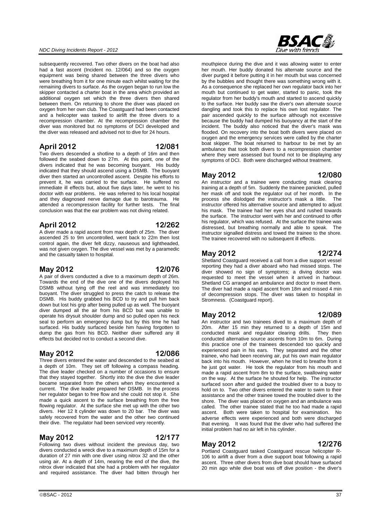### *NDC Diving Incidents Report - 2012*

subsequently recovered. Two other divers on the boat had also had a fast ascent (Incident no. 12/064) and so the oxygen equipment was being shared between the three divers who were breathing from it for one minute each whilst waiting for the remaining divers to surface. As the oxygen began to run low the skipper contacted a charter boat in the area which provided an additional oxygen set which the three divers then shared between them. On returning to shore the diver was placed on oxygen from her own club. The Coastguard had been contacted and a helicopter was tasked to airlift the three divers to a recompression chamber. At the recompression chamber the diver was monitored but no symptoms of DCI developed and the diver was released and advised not to dive for 24 hours.

#### **April 2012 12/081**

Two divers descended a shotline to a depth of 16m and then followed the seabed down to 27m. At this point, one of the divers indicated that he was becoming buoyant. His buddy indicated that they should ascend using a DSMB. The buoyant diver then started an uncontrolled ascent. Despite his efforts to prevent it, he was carried to the surface. He suffered no immediate ill effects but, about five days later, he went to his doctor with ear problems. He was referred to his local hospital and they diagnosed nerve damage due to barotrauma. He attended a recompression facility for further tests. The final conclusion was that the ear problem was not diving related.

#### **April 2012 12/262**

A diver made a rapid ascent from max depth of 25m. The diver ascended 25 to 9m uncontrolled, went back to 22m then lost control again, the diver felt dizzy, nauseous and lightheaded, was not given oxygen. The dive vessel was met by a paramedic and the casualty taken to hospital.

#### **May 2012 12/076**

A pair of divers conducted a dive to a maximum depth of 26m. Towards the end of the dive one of the divers deployed his DSMB without tying off the reel and was immediately too buoyant. The diver struggled to press the catch to release the DSMB. His buddy grabbed his BCD to try and pull him back down but lost his grip after being pulled up as well. The buoyant diver dumped all the air from his BCD but was unable to operate his drysuit shoulder dump and so pulled open his neck seal to perform an emergency dump but by this time he had surfaced. His buddy surfaced beside him having forgotten to dump the gas from his BCD. Neither diver suffered any ill effects but decided not to conduct a second dive.

#### **May 2012 12/086**

Three divers entered the water and descended to the seabed at a depth of 10m. They set off following a compass heading. The dive leader checked on a number of occasions to ensure that they stayed together. Shortly into the dive the dive leader became separated from the others when they encountered a current. The dive leader prepared her DSMB. In the process her regulator began to free flow and she could not stop it. She made a quick ascent to the surface breathing from the free flowing regulator. At the surface she met up with the other two divers. Her 12 lt cylinder was down to 20 bar. The diver was safely recovered from the water and the other two continued their dive. The regulator had been serviced very recently.

#### **May 2012 12/177**

Following two dives without incident the previous day, two divers conducted a wreck dive to a maximum depth of 15m for a duration of 27 min with one diver using nitrox 32 and the other using air. At a depth of 14m, nearing the end of the dive, the nitrox diver indicated that she had a problem with her regulator and required assistance. The diver had bitten through her **BSAC&** 

mouthpiece during the dive and it was allowing water to enter her mouth. Her buddy donated his alternate source and the diver purged it before putting it in her mouth but was concerned by the bubbles and thought there was something wrong with it. As a consequence she replaced her own regulator back into her mouth but continued to get water, started to panic, took the regulator from her buddy's mouth and started to ascend quickly to the surface. Her buddy saw the diver's own alternate source dangling and took this to replace his own lost regulator. The pair ascended quickly to the surface although not excessive because the buddy had dumped his buoyancy at the start of the incident. The buddy also noticed that the diver's mask was flooded. On recovery into the boat both divers were placed on oxygen and the emergency services were called by the charter boat skipper. The boat returned to harbour to be met by an ambulance that took both divers to a recompression chamber where they were assessed but found not to be displaying any symptoms of DCI. Both were discharged without treatment.

#### **May 2012 12/080**

An instructor and a trainee were conducting mask clearing training at a depth of 5m. Suddenly the trainee panicked, pulled her mask off and took the regulator out of her month. In the process she dislodged the instructor's mask a little. The instructor offered his alternative source and attempted to adjust his mask. The trainee had her eyes shut and rushed towards the surface. The instructor went with her and continued to offer his regulator, which was refused. At the surface the trainee was distressed, but breathing normally and able to speak. The instructor signalled distress and towed the trainee to the shore. The trainee recovered with no subsequent ill effects.

#### **May 2012 12/274**

Shetland Coastguard received a call from a dive support vessel reporting they had a diver aboard who had missed stops. The diver showed no sign of symptoms; a diving doctor was requested to meet the vessel when it arrived in harbour. Shetland CG arranged an ambulance and doctor to meet them. The diver had made a rapid ascent from 18m and missed 4 min of decompression stops. The diver was taken to hospital in Stromness. (Coastquard report).

#### **May 2012 12/089**

An instructor and two trainees dived to a maximum depth of 20m. After 15 min they returned to a depth of 15m and conducted mask and regulator clearing drills. They then conducted alternative source ascents from 10m to 6m. During this practice one of the trainees descended too quickly and experienced pain in his ears. They separated and the other trainee, who had been receiving air, put his own main regulator back into his mouth. However, when he tried to breathe from it he just got water. He took the regulator from his mouth and made a rapid ascent from 8m to the surface, swallowing water on the way. At the surface he shouted for help. The instructor surfaced soon after and guided the troubled diver to a buoy to hold on to. Two other divers entered the water to swim to their assistance and the other trainee towed the troubled diver to the shore. The diver was placed on oxygen and an ambulance was called. The other trainee stated that he too had made a rapid ascent. Both were taken to hospital for examination. No adverse effects were experienced and both were discharged that evening. It was found that the diver who had suffered the initial problem had no air left in his cylinder.

#### **May 2012 12/276**

Portland Coastguard tasked Coastguard rescue helicopter R-106 to airlift a diver from a dive support boat following a rapid ascent. Three other divers from dive boat should have surfaced 20 min ago while dive boat was off dive position - the diver's

#### $\odot$ BSAC - 2012  $\ddot{\hspace{1cm}}$  37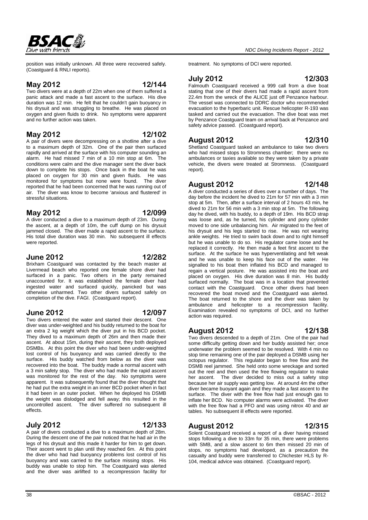

position was initially unknown. All three were recovered safely. (Coastguard & RNLI reports).

#### **May 2012 12/144**

Two divers were at a depth of 22m when one of them suffered a panic attack and made a fast ascent to the surface. His dive duration was 12 min. He felt that he couldn't gain buoyancy in his drysuit and was struggling to breathe. He was placed on oxygen and given fluids to drink. No symptoms were apparent and no further action was taken.

#### **May 2012 12/102**

A pair of divers were decompressing on a shotline after a dive to a maximum depth of 32m. One of the pair then surfaced rapidly and arrived at the surface with his computer sounding an alarm. He had missed 7 min of a 10 min stop at 6m. The conditions were calm and the dive manager sent the diver back down to complete his stops. Once back in the boat he was placed on oxygen for 30 min and given fluids. He was monitored for symptoms but none were found. The diver reported that he had been concerned that he was running out of air. The diver was know to become 'anxious and flustered' in stressful situations.

#### **May 2012 12/099**

A diver conducted a dive to a maximum depth of 23m. During the ascent, at a depth of 10m, the cuff dump on his drysuit jammed closed. The diver made a rapid ascent to the surface. His total dive duration was 30 min. No subsequent ill effects were reported.

#### **June 2012 12/282**

Brixham Coastguard was contacted by the beach master at Livermead beach who reported one female shore diver had surfaced in a panic. Two others in the party remained unaccounted for. It was established the female diver had ingested water and surfaced quickly, panicked but was otherwise unharmed. Two other divers surfaced safely on completion of the dive. FAGI. (Coastguard report).

#### **June 2012 12/097**

Two divers entered the water and started their descent. One diver was under-weighted and his buddy returned to the boat for an extra 2 kg weight which the diver put in his BCD pocket. They dived to a maximum depth of 26m and then made their ascent. At about 15m, during their ascent, they both deployed DSMBs. At this point the diver who had been under-weighted lost control of his buoyancy and was carried directly to the surface. His buddy watched from below as the diver was recovered into the boat. The buddy made a normal ascent with a 3 min safety stop. The diver who had made the rapid ascent was monitored for the rest of the day. No symptoms were apparent. It was subsequently found that the diver thought that he had put the extra weight in an inner BCD pocket when in fact it had been in an outer pocket. When he deployed his DSMB the weight was dislodged and fell away; this resulted in the uncontrolled ascent. The diver suffered no subsequent ill effects.

#### **July 2012 12/133**

A pair of divers conducted a dive to a maximum depth of 28m. During the descent one of the pair noticed that he had air in the legs of his drysuit and this made it harder for him to get down. Their ascent went to plan until they reached 6m. At this point the diver who had had buoyancy problems lost control of his buoyancy and was carried to the surface missing stops. His buddy was unable to stop him. The Coastguard was alerted and the diver was airlifted to a recompression facility for

#### treatment. No symptoms of DCI were reported.

### **July 2012 12/303**

Falmouth Coastguard received a 999 call from a dive boat stating that one of their divers had made a rapid ascent from 22.4m from the wreck of the ALICE just off Penzance harbour. The vessel was connected to DDRC doctor who recommended evacuation to the hyperbaric unit. Rescue helicopter R-193 was tasked and carried out the evacuation. The dive boat was met by Penzance Coastguard team on arrival back at Penzance and safety advice passed. (Coastguard report).

#### **August 2012 12/310**

Shetland Coastguard tasked an ambulance to take two divers who had missed stops to Stromness chamber; there were no ambulances or taxies available so they were taken by a private vehicle, the divers were treated at Stromness. (Coastguard report).

#### **August 2012 12/148**

A diver conducted a series of dives over a number of days. The day before the incident he dived to 21m for 57 min with a 3 min stop at 5m. Then, after a surface interval of 2 hours 43 min, he dived to 21m for 56 min with a 3 min stop at 5m. The following day he dived, with his buddy, to a depth of 19m. His BCD strap was loose and, as he turned, his cylinder and pony cylinder moved to one side unbalancing him. Air migrated to the feet of his drysuit and his legs started to rise. He was not wearing ankle weights. He tried to swim back down and to right himself but he was unable to do so. His regulator came loose and he replaced it correctly. He then made a feet first ascent to the surface. At the surface he was hyperventilating and felt weak and he was unable to keep his face out of the water. He signalled to his boat then inflated his BCD and managed to regain a vertical posture. He was assisted into the boat and placed on oxygen. His dive duration was 8 min. His buddy surfaced normally. The boat was in a location that prevented contact with the Coastguard. Once other divers had been recovered the boat moved and the Coastguard was alerted. The boat returned to the shore and the diver was taken by ambulance and helicopter to a recompression facility. Examination revealed no symptoms of DCI, and no further action was required.

# **August 2012 12/138**

Two divers descended to a depth of 21m. One of the pair had some difficulty getting down and her buddy assisted her; once underwater the problem seemed to be resolved. With 4 min no stop time remaining one of the pair deployed a DSMB using her octopus regulator. This regulator began to free flow and the DSMB reel jammed. She held onto some wreckage and sorted out the reel and then used the free flowing regulator to make her ascent. The diver decided to miss out a safety stop because her air supply was getting low. At around 4m the other diver became buoyant again and they made a fast ascent to the surface. The diver with the free flow had just enough gas to inflate her BCD. No computer alarms were activated. The diver with the free flow had a PFO and was using nitrox 40 and air tables. No subsequent ill effects were reported.

### **August 2012 12/315**

Solent Coastguard received a report of a diver having missed stops following a dive to  $33m$  for  $35$  min, there were problems with SMB, and a slow ascent to 6m then missed 20 min of stops, no symptoms had developed, as a precaution the casualty and buddy were transferred to Chichester HLS by R-104, medical advice was obtained. (Coastguard report).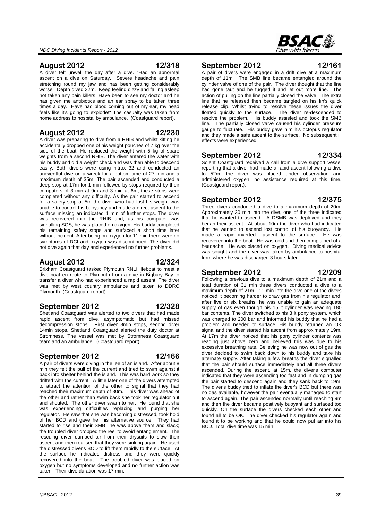#### **August 2012 12/318**

A diver felt unwell the day after a dive. "Had an abnormal ascent on a dive on Saturday. Severe headache and pain stretching round my jaw and has been getting considerably worse. Depth dived 32m. Keep feeling dizzy and falling asleep not taken any pain killers. Have been to see my doctor and he has given me antibiotics and an ear spray to be taken three times a day. Have had blood coming out of my ear, my head feels like it's going to explode!" The casualty was taken from home address to hospital by ambulance. (Coastguard report).

#### **August 2012 12/230**

A diver was preparing to dive from a RHIB and whilst kitting he accidentally dropped one of his weight pouches of 7 kg over the side of the boat. He replaced the weight with 5 kg of spare weights from a second RHIB. The diver entered the water with his buddy and did a weight check and was then able to descend easily. Both divers were using nitrox 32 and conducted an uneventful dive on a wreck for a bottom time of 27 min and a maximum depth of 35m. The pair ascended and conducted a deep stop at 17m for 1 min followed by stops required by their computers of 3 min at 9m and 3 min at 6m; these stops were completed without any difficulty. As the pair started to ascend for a safety stop at 5m the diver who had lost his weight was unable to control his buoyancy and made a direct ascent to the surface missing an indicated 1 min of further stops. The diver was recovered into the RHIB and, as his computer was signalling SOS, he was placed on oxygen. His buddy completed his remaining safety stops and surfaced a short time later without incident. After being on oxygen for 11 min there were no symptoms of DCI and oxygen was discontinued. The diver did not dive again that day and experienced no further problems.

### **August 2012 12/324**

Brixham Coastguard tasked Plymouth RNLI lifeboat to meet a dive boat en route to Plymouth from a dive in Bigbury Bay to transfer a diver who had experienced a rapid assent. The diver was met by west country ambulance and taken to DDRC Plymouth (Coastguard report).

#### **September 2012 12/328**

Shetland Coastguard was alerted to two divers that had made rapid ascent from dive, asymptomatic but had missed decompression stops. First diver 8min stops, second diver 14min stops. Shetland Coastguard alerted the duty doctor at Stromness. The vessel was met by Stromness Coastguard team and an ambulance. (Coastguard report).

### **September 2012 12/166**

A pair of divers were diving in the lee of an island. After about 8 min they felt the pull of the current and tried to swim against it back into shelter behind the island. This was hard work so they drifted with the current. A little later one of the divers attempted to attract the attention of the other to signal that they had reached their maximum depth of 30m. This diver was ahead of the other and rather than swim back she took her regulator out and shouted. The other diver swam to her. He found that she was experiencing difficulties replacing and purging her regulator. He saw that she was becoming distressed, took hold of her BCD and gave her his alternative source. They had started to rise and their SMB line was above them and slack; the troubled diver dropped the reel to avoid entanglement. The rescuing diver dumped air from their drysuits to slow their ascent and then realised that they were sinking again. He used the distressed diver's BCD to lift them rapidly to the surface. At the surface he indicated distress and they were quickly recovered into the boat. The troubled diver was placed on oxygen but no symptoms developed and no further action was taken. Their dive duration was 17 min.

#### **September 2012 12/161**

A pair of divers were engaged in a drift dive at a maximum depth of 11m. The SMB line became entangled around the cylinder valve of one of the pair. The diver thought that the line had gone taut and he tugged it and let out more line. The action of pulling on the line partially closed the valve. The extra line that he released then became tangled on his fin's quick release clip. Whilst trying to resolve these issues the diver floated quickly to the surface. The diver re-descended to resolve the problem. His buddy assisted and took the SMB line. The partially closed valve caused his cylinder pressure gauge to fluctuate. His buddy gave him his octopus regulator and they made a safe ascent to the surface. No subsequent ill effects were experienced.

# **September 2012 12/334**

Solent Coastguard received a call from a dive support vessel reporting that a diver had made a rapid ascent following a dive to 52m; the diver was placed under observation and administered oxygen, no assistance required at this time. (Coastguard report).

## **September 2012 12/375**

Three divers conducted a dive to a maximum depth of 20m. Approximately 30 min into the dive, one of the three indicated that he wanted to ascend. A DSMB was deployed and they began their ascent. At about 10m the diver who had indicated that he wanted to ascend lost control of his buoyancy. He made a rapid inverted ascent to the surface. He was recovered into the boat. He was cold and then complained of a headache. He was placed on oxygen. Diving medical advice was sought and the diver was taken by ambulance to hospital from where he was discharged 3 hours later.

# **September 2012 12/209**

Following a previous dive to a maximum depth of 21m and a total duration of 31 min three divers conducted a dive to a maximum depth of 21m. 11 min into the dive one of the divers noticed it becoming harder to draw gas from his regulator and, after five or six breaths, he was unable to gain an adequate supply of gas even though his 15 lt cylinder was reading 180 bar contents. The diver switched to his 3 lt pony system, which was charged to 200 bar and informed his buddy that he had a problem and needed to surface. His buddy returned an OK signal and the diver started his ascent from approximately 19m. At 17m the diver noticed that his pony cylinder contents was reading just above zero and believed this was due to his excessive breathing rate. Believing he was now out of gas the diver decided to swim back down to his buddy and take his alternate supply. After taking a few breaths the diver signalled that the pair should surface immediately and all three divers ascended. During the ascent, at 15m, the diver's computer indicated that they were ascending too fast and in dumping gas the pair started to descend again and they sank back to 19m. The diver's buddy tried to inflate the diver's BCD but there was no gas available, however the pair eventually managed to start to ascend again. The pair ascended normally until reaching 9m and then the diver became positively buoyant and surfaced too quickly. On the surface the divers checked each other and found all to be OK. The diver checked his regulator again and

found it to be working and that he could now put air into his

BCD. Total dive time was 15 min.

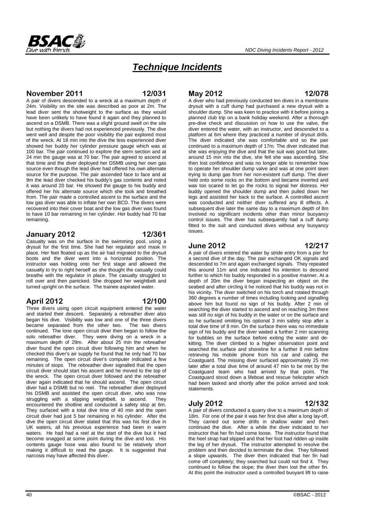# *Technique Incidents*

### **November 2011 12/031**

A pair of divers descended to a wreck at a maximum depth of 24m. Visibility on the site was described as poor at 2m. The lead diver sent the shotweight to the surface as they would have been unlikely to have found it again and they planned to ascend on a DSMB. There was a slight ground swell on the site but nothing the divers had not experienced previously. The dive went well and despite the poor visibility the pair explored most of the wreck. At 18 min into the dive the less experienced diver showed her buddy her cylinder pressure gauge which was at 100 bar. The pair continued to explore the stern section and at 24 min the gauge was at 70 bar. The pair agreed to ascend at that time and the diver deployed her DSMB using her own gas source even though the lead diver had offered his own alternate source for the purpose. The pair ascended face to face and at 9m the lead diver checked his buddy's gas contents and noted it was around 20 bar. He showed the gauge to his buddy and offered her his alternate source which she took and breathed from. The pair made a controlled ascent to the surface and the low gas diver was able to inflate her own BCD. The divers were recovered into their cover boat and the low gas diver was found to have 10 bar remaining in her cylinder. Her buddy had 70 bar remaining.

#### **January 2012 12/361**

Casualty was on the surface in the swimming pool, using a drysuit for the first time. She had her regulator and mask in place. Her feet floated up as the air had migrated to the drysuit boots and the diver went into a horizontal position. The instructor was holding onto her first stage and allowed the casualty to try to right herself as she thought the casualty could breathe with the regulator in place. The casualty struggled to roll over and then panicked. She dropped her weightbelt and turned upright on the surface. The trainee aspirated water.

#### **April 2012 12/100**

Three divers using open circuit equipment entered the water and started their descent. Separately a rebreather diver also began his dive. Visibility was low and one of the three divers became separated from the other two. The two divers continued. The lone open circuit diver then began to follow the solo rebreather diver. They were diving on a wreck in a maximum depth of 29m. After about 25 min the rebreather diver found the open circuit diver following him and when he checked this diver's air supply he found that he only had 70 bar remaining. The open circuit diver's computer indicated a few minutes of stops. The rebreather diver signalled that the open circuit diver should start his ascent and he moved to the top of the wreck. The open circuit diver followed and the rebreather diver again indicated that he should ascend. The open circuit diver had a DSMB but no reel. The rebreather diver deployed his DSMB and assisted the open circuit diver, who was now struggling with a slipping weightbelt, to ascend. They encountered the shotline and conducted a safety stop at 6m. They surfaced with a total dive time of 40 min and the open circuit diver had just 5 bar remaining in his cylinder. After the dive the open circuit diver stated that this was his first dive in UK waters, all his previous experience had been in warm waters. He had had a reel at the start of the dive but it had become snagged at some point during the dive and lost. His contents gauge hose was also found to be relatively short making it difficult to read the gauge. It is suggested that narcosis may have affected this diver.

#### **May 2012 12/078**

A diver who had previously conducted ten dives in a membrane drysuit with a cuff dump had purchased a new drysuit with a shoulder dump. She was keen to practice with it before joining a planned club trip on a bank holiday weekend. After a thorough pre-dive check and discussion on how to use the valve, the diver entered the water, with an instructor, and descended to a platform at 6m where they practiced a number of drysuit drills. The diver indicated she was comfortable and so the pair continued to a maximum depth of 17m. The diver indicated that she was enjoying the dive and that the suit was good but later, around 15 min into the dive, she felt she was ascending. She then lost confidence and was no longer able to remember how to operate her shoulder dump valve and was at one point seen trying to dump gas from her non-existent cuff dump. The diver held onto some rocks on the bottom and became inverted and was too scared to let go the rocks to signal her distress. Her buddy opened the shoulder dump and then pulled down her legs and assisted her back to the surface. A controlled ascent was conducted and neither diver suffered any ill effects. A subsequent dive later the same day to a maximum depth of 8m involved no significant incidents other than minor buoyancy control issues. The diver has subsequently had a cuff dump fitted to the suit and conducted dives without any buoyancy issues.

### **June 2012 12/217**

A pair of divers entered the water by stride entry from a pier for a second dive of the day. The pair exchanged OK signals and descended to 7m and again exchanged signals. They repeated this around 11m and one indicated his intention to descend further to which his buddy responded in a positive manner. At a depth of 20m the diver began inspecting an object on the seabed and after circling it he noticed that his buddy was not in his vicinity. The diver switched on his torch and rotated through 360 degrees a number of times including looking and signalling above him but found no sign of his buddy. After 2 min of searching the diver started to ascend and on reaching 3m there was still no sign of his buddy in the water or on the surface and so he surfaced omitting his optional 3 min safety stop after a total dive time of 9 min. On the surface there was no immediate sign of his buddy and the diver waited a further 2 min scanning for bubbles on the surface before exiting the water and dekitting. The diver climbed to a higher observation point and searched the surface and shoreline for a further 8 min before retrieving his mobile phone from his car and calling the Coastguard. The missing diver surfaced approximately 25 min later after a total dive time of around 47 min to be met by the Coastguard team who had arrived by that point. The Coastguard stood down a lifeboat and rescue helicopter which had been tasked and shortly after the police arrived and took statements.

### **July 2012 12/132**

A pair of divers conducted a quarry dive to a maximum depth of 18m. For one of the pair it was her first dive after a long lay-off. They carried out some drills in shallow water and then continued the dive. After a while the diver indicated to her instructor that her fin had come loose. The instructor found that the heel strap had slipped and that her foot had ridden up inside the leg of her drysuit. The instructor attempted to resolve the problem and then decided to terminate the dive. They followed a slope upwards. The diver then indicated that her fin had come off completely; they searched but could not find it. They continued to follow the slope; the diver then lost the other fin. At this point the instructor used a controlled buoyant lift to raise

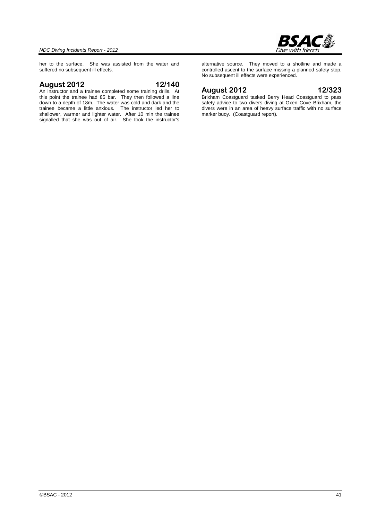

her to the surface. She was assisted from the water and suffered no subsequent ill effects.

#### **August 2012 12/140**

An instructor and a trainee completed some training drills. At this point the trainee had 85 bar. They then followed a line down to a depth of 18m. The water was cold and dark and the trainee became a little anxious. The instructor led her to shallower, warmer and lighter water. After 10 min the trainee signalled that she was out of air. She took the instructor's

alternative source. They moved to a shotline and made a controlled ascent to the surface missing a planned safety stop. No subsequent ill effects were experienced.

#### **August 2012 12/323**

Brixham Coastguard tasked Berry Head Coastguard to pass safety advice to two divers diving at Oxen Cove Brixham, the divers were in an area of heavy surface traffic with no surface marker buoy. (Coastguard report).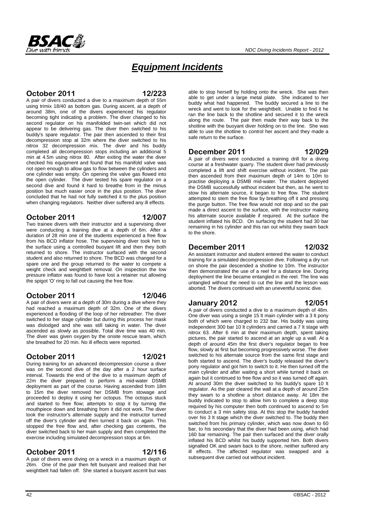

# *Equipment Incidents*

### **October 2011 12/223**

A pair of divers conducted a dive to a maximum depth of 55m using trimix 18/40 as bottom gas. During ascent, at a depth of around 38m, one of the divers experienced his regulator becoming tight indicating a problem. The diver changed to his second regulator on his manifolded twin-set which did not appear to be delivering gas. The diver then switched to his buddy's spare regulator. The pair then ascended to their first decompression stop at 32m where the diver switched to his nitrox 32 decompression mix. The diver and his buddy completed all decompression stops including an additional 5 min at 4.5m using nitrox 80. After exiting the water the diver checked his equipment and found that his manifold valve was not open enough to allow gas to flow between the cylinders and one cylinder was empty. On opening the valve gas flowed into the open cylinder. The diver tested his spare regulator on a second dive and found it hard to breathe from in the minus position but much easier once in the plus position. The diver concluded that he had not fully switched it to the plus position when changing regulators. Neither diver suffered any ill effects.

#### **October 2011 12/007**

Two trainee divers with their instructor and a supervising diver were conducting a training dive at a depth of 6m. After a duration of 28 min one of the students experienced a free flow from his BCD inflator hose. The supervising diver took him to the surface using a controlled buoyant lift and then they both returned to shore. The instructor surfaced with the second student and also returned to shore. The BCD was changed for a spare one and the group returned to the water to compete a weight check and weightbelt removal. On inspection the low pressure inflator was found to have lost a retainer nut allowing the spigot 'O' ring to fall out causing the free flow.

### **October 2011 12/046**

A pair of divers were at a depth of 30m during a dive where they had reached a maximum depth of 32m. One of the divers experienced a flooding of the loop of her rebreather. The diver switched to her stage cylinder but during this process her mask was dislodged and she was still taking in water. The diver ascended as slowly as possible. Total dive time was 40 min. The diver was given oxygen by the onsite rescue team, which she breathed for 20 min. No ill effects were reported.

### **October 2011 12/021**

During training for an advanced decompression course a diver was on the second dive of the day after a 2 hour surface interval. Towards the end of the dive to a maximum depth of 22m the diver prepared to perform a mid-water DSMB deployment as part of the course. Having ascended from 18m to 15m the diver removed her DSMB from stowage and proceeded to deploy it using her octopus. The octopus stuck and started to free flow; attempts to stop it by turning the mouthpiece down and breathing from it did not work. The diver took the instructor's alternate supply and the instructor turned off the diver's cylinder and then turned it back on again. This stopped the free flow and, after checking gas contents, the diver switched back to her main supply and then completed the exercise including simulated decompression stops at 6m.

### **October 2011 12/116**

A pair of divers were diving on a wreck in a maximum depth of 26m. One of the pair then felt buoyant and realised that her weightbelt had fallen off. She started a buoyant ascent but was able to stop herself by holding onto the wreck. She was then able to get under a large metal plate. She indicated to her buddy what had happened. The buddy secured a line to the wreck and went to look for the weightbelt. Unable to find it he ran the line back to the shotline and secured it to the wreck along the route. The pair then made their way back to the shotline with the buoyant diver holding on to the line. She was able to use the shotline to control her ascent and they made a safe return to the surface.

#### **December 2011 12/029**

A pair of divers were conducted a training drill for a diving course at a freshwater quarry. The student diver had previously completed a lift and shift exercise without incident. The pair then ascended from their maximum depth of 14m to 10m to practise deploying a DSMB mid-water. The student deployed the DSMB successfully without incident but then, as he went to stow his alternate source, it began to free flow. The student attempted to stem the free flow by breathing off it and pressing the purge button. The free flow would not stop and so the pair made a direct ascent to the surface, with the instructor making his alternate source available if required. At the surface the student inflated his BCD. On surfacing the student had 30 bar remaining in his cylinder and this ran out whilst they swam back to the shore.

#### **December 2011 12/032**

An assistant instructor and student entered the water to conduct training for a simulated decompression dive. Following a dry run on shore the pair descended a shotline to 10m. The instructor then demonstrated the use of a reel for a distance line. During deployment the line became entangled in the reel. The line was untangled without the need to cut the line and the lesson was aborted. The divers continued with an uneventful scenic dive.

#### **January 2012 12/051**

A pair of divers conducted a dive to a maximum depth of 48m. One diver was using a single 15 lt main cylinder with a 3 lt pony both of which were charged to 232 bar. His buddy was using independent 300 bar 10 lt cylinders and carried a 7 lt stage with nitrox 63. After 6 min at their maximum depth, spent taking pictures, the pair started to ascend at an angle up a wall. At a depth of around 45m the first diver's regulator began to free flow, slowly at first but becoming progressively worse. The diver switched to his alternate source from the same first stage and both started to ascend. The diver's buddy released the diver's pony regulator and got him to switch to it. He then turned off the main cylinder and after waiting a short while turned it back on again but it continued to free flow and so it was turned off again. At around 30m the diver switched to his buddy's spare 10 lt regulator. As the pair cleared the wall at a depth of around 25m they swam to a shotline a short distance away. At 18m the buddy indicated to stop to allow him to complete a deep stop required by his computer then both continued to ascend to 5m to conduct a 3 min safety stop. At this stop the buddy handed over his 3 lt stage which the diver switched to. The buddy then switched from his primary cylinder, which was now down to 60 bar, to his secondary that the diver had been using, which had 160 bar remaining. The pair then surfaced and the diver orally inflated his BCD whilst his buddy supported him. Both divers signalled OK and swam back to the shore, neither suffered any ill effects. The affected regulator was swapped and a subsequent dive carried out without incident.

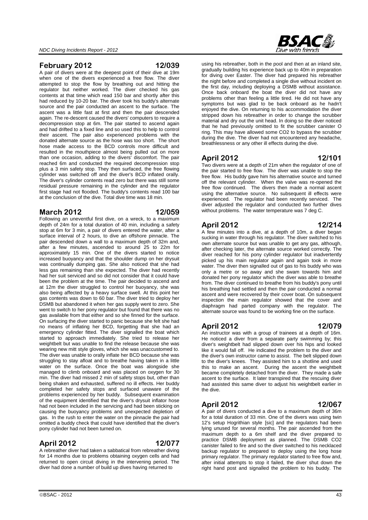#### **February 2012 12/039**

A pair of divers were at the deepest point of their dive at 19m when one of the divers experienced a free flow. The diver attempted to stop the flow by breathing out and hitting the regulator but neither worked. The diver checked his gas contents at that time which read 150 bar and shortly after this had reduced by 10-20 bar. The diver took his buddy's alternate source and the pair conducted an ascent to the surface. The ascent was a little fast at first and then the pair descended again. The re-descent caused the divers' computers to require a decompression stop at 6m. The pair started to ascend again and had drifted to a fixed line and so used this to help to control their ascent. The pair also experienced problems with the donated alternate source as the hose was too short. The short hose made access to the BCD controls more difficult and resulted in the mouthpiece almost being pulled out on more than one occasion, adding to the divers' discomfort. The pair reached 6m and conducted the required decompression stop plus a 3 min safety stop. They then surfaced, the free flowing cylinder was switched off and the diver's BCD inflated orally. The diver's cylinder contents read zero but there was still some residual pressure remaining in the cylinder and the regulator first stage had not flooded. The buddy's contents read 100 bar at the conclusion of the dive. Total dive time was 18 min.

#### **March 2012 12/059**

Following an uneventful first dive, on a wreck, to a maximum depth of 24m for a total duration of 40 min, including a safety stop at 6m for 3 min, a pair of divers entered the water, after a surface interval of 2 hours, to dive an offshore pinnacle. The pair descended down a wall to a maximum depth of 32m and, after a few minutes, ascended to around 25 to 22m for approximately 15 min. One of the divers started to notice increased buoyancy and that the shoulder dump on her drysuit was continually dumping gas. She also noticed that she had less gas remaining than she expected. The diver had recently had her suit serviced and so did not consider that it could have been the problem at the time. The pair decided to ascend and at 12m the diver struggled to control her buoyancy, she was also being affected by a heavy surface swell. At this point her gas contents was down to 60 bar. The diver tried to deploy her DSMB but abandoned it when her gas supply went to zero. She went to switch to her pony regulator but found that there was no gas available from that either and so she finned for the surface. On surfacing the diver started to panic because she felt she had no means of inflating her BCD, forgetting that she had an emergency cylinder fitted. The diver signalled the boat which started to approach immediately. She tried to release her weightbelt but was unable to find the release because she was wearing new mitt style gloves, which she was unaccustomed to. The diver was unable to orally inflate her BCD because she was struggling to stay afloat and to breathe having taken in a little water on the surface. Once the boat was alongside she managed to climb onboard and was placed on oxygen for 30 min. The diver had missed 2 min of safety stops but, other than being shaken and exhausted, suffered no ill effects. Her buddy completed her safety stops and surfaced unaware of the problems experienced by her buddy. Subsequent examination of the equipment identified that the diver's drysuit inflator hose had not been included in the servicing and had been sticking on causing the buoyancy problems and unexpected depletion of gas. In the rush to enter the water on the pinnacle the pair had omitted a buddy check that could have identified that the diver's pony cylinder had not been turned on.

#### **April 2012 12/077**

A rebreather diver had taken a sabbatical from rebreather diving for 14 months due to problems obtaining oxygen cells and had returned to open circuit diving in the intervening period. The diver had done a number of build up dives having returned to

using his rebreather, both in the pool and then at an inland site, gradually building his experience back up to 40m in preparation for diving over Easter. The diver had prepared his rebreather the night before and completed a single dive without incident on the first day, including deploying a DSMB without assistance. Once back onboard the boat the diver did not have any problems other than feeling a little tired. He did not have any symptoms but was glad to be back onboard as he hadn't enjoyed the dive. On returning to his accommodation the diver stripped down his rebreather in order to change the scrubber material and dry out the unit head. In doing so the diver noticed that he had previously omitted to fit the scrubber canister O ring. This may have allowed some CO2 to bypass the scrubber during the dive. The diver had not encountered any headache, breathlessness or any other ill effects during the dive.

### **April 2012 12/101**

Two divers were at a depth of 21m when the regulator of one of the pair started to free flow. The diver was unable to stop the free flow. His buddy gave him his alternative source and turned off the relevant cylinder. When the valve was re-opened the free flow continued. The divers then made a normal ascent using the alternative source. No subsequent ill effects were experienced. The regulator had been recently serviced. The diver adjusted the regulator and conducted two further dives without problems. The water temperature was 7 deg C.

#### **April 2012 12/214**

A few minutes into a dive, at a depth of 10m, a diver began sucking in water through his regulator. The diver switched to his own alternate source but was unable to get any gas, although, after checking later, the alternate source worked correctly. The diver reached for his pony cylinder regulator but inadvertently picked up his main regulator again and again took in more water. The diver then signalled out of gas to his buddy who was only a metre or so away and she swam towards him and donated her pony regulator which the diver was able to breathe from. The diver continued to breathe from his buddy's pony until his breathing had settled and then the pair conducted a normal ascent and were recovered by their cover boat. On subsequent inspection the main regulator showed that the cover and diaphragm had parted company with the regulator. The alternate source was found to be working fine on the surface.

#### **April 2012 12/079**

An instructor was with a group of trainees at a depth of 16m. He noticed a diver from a separate party swimming by; this diver's weightbelt had slipped down over his hips and looked like it would fall off. He indicated the problem to the diver and the diver's own instructor came to assist. The belt slipped down to the diver's knees. They assisted him to a shotline and used this to make an ascent. During the ascent the weightbelt became completely detached from the diver. They made a safe ascent to the surface. It later transpired that the rescuing diver had assisted this same diver to adjust his weightbelt earlier in the dive.

### **April 2012 12/067**

A pair of divers conducted a dive to a maximum depth of 36m for a total duration of 33 min. One of the divers was using twin 12's setup Hogrithian style [sic] and the regulators had been lying unused for several months. The pair ascended from the maximum depth to a 6m shelf and the diver prepared to practice DSMB deployment as planned. The DSMB CO2 canister failed to fire and so the diver switched to his necklaced backup regulator to prepared to deploy using the long hose primary regulator. The primary regulator started to free flow and, after initial attempts to stop it failed, the diver shut down the right hand post and signalled the problem to his buddy. The

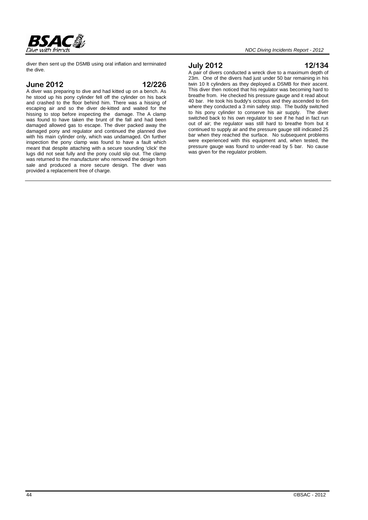

diver then sent up the DSMB using oral inflation and terminated the dive.

#### **June 2012 12/226**

A diver was preparing to dive and had kitted up on a bench. As he stood up his pony cylinder fell off the cylinder on his back and crashed to the floor behind him. There was a hissing of escaping air and so the diver de-kitted and waited for the hissing to stop before inspecting the damage. The A clamp was found to have taken the brunt of the fall and had been damaged allowed gas to escape. The diver packed away the damaged pony and regulator and continued the planned dive with his main cylinder only, which was undamaged. On further inspection the pony clamp was found to have a fault which meant that despite attaching with a secure sounding 'click' the lugs did not seat fully and the pony could slip out. The clamp was returned to the manufacturer who removed the design from sale and produced a more secure design. The diver was provided a replacement free of charge.

#### **July 2012 12/134**

A pair of divers conducted a wreck dive to a maximum depth of 23m. One of the divers had just under 50 bar remaining in his twin 10 lt cylinders as they deployed a DSMB for their ascent. This diver then noticed that his regulator was becoming hard to breathe from. He checked his pressure gauge and it read about 40 bar. He took his buddy's octopus and they ascended to 6m where they conducted a 3 min safety stop. The buddy switched to his pony cylinder to conserve his air supply. The diver switched back to his own regulator to see if he had in fact run out of air; the regulator was still hard to breathe from but it continued to supply air and the pressure gauge still indicated 25 bar when they reached the surface. No subsequent problems were experienced with this equipment and, when tested, the pressure gauge was found to under-read by 5 bar. No cause was given for the regulator problem.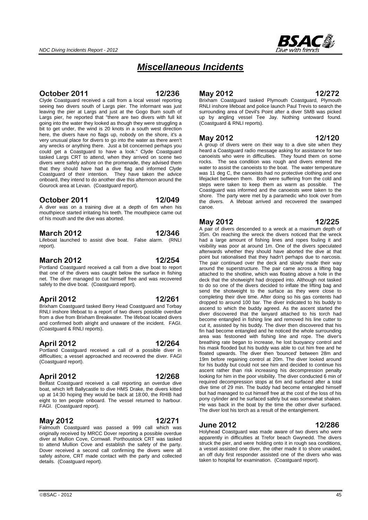

# *Miscellaneous Incidents*

#### **October 2011 12/236**

Clyde Coastguard received a call from a local vessel reporting seeing two divers south of Largs pier. The informant was just leaving the pier at Largs and just at the Gogo Burn south of Largs pier, he reported that "there are two divers with full kit going into the water they looked as though they were struggling a bit to get under, the wind is 20 knots in a south west direction here, the divers have no flags up, nobody on the shore, it's a very unusual place for divers to go into the water as there aren't any wrecks or anything there. Just a bit concerned perhaps you could get a Coastguard to have a look." Clyde Coastguard tasked Largs CRT to attend, when they arrived on scene two divers were safely ashore on the promenade, they advised them that they should have had a dive flag and informed Clyde Coastguard of their intention. They have taken the advice onboard, they intend to do another dive this afternoon around the Gourock area at Levan. (Coastguard report).

#### **October 2011 12/049**

A diver was on a training dive at a depth of 6m when his mouthpiece started irritating his teeth. The mouthpiece came out of his mouth and the dive was aborted.

#### **March 2012 12/346**

Lifeboat launched to assist dive boat. False alarm. (RNLI report).

#### **March 2012 12/254**

Portland Coastguard received a call from a dive boat to report that one of the divers was caught below the surface in fishing net. The diver managed to cut himself free and was recovered safely to the dive boat. (Coastguard report).

#### **April 2012 12/261**

Brixham Coastguard tasked Berry Head Coastguard and Torbay RNLI inshore lifeboat to a report of two divers possible overdue from a dive from Brixham Breakwater. The lifeboat located divers and confirmed both alright and unaware of the incident. FAGI. (Coastguard & RNLI reports).

### **April 2012 12/264**

Portland Coastguard received a call of a possible diver in difficulties; a vessel approached and recovered the diver. FAGI (Coastguard report).

### **April 2012 12/268**

Belfast Coastguard received a call reporting an overdue dive boat, which left Ballycastle to dive HMS Drake, the divers kitted up at 14:30 hoping they would be back at 18:00, the RHIB had eight to ten people onboard. The vessel returned to harbour. FAGI. (Coastguard report).

#### **May 2012 12/271**

Falmouth Coastguard was passed a 999 call which was originally received by MRCC Dover reporting a possible overdue diver at Mullion Cove, Cornwall. Porthoustock CRT was tasked to attend Mullion Cove and establish the safety of the party. Dover received a second call confirming the divers were all safely ashore, CRT made contact with the party and collected details. (Coastguard report).

### **May 2012 12/272**

Brixham Coastguard tasked Plymouth Coastguard, Plymouth RNLI inshore lifeboat and police launch Paul Trevis to search the surrounding area of Devil's Point after a diver SMB was picked up by angling vessel Tee Jay. Nothing untoward found. (Coastguard & RNLI reports).

#### **May 2012 12/120**

A group of divers were on their way to a dive site when they heard a Coastguard radio message asking for assistance for two canoeists who were in difficulties. They found them on some rocks. The sea condition was rough and divers entered the water to assist the canoeists to the boat. The water temperature was 11 deg C, the canoeists had no protective clothing and one lifejacket between them. Both were suffering from the cold and steps were taken to keep them as warm as possible. The Coastguard was informed and the canoeists were taken to the shore. The party were met by a paramedic who took over from the divers. A lifeboat arrived and recovered the swamped canoe.

### **May 2012 12/225**

A pair of divers descended to a wreck at a maximum depth of 35m. On reaching the wreck the divers noticed that the wreck had a large amount of fishing lines and ropes fouling it and visibility was poor at around 1m. One of the divers speculated afterwards whether they should have aborted the dive at that point but rationalised that they hadn't perhaps due to narcosis. The pair continued over the deck and slowly made their way around the superstructure. The pair came across a lifting bag attached to the shotline, which was floating above a hole in the deck that the shotweight had dropped into. Although not tasked to do so one of the divers decided to inflate the lifting bag and send the shotweight to the surface as they were close to completing their dive time. After doing so his gas contents had dropped to around 100 bar. The diver indicated to his buddy to ascend to which the buddy agreed. As the ascent started the diver discovered that the lanyard attached to his torch had become entangled in fishing line and removed his line cutter to cut it, assisted by his buddy. The diver then discovered that his fin had become entangled and he noticed the whole surrounding area was festooned with fishing line and rope. The diver's breathing rate began to increase, he lost buoyancy control and his mask flooded but his buddy was able to cut him free and he floated upwards. The diver then 'bounced' between 28m and 19m before regaining control at 20m. The diver looked around for his buddy but could not see him and decided to continue his ascent rather than risk increasing his decompression penalty looking for him in the poor visibility. The diver conducted 6 min of required decompression stops at 6m and surfaced after a total dive time of 29 min. The buddy had become entangled himself but had managed to cut himself free at the cost of the loss of his pony cylinder and he surfaced safely but was somewhat shaken. He was back in the boat by the time the other diver surfaced. The diver lost his torch as a result of the entanglement.

#### **June 2012 12/286**

Holyhead Coastguard was made aware of two divers who were apparently in difficulties at Trefor beach Gwynedd. The divers struck the pier, and were holding onto it in rough sea conditions, a vessel assisted one diver, the other made it to shore unaided, an off duty first responder assisted one of the divers who was taken to hospital for examination. (Coastguard report).

 $\circ$ BSAC - 2012  $\qquad \qquad \qquad$  45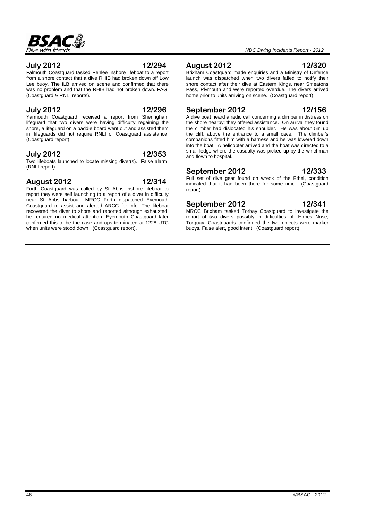# RSAC

#### *NDC Diving Incidents Report - 2012*

#### **July 2012 12/294**

Falmouth Coastguard tasked Penlee inshore lifeboat to a report from a shore contact that a dive RHIB had broken down off Low Lee buoy. The ILB arrived on scene and confirmed that there was no problem and that the RHIB had not broken down. FAGI (Coastguard & RNLI reports).

#### **July 2012 12/296**

Yarmouth Coastguard received a report from Sheringham lifeguard that two divers were having difficulty regaining the shore, a lifeguard on a paddle board went out and assisted them in, lifeguards did not require RNLI or Coastguard assistance. (Coastguard report).

#### **July 2012 12/353**

Two lifeboats launched to locate missing diver(s). False alarm. (RNLI report).

#### **August 2012 12/314**

Forth Coastguard was called by St Abbs inshore lifeboat to report they were self launching to a report of a diver in difficulty near St Abbs harbour. MRCC Forth dispatched Eyemouth Coastguard to assist and alerted ARCC for info. The lifeboat recovered the diver to shore and reported although exhausted, he required no medical attention. Evemouth Coastguard later confirmed this to be the case and ops terminated at 1228 UTC when units were stood down. (Coastguard report).

#### **August 2012 12/320**

Brixham Coastguard made enquiries and a Ministry of Defence launch was dispatched when two divers failed to notify their shore contact after their dive at Eastern Kings, near Smeatons Pass, Plymouth and were reported overdue. The divers arrived home prior to units arriving on scene. (Coastguard report).

#### **September 2012 12/156**

A dive boat heard a radio call concerning a climber in distress on the shore nearby; they offered assistance. On arrival they found the climber had dislocated his shoulder. He was about 5m up the cliff, above the entrance to a small cave. The climber's companions fitted him with a harness and he was lowered down into the boat. A helicopter arrived and the boat was directed to a small ledge where the casualty was picked up by the winchman and flown to hospital.

#### **September 2012 12/333**

Full set of dive gear found on wreck of the Ethel, condition indicated that it had been there for some time. (Coastguard report).

#### **September 2012 12/341**

MRCC Brixham tasked Torbay Coastguard to investigate the report of two divers possibly in difficulties off Hopes Nose, Torquay. Coastguards confirmed the two objects were marker buoys. False alert, good intent. (Coastguard report).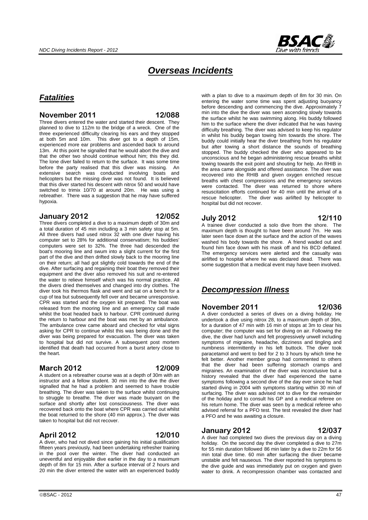

# *Overseas Incidents*

# *Fatalities*

#### **November 2011 12/088**

Three divers entered the water and started their descent. They planned to dive to 112m to the bridge of a wreck. One of the three experienced difficulty clearing his ears and they stopped at both 5m and 10m. This diver got to a depth of 15m, experienced more ear problems and ascended back to around 13m. At this point he signalled that he would abort the dive and that the other two should continue without him; this they did. The lone diver failed to return to the surface. It was some time before the party realised that this diver was missing. An extensive search was conducted involving boats and helicopters but the missing diver was not found. It is believed that this diver started his descent with nitrox 50 and would have switched to trimix 10/70 at around 20m. He was using a rebreather. There was a suggestion that he may have suffered hypoxia.

#### **January 2012 12/052**

Three divers completed a dive to a maximum depth of 30m and a total duration of 45 min including a 3 min safety stop at 5m. All three divers had used nitrox 32 with one diver having his computer set to 28% for additional conservatism; his buddies' computers were set to 32%. The three had descended the boat's mooring line and swum into a slight current for the first part of the dive and then drifted slowly back to the mooring line on their return; all had got slightly cold towards the end of the dive. After surfacing and regaining their boat they removed their equipment and the diver also removed his suit and re-entered the water to relieve himself which was his normal practice. All the divers dried themselves and changed into dry clothes. The diver took his thermos flask and went and sat on a bench for a cup of tea but subsequently fell over and became unresponsive. CPR was started and the oxygen kit prepared. The boat was released from the mooring line and an emergency call made whilst the boat headed back to harbour. CPR continued during the return to harbour and the boat was met by an ambulance. The ambulance crew came aboard and checked for vital signs asking for CPR to continue whilst this was being done and the diver was being prepared for evacuation. The diver was taken to hospital but did not survive. A subsequent post mortem identified that death had occurred from a burst artery close to the heart.

#### **March 2012 12/009**

A student on a rebreather course was at a depth of 30m with an instructor and a fellow student. 30 min into the dive the diver signalled that he had a problem and seemed to have trouble breathing. The diver was taken to the surface whilst continuing to struggle to breathe. The diver was made buoyant on the surface and shortly after lost consciousness. The diver was recovered back onto the boat where CPR was carried out whilst the boat returned to the shore (40 min approx.). The diver was taken to hospital but did not recover.

#### **April 2012 12/010**

A diver, who had not dived since gaining his initial qualification fifteen years previously, had been undertaking refresher training in the pool over the winter. The diver had conducted an uneventful and enjoyable dive earlier in the day to a maximum depth of 8m for 15 min. After a surface interval of 2 hours and 20 min the diver entered the water with an experienced buddy with a plan to dive to a maximum depth of 8m for 30 min. On entering the water some time was spent adjusting buoyancy before descending and commencing the dive. Approximately 7 min into the dive the diver was seen ascending slowly towards the surface whilst he was swimming along. His buddy followed him to the surface where the diver indicated that he was having difficulty breathing. The diver was advised to keep his regulator in whilst his buddy began towing him towards the shore. The buddy could initially hear the diver breathing from his regulator but after towing a short distance the sounds of breathing stopped. The buddy checked the diver who appeared to be unconscious and he began administering rescue breaths whilst towing towards the exit point and shouting for help. An RHIB in the area came alongside and offered assistance. The diver was recovered into the RHIB and given oxygen enriched rescue breaths with chest compressions and the emergency services were contacted. The diver was returned to shore where resuscitation efforts continued for 40 min until the arrival of a rescue helicopter. The diver was airlifted by helicopter to hospital but did not recover.

#### **July 2012 12/110**

A trainee diver conducted a solo dive from the shore. The maximum depth is thought to have been around 7m. He was later seen face down at the surface and the action of the waves washed his body towards the shore. A friend waded out and found him face down with his mask off and his BCD deflated. The emergency services were alerted and the casualty was airlifted to hospital where he was declared dead. There was some suggestion that a medical event may have been involved.

### *Decompression Illness*

#### **November 2011 12/036**

A diver conducted a series of dives on a diving holiday. He undertook a dive using nitrox 28, to a maximum depth of 36m, for a duration of 47 min with 16 min of stops at 3m to clear his computer; the computer was set for diving on air. Following the dive, the diver had lunch and felt progressively unwell including symptoms of migraine, headache, dizziness and tingling and numbness intermittently in his left buttock. The diver took paracetamol and went to bed for 2 to 3 hours by which time he felt better. Another member group had commented to others that the diver had been suffering stomach cramps and migraines. An examination of the diver was inconclusive but a history revealed that the diver had experienced the same symptoms following a second dive of the day ever since he had started diving in 2004 with symptoms starting within 30 min of surfacing. The diver was advised not to dive for the remainder of the holiday and to consult his GP and a medical referee on his return home. The diver was seen by a medical referee who advised referral for a PFO test. The test revealed the diver had a PFO and he was awaiting a closure.

#### **January 2012 12/037**

A diver had completed two dives the previous day on a diving holiday. On the second day the diver completed a dive to 27m for 55 min duration followed 86 min later by a dive to 22m for 56 min total dive time. 60 min after surfacing the diver became unstable and felt nauseous. The diver reported his symptoms to the dive guide and was immediately put on oxygen and given water to drink. A recompression chamber was contacted and

#### $\odot$ BSAC - 2012  $\ddot{\hspace{1cm}}$  47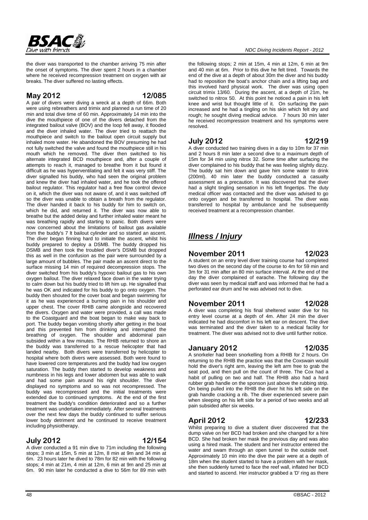

the diver was transported to the chamber arriving 75 min after the onset of symptoms. The diver spent 2 hours in a chamber where he received recompression treatment on oxygen with air breaks. The diver suffered no lasting effects.

#### **May 2012 12/085**

A pair of divers were diving a wreck at a depth of 66m. Both were using rebreathers and trimix and planned a run time of 20 min and total dive time of 60 min. Approximately 14 min into the dive the mouthpiece of one of the divers detached from the integrated bailout valve (BOV) and the loop fell away, it flooded and the diver inhaled water. The diver tried to reattach the mouthpiece and switch to the bailout open circuit supply but inhaled more water. He abandoned the BOV presuming he had not fully switched the valve and found the mouthpiece still in his mouth which he removed. The diver then switched to his alternate integrated BCD mouthpiece and, after a couple of attempts to reach it, managed to breathe from it but found it difficult as he was hyperventilating and felt it was very stiff. The diver signalled his buddy, who had seen the original problem and knew the diver had inhaled water, and he took the offered bailout regulator. This regulator had a free flow control device on it, which the diver was not aware of, and it was switched off so the diver was unable to obtain a breath from the regulator. The diver handed it back to his buddy for him to switch on, which he did, and returned it. The diver was now able to breathe but the added delay and further inhaled water meant he was breathing rapidly and starting to panic. Both divers were now concerned about the limitations of bailout gas available from the buddy's 7 lt bailout cylinder and so started an ascent. The diver began finning hard to initiate the ascent, whilst his buddy prepared to deploy a DSMB. The buddy dropped his DSMB and then took the troubled diver's DSMB but dropped this as well in the confusion as the pair were surrounded by a large amount of bubbles. The pair made an ascent direct to the surface missing 14 min of required decompression stops. The diver switched from his buddy's hypoxic bailout gas to his own oxygen bailout. The diver relaxed face down in the water trying to calm down but his buddy tried to lift him up. He signalled that he was OK and indicated for his buddy to go onto oxygen. The buddy then shouted for the cover boat and began swimming for it as he was experienced a burning pain in his shoulder and upper chest. The cover RHIB came alongside and recovered the divers. Oxygen and water were provided, a call was made to the Coastguard and the boat began to make way back to port. The buddy began vomiting shortly after getting in the boat and this prevented him from drinking and interrupted the breathing of oxygen. The shoulder and abdominal pain subsided within a few minutes. The RHIB returned to shore an the buddy was transferred to a rescue helicopter that had landed nearby. Both divers were transferred by helicopter to hospital where both divers were assessed. Both were found to have lowered core temperatures and the buddy had low oxygen saturation. The buddy then started to develop weakness and numbness in his legs and lower abdomen but was able to walk and had some pain around his right shoulder. The diver displayed no symptoms and so was not recompressed. The buddy was recompressed and the initial treatments were extended due to continued symptoms. At the end of the first treatment the buddy's condition deteriorated and so a further treatment was undertaken immediately. After several treatments over the next few days the buddy continued to suffer serious lower body detriment and he continued to receive treatment including physiotherapy.

#### **July 2012 12/154**

A diver conducted a 91 min dive to 71m including the following stops; 3 min at 15m, 5 min at 12m, 8 min at 9m and 34 min at 6m. 23 hours later he dived to 78m for 82 min with the following stops; 4 min at 21m, 4 min at 12m, 6 min at 9m and 25 min at 6m. 90 min later he conducted a dive to 56m for 89 min with

the following stops; 2 min at 15m, 4 min at 12m, 6 min at 9m and 40 min at 6m. Prior to this dive he felt tired. Towards the end of the dive at a depth of about 30m the diver and his buddy had to reposition the boat's anchor chain and a lifting bag and this involved hard physical work. The diver was using open circuit trimix 13/60. During the ascent, at a depth of 21m, he switched to nitrox 50. At this point he noticed a pain in his left knee and wrist but thought little of it. On surfacing the pain increased and he had a tingling on his skin which felt dry and rough; he sought diving medical advice. 7 hours 30 min later he received recompression treatment and his symptoms were resolved.

#### **July 2012 12/219**

A diver conducted two training dives in a day to 10m for 37 min and 2 hours 8 min later a second dive to a maximum depth of 15m for 34 min using nitrox 32. Some time after surfacing the diver complained to his buddy that he was feeling slightly dizzy. The buddy sat him down and gave him some water to drink (200ml). 40 min later the buddy conducted a casualty assessment as a precaution. It was discovered that the diver had a slight tingling sensation in his left fingertips. The duty medical officer was contacted and the diver was advised to go onto oxygen and be transferred to hospital. The diver was transferred to hospital by ambulance and he subsequently received treatment at a recompression chamber.

# *Illness / Injury*

#### **November 2011 12/023**

A student on an entry level diver training course had completed two dives on the second day of the course to 4m for 59 min and 3m for 31 min after an 80 min surface interval. At the end of the day the diver complained of earache. The following day the diver was seen by medical staff and was informed that he had a perforated ear drum and he was advised not to dive.

#### **November 2011 12/028**

A diver was completing his final sheltered water dive for his entry level course at a depth of 4m. After 24 min the diver indicated he had discomfort in his left ear on descent. The dive was terminated and the diver taken to a medical facility for treatment. The diver was advised not to dive until further notice.

### **January 2012 12/035**

A snorkeler had been snorkelling from a RHIB for 2 hours. On returning to the RHIB the practice was that the Coxswain would hold the diver's right arm, leaving the left arm free to grab the seat pod, and then pull on the count of three. The Cox had a habit of pulling on two and half. The RHIB also had a hard rubber grab handle on the sponson just above the rubbing strip. On being pulled into the RHIB the diver hit his left side on the grab handle cracking a rib. The diver experienced severe pain when sleeping on his left side for a period of two weeks and all pain subsided after six weeks.

# **April 2012 12/233**

Whilst preparing to dive a student diver discovered that the dump valve on her BCD had broken and she changed for a hire BCD. She had broken her mask the previous day and was also using a hired mask. The student and her instructor entered the water and swam through an open tunnel to the outside reef. Approximately 10 min into the dive the pair were at a depth of 18m when the student started to have a problem with her mask, she then suddenly turned to face the reef wall, inflated her BCD and started to ascend. Her instructor grabbed a 'D' ring as there

#### 48 ©BSAC - 2012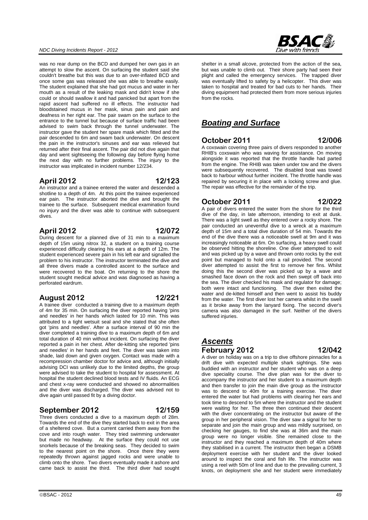#### *NDC Diving Incidents Report - 2012*

was no rear dump on the BCD and dumped her own gas in an attempt to slow the ascent. On surfacing the student said she couldn't breathe but this was due to an over-inflated BCD and once some gas was released she was able to breathe easily. The student explained that she had got mucus and water in her mouth as a result of the leaking mask and didn't know if she could or should swallow it and had panicked but apart from the rapid ascent had suffered no ill effects. The instructor had bloodstained mucus in her mask, sinus pain and pain and deafness in her right ear. The pair swam on the surface to the entrance to the tunnel but because of surface traffic had been advised to swim back through the tunnel underwater. The instructor gave the student her spare mask which fitted and the pair descended to 6m and swam back underwater. On descent the pain in the instructor's sinuses and ear was relieved but returned after their final ascent. The pair did not dive again that day and went sightseeing the following day before flying home the next day with no further problems. The injury to the instructor was implicated in incident number 12/234.

#### **April 2012 12/123**

An instructor and a trainee entered the water and descended a shotline to a depth of 4m. At this point the trainee experienced ear pain. The instructor aborted the dive and brought the trainee to the surface. Subsequent medical examination found no injury and the diver was able to continue with subsequent dives.

#### **April 2012 12/072**

During descent for a planned dive of 31 min to a maximum depth of 15m using nitrox 32, a student on a training course experienced difficulty clearing his ears at a depth of 12m. The student experienced severe pain in his left ear and signalled the problem to his instructor. The instructor terminated the dive and all three divers made a controlled ascent to the surface and were recovered to the boat. On returning to the shore the student sought medical advice and was diagnosed as having a perforated eardrum.

#### **August 2012 12/221**

A trainee diver conducted a training dive to a maximum depth of 4m for 35 min. On surfacing the diver reported having 'pins and needles' in her hands which lasted for 10 min. This was attributed to a tight wetsuit seal and she stated that she often got 'pins and needles'. After a surface interval of 90 min the diver completed a training dive to a maximum depth of 6m and total duration of 40 min without incident. On surfacing the diver reported a pain in her chest. After de-kitting she reported 'pins and needles' in her hands and feet. The diver was taken into shade, laid down and given oxygen. Contact was made with a recompression chamber doctor for advice and, although initially advising DCI was unlikely due to the limited depths, the group were advised to take the student to hospital for assessment. At hospital the student declined blood tests and IV fluids. An ECG and chest x-ray were conducted and showed no abnormalities and the diver was discharged. The diver was advised not to dive again until passed fit by a diving doctor.

### **September 2012 12/159**

Three divers conducted a dive to a maximum depth of 28m. Towards the end of the dive they started back to exit in the area of a sheltered cove. But a current carried them away from the cove and into rough water. They tried swimming underwater but made no headway. At the surface they could not use snorkels because of the breaking seas. They decided to swim to the nearest point on the shore. Once there they were repeatedly thrown against jagged rocks and were unable to climb onto the shore. Two divers eventually made it ashore and came back to assist the third. The third diver had sought

shelter in a small alcove, protected from the action of the sea, but was unable to climb out. Their shore party had seen their plight and called the emergency services. The trapped diver was eventually lifted to safety by a helicopter. This diver was taken to hospital and treated for bad cuts to her hands. Their diving equipment had protected them from more serious injuries from the rocks.

# *Boating and Surface*

#### **October 2011 12/006**

A coxswain covering three pairs of divers responded to another RHIB's coxswain who was waving for assistance. On moving alongside it was reported that the throttle handle had parted from the engine. The RHIB was taken under tow and the divers were subsequently recovered. The disabled boat was towed back to harbour without further incident. The throttle handle was repaired by securing it in place with a locking screw and glue. The repair was effective for the remainder of the trip.

### **October 2011 12/022**

A pair of divers entered the water from the shore for the third dive of the day, in late afternoon, intending to exit at dusk. There was a light swell as they entered over a rocky shore. The pair conducted an uneventful dive to a wreck at a maximum depth of 15m and a total dive duration of 54 min. Towards the end of the dive there was a noticeable swell at 9m and it was increasingly noticeable at 6m. On surfacing, a heavy swell could be observed hitting the shoreline. One diver attempted to exit

and was picked up by a wave and thrown onto rocks by the exit point but managed to hold onto a rail provided. The second diver attempted to assist the first to remove her fins. Whilst doing this the second diver was picked up by a wave and smashed face down on the rock and then swept off back into the sea. The diver checked his mask and regulator for damage; both were intact and functioning. The diver then exited the water and de-kitted himself and then went to assist his buddy from the water. The first diver lost her camera whilst in the swell as it broke away from the lanyard fixing. The second diver's camera was also damaged in the surf. Neither of the divers suffered injuries.

### *Ascents* **February 2012 12/042**

A diver on holiday was on a trip to dive offshore pinnacles for a drift dive with expected multiple shark sightings. She was buddied with an instructor and her student who was on a deep dive speciality course. The dive plan was for the diver to accompany the instructor and her student to a maximum depth and then transfer to join the main dive group as the instructor was to descend to 40m for a training exercise. The diver entered the water but had problems with clearing her ears and took time to descend to 5m where the instructor and the student were waiting for her. The three then continued their descent with the diver concentrating on the instructor but aware of the group in her peripheral vision. The diver saw a signal for her to separate and join the main group and was mildly surprised, on checking her gauges, to find she was at 36m and the main group were no longer visible. She remained close to the instructor and they reached a maximum depth of 40m where they stabilised in a current. The instructor then began a DSMB deployment exercise with her student and the diver looked around to inspect the coral and fish life. The instructor was using a reel with 50m of line and due to the prevailing current, 3 knots, on deployment she and her student were immediately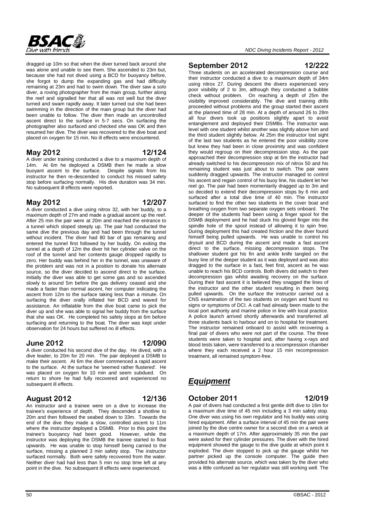

dragged up 10m so that when the diver turned back around she was alone and unable to see them. She ascended to 23m but, because she had not dived using a BCD for buoyancy before, she forgot to dump the expanding gas and had difficulty remaining at 23m and had to swim down. The diver saw a solo diver, a roving photographer from the main group, further along the reef and signalled her that all was not well but the diver turned and swam rapidly away. It later turned out she had been swimming in the direction of the main group but the diver had been unable to follow. The diver then made an uncontrolled ascent direct to the surface in 5-7 secs. On surfacing the photographer also surfaced and checked she was OK and then resumed her dive. The diver was recovered to the dive boat and placed on oxygen for 15 min. No ill effects were encountered.

#### **May 2012 12/124**

A diver under training conducted a dive to a maximum depth of 14m. At 6m he deployed a DSMB then he made a slow buoyant ascent to the surface. Despite signals from his instructor he then re-descended to conduct his missed safety stop before surfacing normally. His dive duration was 34 min. No subsequent ill effects were reported.

#### **May 2012 12/207**

A diver conducted a dive using nitrox 32, with her buddy, to a maximum depth of 27m and made a gradual ascent up the reef. After 25 min the pair were at 20m and reached the entrance to a tunnel which sloped steeply up. The pair had conducted the same dive the previous day and had been through the tunnel without incident. The diver had 80 bar of gas remaining and entered the tunnel first followed by her buddy. On exiting the tunnel at a depth of 12m the diver hit her cylinder valve on the roof of the tunnel and her contents gauge dropped rapidly to zero. Her buddy was behind her in the tunnel, was unaware of the problem and was not in a position to donate his alternate source, so the diver decided to ascend direct to the surface. Initially the diver was able to get some gas and so ascended slowly to around 5m before the gas delivery ceased and she made a faster than normal ascent, her computer indicating the ascent from 12m to the surface taking less than a minute. On surfacing the diver orally inflated her BCD and waved for assistance. An inflatable from the dive boat came to pick the diver up and she was able to signal her buddy from the surface that she was OK. He completed his safety stops at 6m before surfacing and returning to the boat. The diver was kept under observation for 24 hours but suffered no ill effects.

### **June 2012 12/090**

A diver conducted his second dive of the day. He dived, with a dive leader, to 20m for 20 min. The pair deployed a DSMB to make their ascent. At 6m the diver commenced a rapid ascent to the surface. At the surface he 'seemed rather flustered'. He was placed on oxygen for 10 min and seem subdued. On return to shore he had fully recovered and experienced no subsequent ill effects.

### **August 2012 12/136**

An instructor and a trainee were on a dive to increase the trainee's experience of depth. They descended a shotline to 20m and then followed the seabed down to 33m. Towards the end of the dive they made a slow, controlled ascent to 11m where the instructor deployed a DSMB. Prior to this point the trainee's buoyancy had been good. However, while the instructor was deploying the DSMB the trainee started to float upwards. He was unable to stop himself being carried to the surface, missing a planned 3 min safety stop. The instructor surfaced normally. Both were safely recovered from the water. Neither diver had had less than 5 min no stop time left at any point in the dive. No subsequent ill effects were experienced.

#### **September 2012 12/222**

Three students on an accelerated decompression course and their instructor conducted a dive to a maximum depth of 34m using nitrox 27. During descent the divers experienced very poor visibility of 2 to 3m, although they conducted a bubble check without problem. On reaching a depth of 25m the visibility improved considerably. The dive and training drills proceeded without problems and the group started their ascent at the planned time of 28 min. At a depth of around 26 to 28m all four divers took up positions slightly apart to avoid entanglement and deployed their DSMBs. The instructor was level with one student whilst another was slightly above him and the third student slightly below. At 25m the instructor lost sight of the last two students as he entered the poor visibility zone but knew they had been in close proximity and was confident they would regroup on their decompression stop. As the pair approached their decompression stop at 6m the instructor had already switched to his decompression mix of nitrox 50 and his remaining student was just about to switch. The pair were suddenly dragged upwards. The instructor managed to control his ascent and regain control of his buoy line, his student let her reel go. The pair had been momentarily dragged up to 3m and so decided to extend their decompression stops by 6 min and surfaced after a total dive time of 40 min. The instructor surfaced to find the other two students in the cover boat and breathing oxygen from two separate oxygen sets onboard. The deeper of the students had been using a finger spool for the DSMB deployment and he had stuck his gloved finger into the spindle hole of the spool instead of allowing it to spin free. During deployment this had created friction and the diver found himself being pulled upwards. He was unable to control his drysuit and BCD during the ascent and made a fast ascent direct to the surface, missing decompression stops. The shallower student got his fin and ankle knife tangled on the buoy line of the deeper student as it was deployed and was also dragged to the surface in a fast, feet first, ascent as he was unable to reach his BCD controls. Both divers did switch to their decompression gas whilst awaiting recovery on the surface. During their fast ascent it is believed they snagged the lines of the instructor and the other student resulting in them being pulled upwards. On the surface the instructor carried out a CNS examination of the two students on oxygen and found no signs or symptoms of DCI. A call had already been made to the local port authority and marine police in line with local practice. A police launch arrived shortly afterwards and transferred all three students back to harbour and on to hospital for treatment. The instructor remained onboard to assist with recovering a final pair of divers who were not part of the course. The three students were taken to hospital and, after having x-rays and blood tests taken, were transferred to a recompression chamber where they each received a 2 hour 15 min recompression treatment, all remained symptom-free.

# *Equipment*

#### **October 2011 12/019**

A pair of divers had conducted a first gentle drift dive to 16m for a maximum dive time of 45 min including a 3 min safety stop. One diver was using his own regulator and his buddy was using hired equipment. After a surface interval of 45 min the pair were joined by the dive centre owner for a second dive on a wreck at a maximum depth of 17m. After approximately 35 min the pair were asked for their cylinder pressures. The diver with the hired equipment showed the gauge to the dive guide at which point it exploded. The diver stopped to pick up the gauge whilst her partner picked up the console computer. The guide then provided his alternate source, which was taken by the diver who was a little confused as her regulator was still working well. The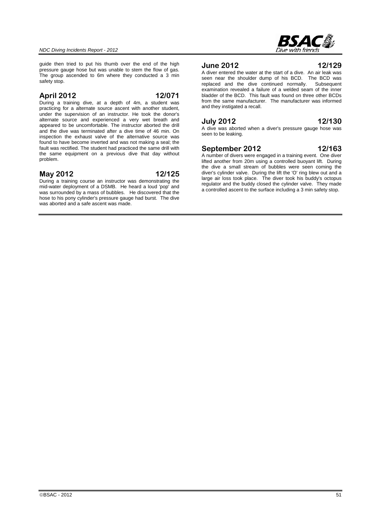

guide then tried to put his thumb over the end of the high pressure gauge hose but was unable to stem the flow of gas. The group ascended to 6m where they conducted a 3 min safety stop.

#### **April 2012 12/071**

During a training dive, at a depth of 4m, a student was practicing for a alternate source ascent with another student, under the supervision of an instructor. He took the donor's alternate source and experienced a very wet breath and appeared to be uncomfortable. The instructor aborted the drill and the dive was terminated after a dive time of 46 min. On inspection the exhaust valve of the alternative source was found to have become inverted and was not making a seal; the fault was rectified. The student had practiced the same drill with the same equipment on a previous dive that day without problem.

#### **May 2012 12/125**

During a training course an instructor was demonstrating the mid-water deployment of a DSMB. He heard a loud 'pop' and was surrounded by a mass of bubbles. He discovered that the hose to his pony cylinder's pressure gauge had burst. The dive was aborted and a safe ascent was made.

#### **June 2012 12/129**

A diver entered the water at the start of a dive. An air leak was seen near the shoulder dump of his BCD. The BCD was replaced and the dive continued normally. Subsequent examination revealed a failure of a welded seam of the inner bladder of the BCD. This fault was found on three other BCDs from the same manufacturer. The manufacturer was informed and they instigated a recall.

#### **July 2012 12/130**

A dive was aborted when a diver's pressure gauge hose was seen to be leaking.

#### **September 2012 12/163**

A number of divers were engaged in a training event. One diver lifted another from 20m using a controlled buoyant lift. During the dive a small stream of bubbles were seen coming the diver's cylinder valve. During the lift the 'O' ring blew out and a large air loss took place. The diver took his buddy's octopus regulator and the buddy closed the cylinder valve. They made a controlled ascent to the surface including a 3 min safety stop.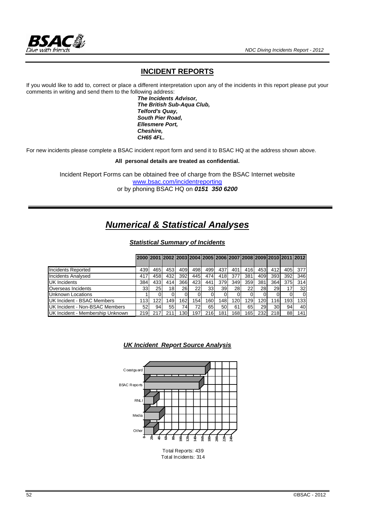

### **INCIDENT REPORTS**

If you would like to add to, correct or place a different interpretation upon any of the incidents in this report please put your comments in writing and send them to the following address:

 *The Incidents Advisor, The British Sub-Aqua Club, Telford's Quay, South Pier Road, Ellesmere Port, Cheshire, CH65 4FL.* 

For new incidents please complete a BSAC incident report form and send it to BSAC HQ at the address shown above.

**All personal details are treated as confidential.** 

Incident Report Forms can be obtained free of charge from the BSAC Internet website www.bsac.com/incidentreporting or by phoning BSAC HQ on *0151 350 6200*

# *Numerical & Statistical Analyses*

*Statistical Summary of Incidents*

|                                       |                 | 2000 2001 2002 2003 2004 2005 2006 2007 2008 2009 2010 2011 2012 |     |                  |      |                  |     |           |                  |                  |     |     |     |
|---------------------------------------|-----------------|------------------------------------------------------------------|-----|------------------|------|------------------|-----|-----------|------------------|------------------|-----|-----|-----|
|                                       |                 |                                                                  |     |                  |      |                  |     |           |                  |                  |     |     |     |
| Incidents Reported                    | 439             | 465                                                              | 453 | 409              | 498  | 499              | 437 | 401       | 416              | 453              | 412 | 405 | 377 |
| <b>Incidents Analysed</b>             | 417             | 458                                                              | 432 | 392              | 445  | 474              | 418 | 377       | 381              | 409              | 393 | 392 | 346 |
| <b>UK Incidents</b>                   | 384             | 433                                                              | 414 | 366              | 423  | 441              | 379 | 349       | 359              | 381              | 364 | 375 | 314 |
| Overseas Incidents                    | 33 <sub>l</sub> | 25 <sub>1</sub>                                                  | 18  | <b>26</b>        | 22   | 33 <sup>1</sup>  | 39  | <b>28</b> | 22 <sub>1</sub>  | 28               | 29  |     | 32  |
| Unknown Locations                     |                 |                                                                  |     |                  |      |                  |     |           |                  |                  |     |     |     |
| UK Incident - BSAC Members            | 113             | 122                                                              | 149 | 162              | 154. | 160 <sub>1</sub> | 148 | 120       | 129              | 120 <sub>1</sub> | 116 | 193 | 133 |
| <b>UK Incident - Non-BSAC Members</b> | 52 <sub>l</sub> | 94                                                               | 55  | 74               | 72   | 65               | 50  | 61        | 65               | 291              | 30  | 94  | 40  |
| UK Incident - Membership Unknown      | 219             |                                                                  | 211 | 130 <sub>1</sub> | 197  | 216              | 181 | 168       | 165 <sub>1</sub> | 232              | 218 | 88  | 141 |





Total Reports: 439 Total Incidents: 314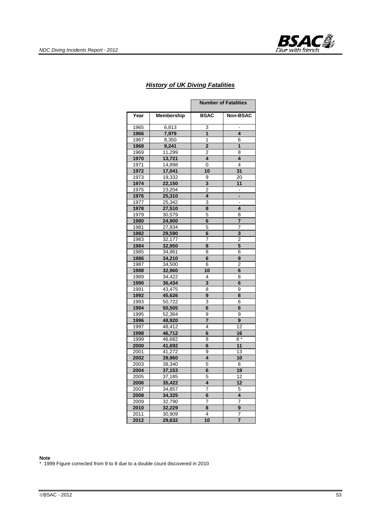

#### *History of UK Diving Fatalities*

|      |            |                         | <b>Number of Fatalities</b> |
|------|------------|-------------------------|-----------------------------|
| Year | Membership | <b>BSAC</b>             | Non-BSAC                    |
| 1965 | 6,813      | 3                       |                             |
| 1966 | 7,979      | $\mathbf{1}$            | 4                           |
| 1967 | 8,350      | $\mathbf{1}$            | 6                           |
| 1968 | 9,241      | 2                       | $\mathbf{1}$                |
| 1969 | 11,299     | 2                       | 8                           |
| 1970 | 13,721     | $\overline{\mathbf{4}}$ | $\overline{\mathbf{4}}$     |
| 1971 | 14,898     | 0                       | 4                           |
| 1972 | 17,041     | 10                      | 31                          |
| 1973 | 19,332     | 9                       | 20                          |
| 1974 | 22,150     | 3                       | 11                          |
| 1975 | 23,204     | $\overline{2}$          |                             |
| 1976 | 25,310     | 4                       |                             |
| 1977 | 25,342     | 3                       |                             |
| 1978 | 27,510     | 8                       | 4                           |
| 1979 | 30,579     | 5                       | 8                           |
| 1980 | 24,900     | 6                       | $\overline{7}$              |
| 1981 | 27,834     | 5                       | 7                           |
| 1982 | 29,590     | 6                       | 3                           |
| 1983 | 32,177     | 7                       | 2                           |
| 1984 | 32,950     | 8                       | 5                           |
| 1985 | 34,861     | 8                       | 6                           |
| 1986 | 34,210     | 6                       | 9                           |
| 1987 | 34,500     | 6                       | 2                           |
| 1988 | 32,960     | 10                      | 6                           |
| 1989 | 34,422     | 4                       | 8                           |
| 1990 | 36,434     | 3                       | 6                           |
| 1991 | 43,475     | 8                       | 9                           |
| 1992 | 45,626     | 9                       | 8                           |
| 1993 | 50,722     | 3                       | 6                           |
| 1994 | 50,505     | 6                       | 6                           |
| 1995 | 52,364     | 9                       | 9                           |
| 1996 | 48,920     | 7                       | 9                           |
| 1997 | 48,412     | 4                       | 12                          |
| 1998 | 46,712     | 6                       | 16                          |
| 1999 | 46,682     | 8                       | 8 *                         |
| 2000 | 41,692     | 6                       | 11                          |
| 2001 | 41,272     | 9                       | 13                          |
| 2002 | 39,960     | 4                       | 10                          |
| 2003 | 38,340     | 5                       | 6                           |
| 2004 | 37,153     | 6                       | 19                          |
| 2005 | 37,185     | 5                       | 12                          |
| 2006 | 35,422     | 4                       | 12                          |
| 2007 | 34,857     | 7                       | 5                           |
| 2008 | 34,325     | 6                       | 4                           |
| 2009 | 32,790     | 7                       | 7                           |
| 2010 | 32,229     | 8                       | 9                           |
| 2011 | 30,909     | 4                       | 7                           |
| 2012 | 29,632     | 10                      | $\overline{7}$              |

#### **Note**

\* 1999 Figure corrected from 9 to 8 due to a double count discovered in 2010